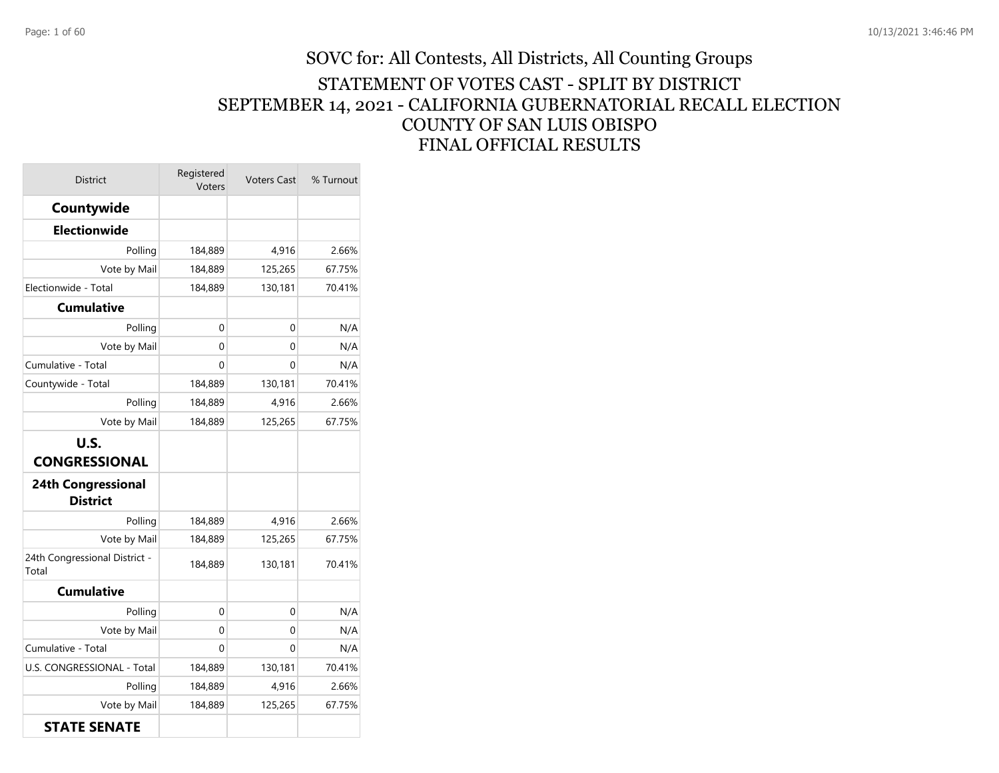## SOVC for: All Contests, All Districts, All Counting Groups STATEMENT OF VOTES CAST - SPLIT BY DISTRICT SEPTEMBER 14, 2021 - CALIFORNIA GUBERNATORIAL RECALL ELECTION COUNTY OF SAN LUIS OBISPO FINAL OFFICIAL RESULTS

| <b>District</b>                              | Registered<br>Voters | <b>Voters Cast</b> | % Turnout |
|----------------------------------------------|----------------------|--------------------|-----------|
| Countywide                                   |                      |                    |           |
| <b>Electionwide</b>                          |                      |                    |           |
| Polling                                      | 184,889              | 4,916              | 2.66%     |
| Vote by Mail                                 | 184,889              | 125,265            | 67.75%    |
| Electionwide - Total                         | 184,889              | 130,181            | 70.41%    |
| <b>Cumulative</b>                            |                      |                    |           |
| Polling                                      | 0                    | 0                  | N/A       |
| Vote by Mail                                 | 0                    | 0                  | N/A       |
| Cumulative - Total                           | $\Omega$             | 0                  | N/A       |
| Countywide - Total                           | 184,889              | 130,181            | 70.41%    |
| Polling                                      | 184,889              | 4,916              | 2.66%     |
| Vote by Mail                                 | 184,889              | 125,265            | 67.75%    |
| <b>U.S.</b><br><b>CONGRESSIONAL</b>          |                      |                    |           |
| <b>24th Congressional</b><br><b>District</b> |                      |                    |           |
| Polling                                      | 184,889              | 4,916              | 2.66%     |
| Vote by Mail                                 | 184,889              | 125,265            | 67.75%    |
| 24th Congressional District -<br>Total       | 184,889              | 130,181            | 70.41%    |
| <b>Cumulative</b>                            |                      |                    |           |
| Polling                                      | 0                    | 0                  | N/A       |
| Vote by Mail                                 | 0                    | 0                  | N/A       |
| Cumulative - Total                           | 0                    | 0                  | N/A       |
| U.S. CONGRESSIONAL - Total                   | 184,889              | 130,181            | 70.41%    |
| Polling                                      | 184,889              | 4,916              | 2.66%     |
| Vote by Mail                                 | 184,889              | 125,265            | 67.75%    |
| <b>STATE SENATE</b>                          |                      |                    |           |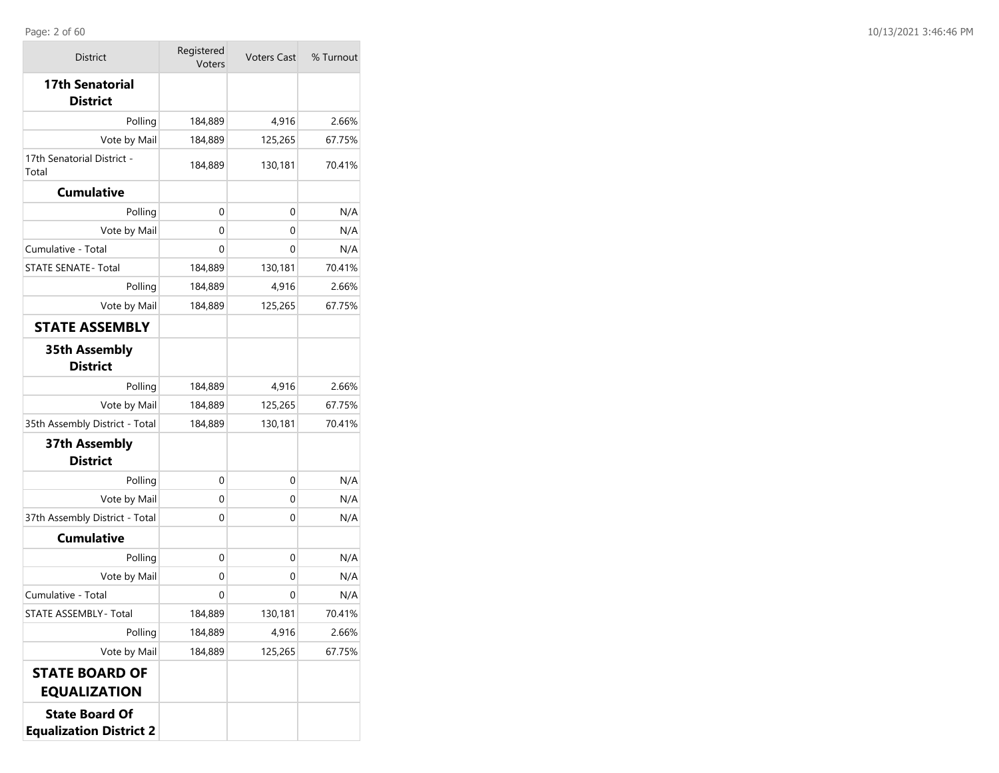| <b>District</b>                                         | Registered<br><b>Voters Cast</b><br>Voters |         | % Turnout |
|---------------------------------------------------------|--------------------------------------------|---------|-----------|
| <b>17th Senatorial</b><br><b>District</b>               |                                            |         |           |
| Polling                                                 | 184,889                                    | 4,916   | 2.66%     |
| Vote by Mail                                            | 184,889                                    | 125,265 | 67.75%    |
| 17th Senatorial District -<br>Total                     | 184,889                                    | 130,181 | 70.41%    |
| <b>Cumulative</b>                                       |                                            |         |           |
| Polling                                                 | 0                                          | 0       | N/A       |
| Vote by Mail                                            | 0                                          | 0       | N/A       |
| Cumulative - Total                                      | 0                                          | 0       | N/A       |
| <b>STATE SENATE- Total</b>                              | 184,889                                    | 130,181 | 70.41%    |
| Polling                                                 | 184,889                                    | 4,916   | 2.66%     |
| Vote by Mail                                            | 184,889                                    | 125,265 | 67.75%    |
| <b>STATE ASSEMBLY</b>                                   |                                            |         |           |
| <b>35th Assembly</b><br><b>District</b>                 |                                            |         |           |
| Polling                                                 | 184,889                                    | 4,916   | 2.66%     |
| Vote by Mail                                            | 184,889                                    | 125,265 | 67.75%    |
| 35th Assembly District - Total                          | 184,889                                    | 130,181 | 70.41%    |
| 37th Assembly<br><b>District</b>                        |                                            |         |           |
| Polling                                                 | 0                                          | 0       | N/A       |
| Vote by Mail                                            | 0                                          | 0       | N/A       |
| 37th Assembly District - Total                          | 0                                          | 0       | N/A       |
| <b>Cumulative</b>                                       |                                            |         |           |
| Polling                                                 | 0                                          | 0       | N/A       |
| Vote by Mail                                            | 0                                          | 0       | N/A       |
| Cumulative - Total                                      | 0                                          | 0       | N/A       |
| STATE ASSEMBLY - Total                                  | 184,889                                    | 130,181 | 70.41%    |
| Polling                                                 | 184,889                                    | 4,916   | 2.66%     |
| Vote by Mail                                            | 184,889                                    | 125,265 | 67.75%    |
| <b>STATE BOARD OF</b><br><b>EQUALIZATION</b>            |                                            |         |           |
| <b>State Board Of</b><br><b>Equalization District 2</b> |                                            |         |           |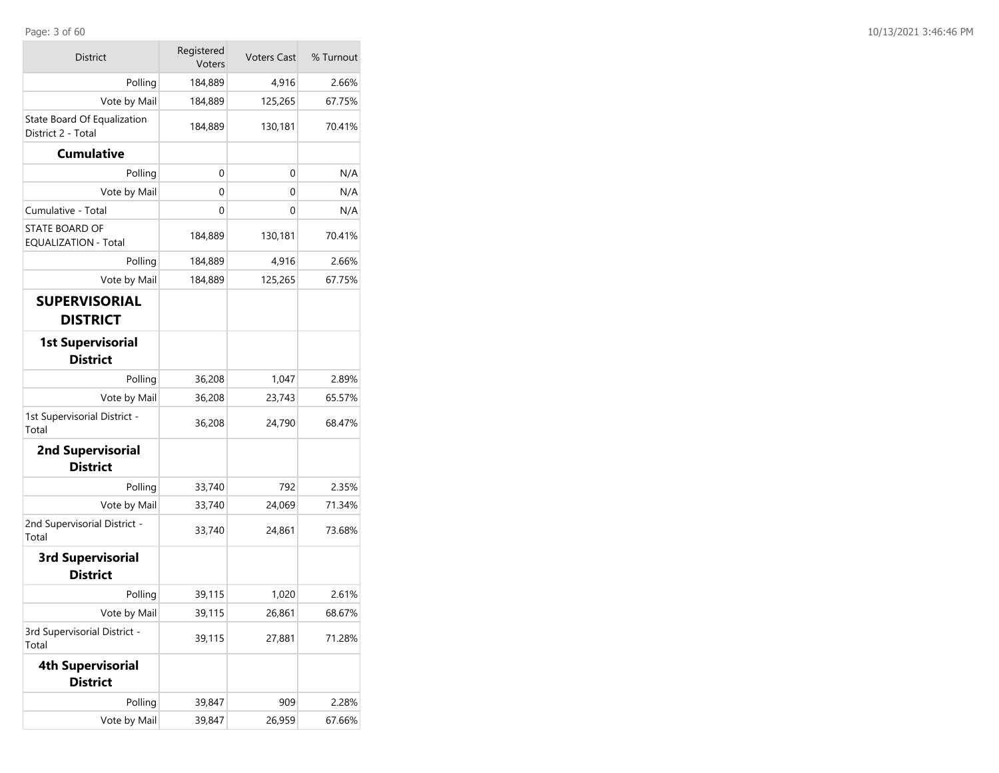| <b>District</b>                                   | Registered<br>Voters | <b>Voters Cast</b> | % Turnout |
|---------------------------------------------------|----------------------|--------------------|-----------|
| Polling                                           | 184,889              | 4,916              | 2.66%     |
| Vote by Mail                                      | 184,889              | 125,265            | 67.75%    |
| State Board Of Equalization<br>District 2 - Total | 184,889              | 130,181            | 70.41%    |
| <b>Cumulative</b>                                 |                      |                    |           |
| Polling                                           | 0                    | 0                  | N/A       |
| Vote by Mail                                      | 0                    | 0                  | N/A       |
| Cumulative - Total                                | 0                    | 0                  | N/A       |
| STATE BOARD OF<br><b>EQUALIZATION - Total</b>     | 184,889              | 130,181            | 70.41%    |
| Polling                                           | 184,889              | 4,916              | 2.66%     |
| Vote by Mail                                      | 184,889              | 125,265            | 67.75%    |
| <b>SUPERVISORIAL</b><br><b>DISTRICT</b>           |                      |                    |           |
| <b>1st Supervisorial</b><br><b>District</b>       |                      |                    |           |
| Polling                                           | 36,208               | 1,047              | 2.89%     |
| Vote by Mail                                      | 36,208               | 23,743             | 65.57%    |
| 1st Supervisorial District -<br>Total             | 36,208               | 24,790             | 68.47%    |
| <b>2nd Supervisorial</b><br><b>District</b>       |                      |                    |           |
| Polling                                           | 33,740               | 792                | 2.35%     |
| Vote by Mail                                      | 33,740               | 24,069             | 71.34%    |
| 2nd Supervisorial District -<br>Total             | 33,740               | 24,861             | 73.68%    |
| <b>3rd Supervisorial</b><br><b>District</b>       |                      |                    |           |
| Polling                                           | 39,115               | 1,020              | 2.61%     |
| Vote by Mail                                      | 39,115               | 26,861             | 68.67%    |
| 3rd Supervisorial District -<br>Total             | 39,115               | 27,881             | 71.28%    |
| <b>4th Supervisorial</b><br><b>District</b>       |                      |                    |           |
| Polling                                           | 39,847               | 909                | 2.28%     |
| Vote by Mail                                      | 39,847               | 26,959             | 67.66%    |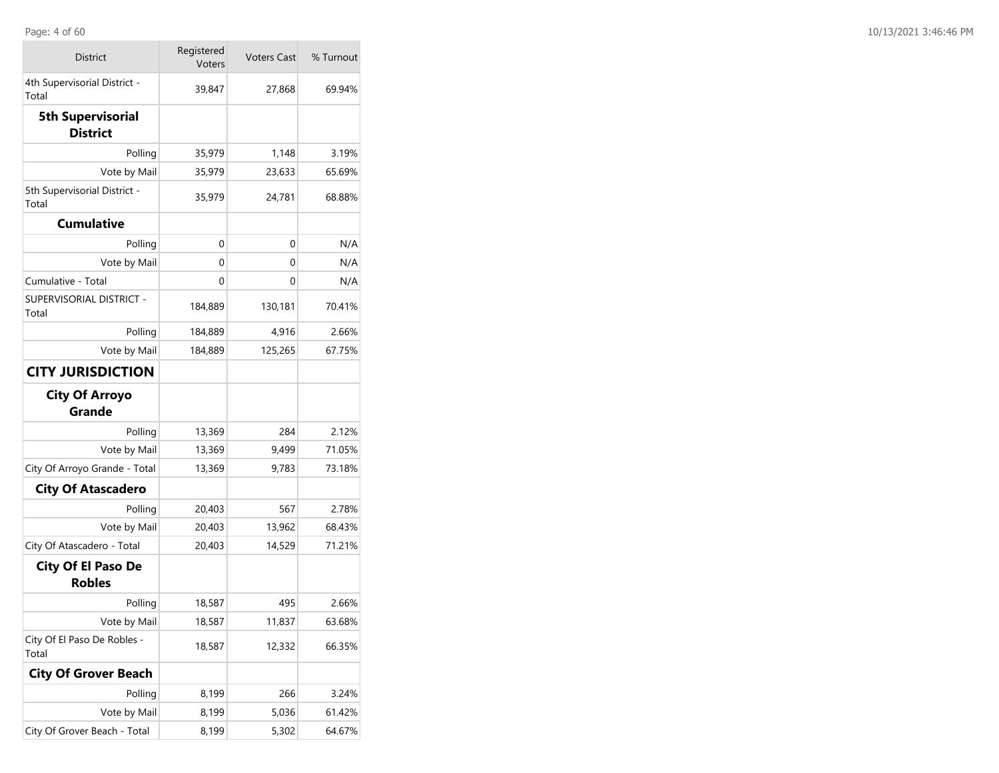| <b>District</b>                             | Registered<br>Voters | <b>Voters Cast</b> | % Turnout |
|---------------------------------------------|----------------------|--------------------|-----------|
| 4th Supervisorial District -<br>Total       | 39,847               | 27,868             | 69.94%    |
| <b>5th Supervisorial</b><br><b>District</b> |                      |                    |           |
| Polling                                     | 35,979               | 1,148              | 3.19%     |
| Vote by Mail                                | 35,979               | 23,633             | 65.69%    |
| 5th Supervisorial District -<br>Total       | 35,979               | 24,781             | 68.88%    |
| <b>Cumulative</b>                           |                      |                    |           |
| Polling                                     | 0                    | 0                  | N/A       |
| Vote by Mail                                | 0                    | 0                  | N/A       |
| Cumulative - Total                          | 0                    | 0                  | N/A       |
| SUPERVISORIAL DISTRICT -<br>Total           | 184,889              | 130,181            | 70.41%    |
| Polling                                     | 184,889              | 4,916              | 2.66%     |
| Vote by Mail                                | 184,889              | 125,265            | 67.75%    |
| <b>CITY JURISDICTION</b>                    |                      |                    |           |
| <b>City Of Arroyo</b><br>Grande             |                      |                    |           |
| Polling                                     | 13,369               | 284                | 2.12%     |
| Vote by Mail                                | 13,369               | 9,499              | 71.05%    |
| City Of Arroyo Grande - Total               | 13,369               | 9,783              | 73.18%    |
| <b>City Of Atascadero</b>                   |                      |                    |           |
| Polling                                     | 20,403               | 567                | 2.78%     |
| Vote by Mail                                | 20,403               | 13,962             | 68.43%    |
| City Of Atascadero - Total                  | 20,403               | 14,529             | 71.21%    |
| <b>City Of El Paso De</b><br><b>Robles</b>  |                      |                    |           |
| Polling                                     | 18,587               | 495                | 2.66%     |
| Vote by Mail                                | 18,587               | 11,837             | 63.68%    |
| City Of El Paso De Robles -<br>Total        | 18,587               | 12,332             | 66.35%    |
| <b>City Of Grover Beach</b>                 |                      |                    |           |
| Polling                                     | 8,199                | 266                | 3.24%     |
| Vote by Mail                                | 8,199                | 5,036              | 61.42%    |
| City Of Grover Beach - Total                | 8,199                | 5,302              | 64.67%    |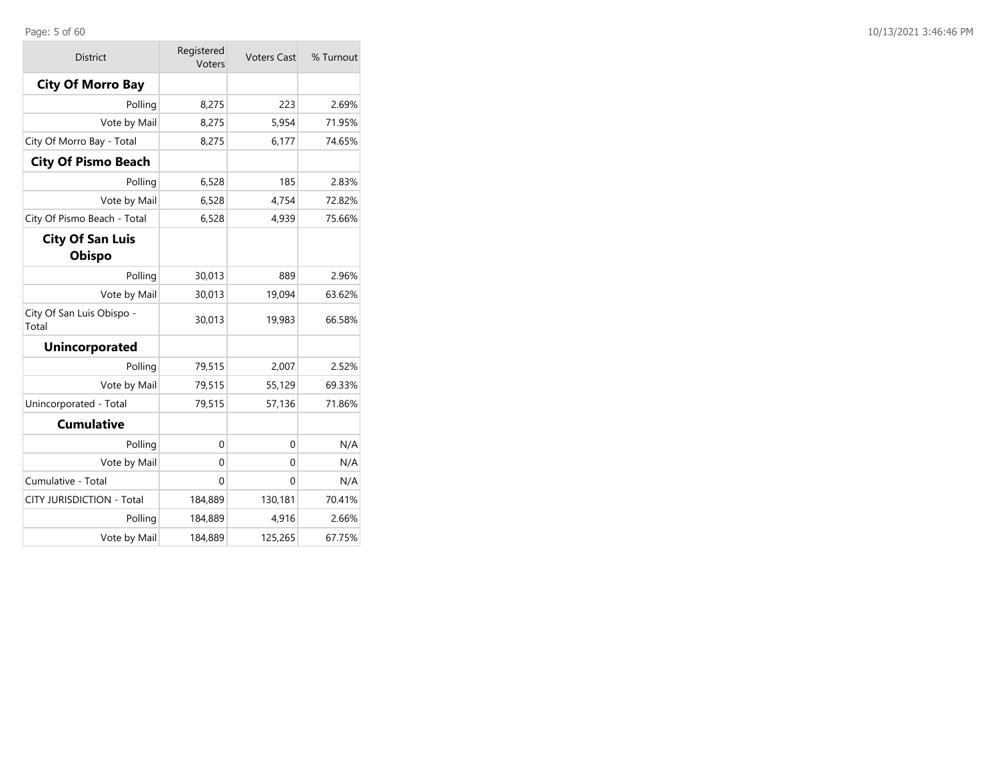## Page: 5 of 60

 $\sim$ 

| <b>District</b>                          | Registered<br>Voters | <b>Voters Cast</b> | % Turnout |
|------------------------------------------|----------------------|--------------------|-----------|
| <b>City Of Morro Bay</b>                 |                      |                    |           |
| Polling                                  | 8,275                | 223                | 2.69%     |
| Vote by Mail                             | 8,275                | 5,954              | 71.95%    |
| City Of Morro Bay - Total                | 8,275                | 6,177              | 74.65%    |
| <b>City Of Pismo Beach</b>               |                      |                    |           |
| Polling                                  | 6,528                | 185                | 2.83%     |
| Vote by Mail                             | 6,528                | 4,754              | 72.82%    |
| City Of Pismo Beach - Total              | 6,528                | 4,939              | 75.66%    |
| <b>City Of San Luis</b><br><b>Obispo</b> |                      |                    |           |
| Polling                                  | 30,013               | 889                | 2.96%     |
| Vote by Mail                             | 30,013               | 19,094             | 63.62%    |
| City Of San Luis Obispo -<br>Total       | 30,013               | 19,983             | 66.58%    |
| <b>Unincorporated</b>                    |                      |                    |           |
| Polling                                  | 79,515               | 2,007              | 2.52%     |
| Vote by Mail                             | 79,515               | 55,129             | 69.33%    |
| Unincorporated - Total                   | 79,515               | 57,136             | 71.86%    |
| <b>Cumulative</b>                        |                      |                    |           |
| Polling                                  | $\mathbf 0$          | 0                  | N/A       |
| Vote by Mail                             | 0                    | 0                  | N/A       |
| Cumulative - Total                       | $\Omega$             | 0                  | N/A       |
| CITY JURISDICTION - Total                | 184,889              | 130,181            | 70.41%    |
| Polling                                  | 184,889              | 4,916              | 2.66%     |
| Vote by Mail                             | 184,889              | 125,265            | 67.75%    |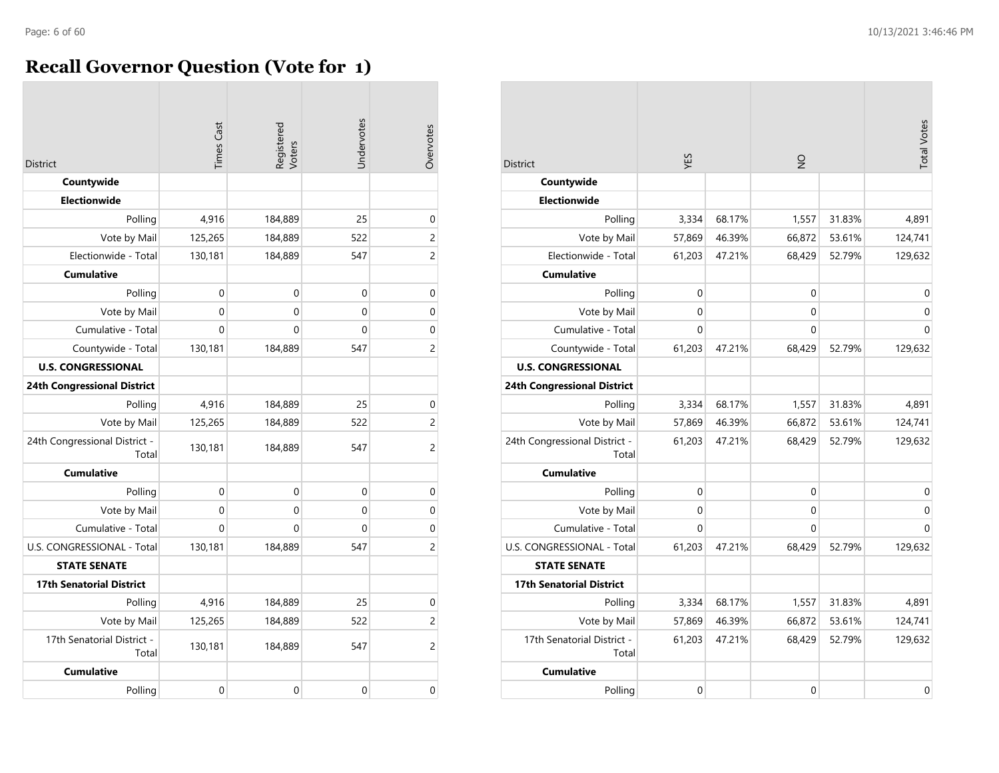$\sim$ 

## **Recall Governor Question (Vote for 1)**

| <b>District</b>                        | <b>Times Cast</b> | Registered<br>Voters | Undervotes | Overvotes      |
|----------------------------------------|-------------------|----------------------|------------|----------------|
| Countywide                             |                   |                      |            |                |
| <b>Electionwide</b>                    |                   |                      |            |                |
| Polling                                | 4,916             | 184,889              | 25         | $\mathbf 0$    |
| Vote by Mail                           | 125,265           | 184,889              | 522        | $\overline{c}$ |
| Electionwide - Total                   | 130,181           | 184,889              | 547        | $\overline{c}$ |
| <b>Cumulative</b>                      |                   |                      |            |                |
| Polling                                | 0                 | $\mathbf 0$          | 0          | $\mathbf 0$    |
| Vote by Mail                           | 0                 | 0                    | 0          | 0              |
| Cumulative - Total                     | $\Omega$          | 0                    | 0          | $\mathbf 0$    |
| Countywide - Total                     | 130,181           | 184,889              | 547        | 2              |
| <b>U.S. CONGRESSIONAL</b>              |                   |                      |            |                |
| <b>24th Congressional District</b>     |                   |                      |            |                |
| Polling                                | 4,916             | 184,889              | 25         | $\mathbf 0$    |
| Vote by Mail                           | 125,265           | 184,889              | 522        | $\overline{c}$ |
| 24th Congressional District -<br>Total | 130,181           | 184,889              | 547        | 2              |
| <b>Cumulative</b>                      |                   |                      |            |                |
| Polling                                | $\Omega$          | $\Omega$             | $\Omega$   | $\mathbf 0$    |
| Vote by Mail                           | 0                 | $\mathbf 0$          | 0          | $\mathbf 0$    |
| Cumulative - Total                     | $\Omega$          | $\mathbf 0$          | 0          | $\mathbf 0$    |
| U.S. CONGRESSIONAL - Total             | 130,181           | 184,889              | 547        | $\overline{c}$ |
| <b>STATE SENATE</b>                    |                   |                      |            |                |
| <b>17th Senatorial District</b>        |                   |                      |            |                |
| Polling                                | 4,916             | 184,889              | 25         | $\pmb{0}$      |
| Vote by Mail                           | 125,265           | 184,889              | 522        | $\overline{c}$ |
| 17th Senatorial District -<br>Total    | 130,181           | 184,889              | 547        | $\overline{c}$ |
| <b>Cumulative</b>                      |                   |                      |            |                |
| Polling                                | $\mathbf 0$       | $\mathbf 0$          | 0          | 0              |

| <b>District</b>                        | KES          |        | $\frac{1}{2}$ |        | <b>Total Votes</b> |
|----------------------------------------|--------------|--------|---------------|--------|--------------------|
| Countywide                             |              |        |               |        |                    |
| <b>Electionwide</b>                    |              |        |               |        |                    |
| Polling                                | 3,334        | 68.17% | 1,557         | 31.83% | 4,891              |
| Vote by Mail                           | 57,869       | 46.39% | 66,872        | 53.61% | 124,741            |
| Electionwide - Total                   | 61,203       | 47.21% | 68,429        | 52.79% | 129,632            |
| <b>Cumulative</b>                      |              |        |               |        |                    |
| Polling                                | $\mathbf 0$  |        | 0             |        | 0                  |
| Vote by Mail                           | 0            |        | 0             |        | $\mathbf 0$        |
| Cumulative - Total                     | 0            |        | 0             |        | $\mathbf{0}$       |
| Countywide - Total                     | 61,203       | 47.21% | 68,429        | 52.79% | 129,632            |
| <b>U.S. CONGRESSIONAL</b>              |              |        |               |        |                    |
| <b>24th Congressional District</b>     |              |        |               |        |                    |
| Polling                                | 3,334        | 68.17% | 1,557         | 31.83% | 4,891              |
| Vote by Mail                           | 57,869       | 46.39% | 66,872        | 53.61% | 124,741            |
| 24th Congressional District -<br>Total | 61,203       | 47.21% | 68,429        | 52.79% | 129,632            |
| <b>Cumulative</b>                      |              |        |               |        |                    |
| Polling                                | $\mathbf{0}$ |        | 0             |        | $\mathbf 0$        |
| Vote by Mail                           | 0            |        | 0             |        | $\overline{0}$     |
| Cumulative - Total                     | $\Omega$     |        | 0             |        | $\mathbf 0$        |
| U.S. CONGRESSIONAL - Total             | 61,203       | 47.21% | 68,429        | 52.79% | 129,632            |
| <b>STATE SENATE</b>                    |              |        |               |        |                    |
| <b>17th Senatorial District</b>        |              |        |               |        |                    |
| Polling                                | 3,334        | 68.17% | 1,557         | 31.83% | 4,891              |
| Vote by Mail                           | 57,869       | 46.39% | 66,872        | 53.61% | 124,741            |
| 17th Senatorial District -<br>Total    | 61,203       | 47.21% | 68,429        | 52.79% | 129,632            |
| <b>Cumulative</b>                      |              |        |               |        |                    |
| Polling                                | 0            |        | 0             |        | 0                  |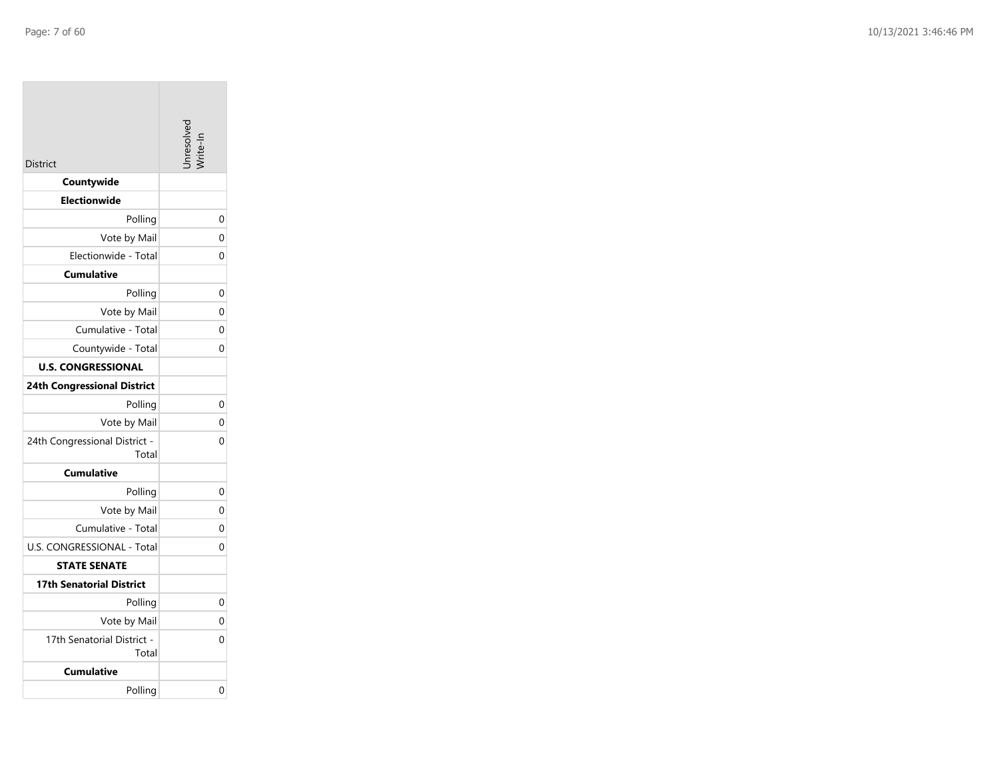| District                               | Inresolve |
|----------------------------------------|-----------|
| Countywide                             |           |
| <b>Electionwide</b>                    |           |
| Polling                                | 0         |
| Vote by Mail                           | 0         |
| Electionwide - Total                   | 0         |
| <b>Cumulative</b>                      |           |
| Polling                                | 0         |
| Vote by Mail                           | $\Omega$  |
| Cumulative - Total                     | 0         |
| Countywide - Total                     | 0         |
| <b>U.S. CONGRESSIONAL</b>              |           |
| <b>24th Congressional District</b>     |           |
| Polling                                | 0         |
| Vote by Mail                           | 0         |
| 24th Congressional District -<br>Total | 0         |
| <b>Cumulative</b>                      |           |
| Polling                                | 0         |
| Vote by Mail                           | 0         |
| Cumulative - Total                     | 0         |
| U.S. CONGRESSIONAL - Total             | 0         |
| <b>STATE SENATE</b>                    |           |
| 17th Senatorial District               |           |
| Polling                                | 0         |
| Vote by Mail                           | 0         |
| 17th Senatorial District -<br>Total    | 0         |
| <b>Cumulative</b>                      |           |
| Polling                                | 0         |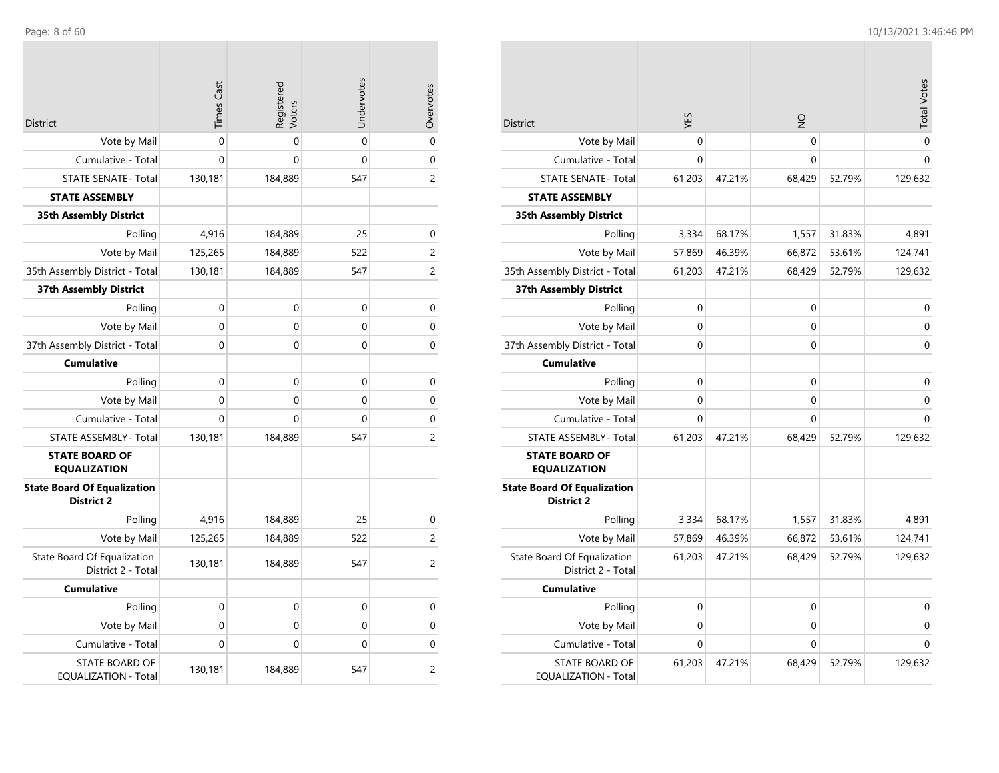$\mathcal{L}^{\text{max}}$ 

| <b>District</b>                                         | <b>Times Cast</b> | Registered<br>Voters | Undervotes  | Overvotes      |
|---------------------------------------------------------|-------------------|----------------------|-------------|----------------|
| Vote by Mail                                            | $\Omega$          | $\Omega$             | $\Omega$    | $\overline{0}$ |
| Cumulative - Total                                      | $\Omega$          | $\mathbf 0$          | $\mathbf 0$ | 0              |
| <b>STATE SENATE - Total</b>                             | 130,181           | 184,889              | 547         | $\overline{c}$ |
| <b>STATE ASSEMBLY</b>                                   |                   |                      |             |                |
| <b>35th Assembly District</b>                           |                   |                      |             |                |
| Polling                                                 | 4,916             | 184,889              | 25          | 0              |
| Vote by Mail                                            | 125,265           | 184,889              | 522         | 2              |
| 35th Assembly District - Total                          | 130,181           | 184,889              | 547         | 2              |
| 37th Assembly District                                  |                   |                      |             |                |
| Polling                                                 | $\mathbf 0$       | 0                    | 0           | 0              |
| Vote by Mail                                            | $\Omega$          | $\mathbf 0$          | $\mathbf 0$ | $\mathbf 0$    |
| 37th Assembly District - Total                          | 0                 | 0                    | 0           | 0              |
| <b>Cumulative</b>                                       |                   |                      |             |                |
| Polling                                                 | 0                 | $\mathbf 0$          | 0           | 0              |
| Vote by Mail                                            | $\Omega$          | 0                    | 0           | 0              |
| Cumulative - Total                                      | 0                 | 0                    | 0           | $\mathbf 0$    |
| STATE ASSEMBLY - Total                                  | 130,181           | 184,889              | 547         | 2              |
| <b>STATE BOARD OF</b><br><b>EQUALIZATION</b>            |                   |                      |             |                |
| <b>State Board Of Equalization</b><br><b>District 2</b> |                   |                      |             |                |
| Polling                                                 | 4,916             | 184,889              | 25          | 0              |
| Vote by Mail                                            | 125,265           | 184,889              | 522         | 2              |
| State Board Of Equalization<br>District 2 - Total       | 130,181           | 184,889              | 547         | $\overline{c}$ |
| <b>Cumulative</b>                                       |                   |                      |             |                |
| Polling                                                 | $\mathbf{0}$      | 0                    | 0           | 0              |
| Vote by Mail                                            | 0                 | 0                    | 0           | 0              |
| Cumulative - Total                                      | 0                 | 0                    | 0           | 0              |
| <b>STATE BOARD OF</b><br><b>EQUALIZATION - Total</b>    | 130,181           | 184,889              | 547         | $\overline{c}$ |

|                                                         | YES         |        | $\frac{1}{2}$ |        | <b>Total Votes</b> |
|---------------------------------------------------------|-------------|--------|---------------|--------|--------------------|
| <b>District</b>                                         | 0           |        | 0             |        | $\mathbf 0$        |
| Vote by Mail                                            | 0           |        | 0             |        | $\Omega$           |
| Cumulative - Total                                      |             | 47.21% |               |        |                    |
| <b>STATE SENATE - Total</b><br><b>STATE ASSEMBLY</b>    | 61,203      |        | 68,429        | 52.79% | 129,632            |
|                                                         |             |        |               |        |                    |
| <b>35th Assembly District</b>                           |             |        |               |        |                    |
| Polling                                                 | 3,334       | 68.17% | 1,557         | 31.83% | 4,891              |
| Vote by Mail                                            | 57,869      | 46.39% | 66,872        | 53.61% | 124,741            |
| 35th Assembly District - Total                          | 61,203      | 47.21% | 68,429        | 52.79% | 129,632            |
| <b>37th Assembly District</b>                           |             |        |               |        |                    |
| Polling                                                 | $\mathbf 0$ |        | 0             |        | $\mathbf 0$        |
| Vote by Mail                                            | $\mathbf 0$ |        | 0             |        | $\mathbf 0$        |
| 37th Assembly District - Total                          | 0           |        | 0             |        | $\mathbf 0$        |
| <b>Cumulative</b>                                       |             |        |               |        |                    |
| Polling                                                 | 0           |        | 0             |        | $\mathbf 0$        |
| Vote by Mail                                            | 0           |        | 0             |        | 0                  |
| Cumulative - Total                                      | 0           |        | 0             |        | 0                  |
| <b>STATE ASSEMBLY - Total</b>                           | 61,203      | 47.21% | 68,429        | 52.79% | 129,632            |
| <b>STATE BOARD OF</b><br><b>EQUALIZATION</b>            |             |        |               |        |                    |
| <b>State Board Of Equalization</b><br><b>District 2</b> |             |        |               |        |                    |
| Polling                                                 | 3,334       | 68.17% | 1,557         | 31.83% | 4,891              |
| Vote by Mail                                            | 57,869      | 46.39% | 66,872        | 53.61% | 124,741            |
| State Board Of Equalization<br>District 2 - Total       | 61,203      | 47.21% | 68,429        | 52.79% | 129,632            |
| <b>Cumulative</b>                                       |             |        |               |        |                    |
| Polling                                                 | $\mathbf 0$ |        | 0             |        | $\mathbf 0$        |
| Vote by Mail                                            | 0           |        | 0             |        | 0                  |
| Cumulative - Total                                      | 0           |        | 0             |        | $\Omega$           |
| <b>STATE BOARD OF</b><br><b>EQUALIZATION - Total</b>    | 61,203      | 47.21% | 68,429        | 52.79% | 129,632            |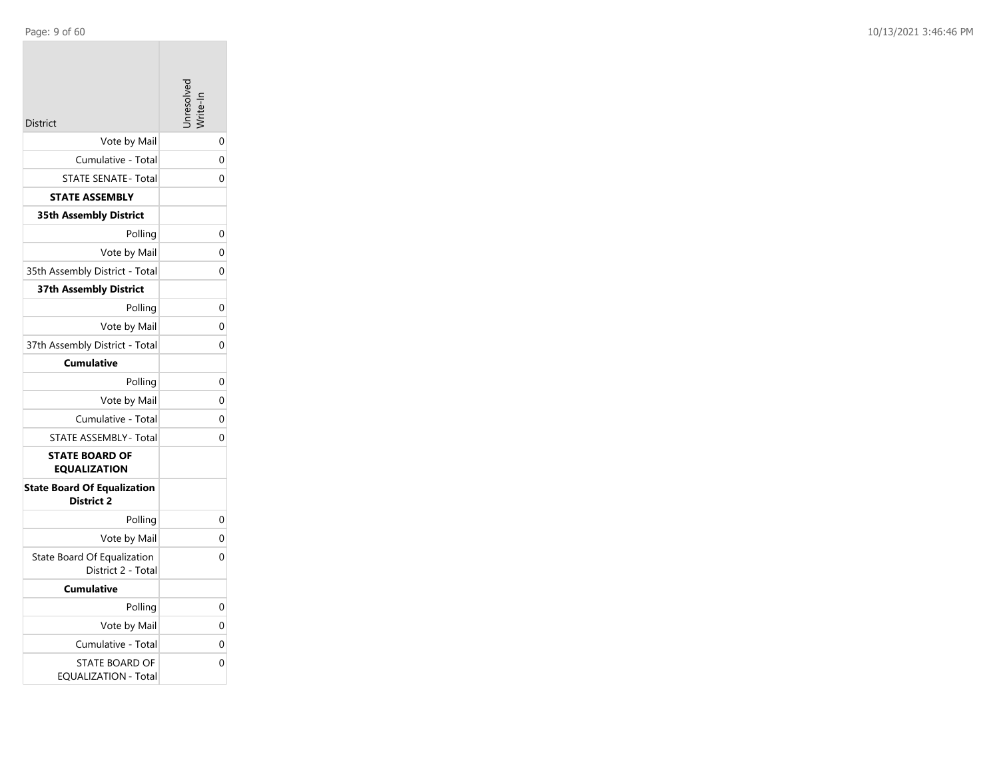|                                                         | avlossir |
|---------------------------------------------------------|----------|
| <b>District</b>                                         |          |
| Vote by Mail                                            | 0        |
| Cumulative - Total                                      | 0        |
| <b>STATE SENATE - Total</b>                             | 0        |
| <b>STATE ASSEMBLY</b>                                   |          |
| 35th Assembly District                                  |          |
| Polling                                                 | 0        |
| Vote by Mail                                            | 0        |
| 35th Assembly District - Total                          | 0        |
| <b>37th Assembly District</b>                           |          |
| Polling                                                 | 0        |
| Vote by Mail                                            | 0        |
| 37th Assembly District - Total                          | 0        |
| <b>Cumulative</b>                                       |          |
| Polling                                                 | 0        |
| Vote by Mail                                            | 0        |
| Cumulative - Total                                      | 0        |
| STATE ASSEMBLY - Total                                  | 0        |
| <b>STATE BOARD OF</b><br><b>EQUALIZATION</b>            |          |
| <b>State Board Of Equalization</b><br><b>District 2</b> |          |
| Polling                                                 | 0        |
| Vote by Mail                                            | 0        |
| State Board Of Equalization<br>District 2 - Total       | 0        |
| <b>Cumulative</b>                                       |          |
| Polling                                                 | 0        |
| Vote by Mail                                            | 0        |
| Cumulative - Total                                      | 0        |
| <b>STATE BOARD OF</b><br>EQUALIZATION - Total           | 0        |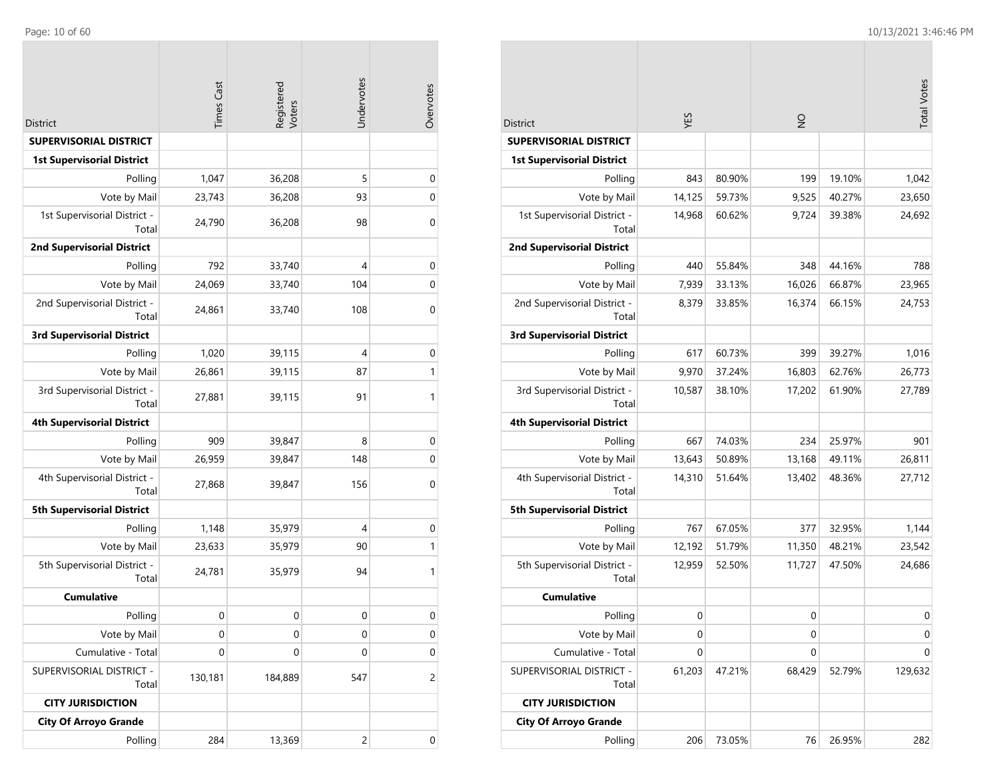|                                       | <b>Times Cast</b> | Registered<br>Voters | Undervotes | Overvotes   |
|---------------------------------------|-------------------|----------------------|------------|-------------|
| District                              |                   |                      |            |             |
| SUPERVISORIAL DISTRICT                |                   |                      |            |             |
| <b>1st Supervisorial District</b>     |                   |                      |            |             |
| Polling                               | 1,047             | 36,208               | 5          | $\pmb{0}$   |
| Vote by Mail                          | 23,743            | 36,208               | 93         | 0           |
| 1st Supervisorial District -<br>Total | 24,790            | 36,208               | 98         | 0           |
| <b>2nd Supervisorial District</b>     |                   |                      |            |             |
| Polling                               | 792               | 33,740               | 4          | $\pmb{0}$   |
| Vote by Mail                          | 24,069            | 33,740               | 104        | $\pmb{0}$   |
| 2nd Supervisorial District -<br>Total | 24,861            | 33,740               | 108        | $\mathbf 0$ |
| <b>3rd Supervisorial District</b>     |                   |                      |            |             |
| Polling                               | 1,020             | 39,115               | 4          | $\mathbf 0$ |
| Vote by Mail                          | 26,861            | 39,115               | 87         | 1           |
| 3rd Supervisorial District -<br>Total | 27,881            | 39,115               | 91         | 1           |
| <b>4th Supervisorial District</b>     |                   |                      |            |             |
| Polling                               | 909               | 39,847               | 8          | $\mathbf 0$ |
| Vote by Mail                          | 26,959            | 39,847               | 148        | $\pmb{0}$   |
| 4th Supervisorial District -<br>Total | 27,868            | 39,847               | 156        | 0           |
| <b>5th Supervisorial District</b>     |                   |                      |            |             |
| Polling                               | 1,148             | 35,979               | 4          | 0           |
| Vote by Mail                          | 23,633            | 35,979               | 90         | 1           |
| 5th Supervisorial District -<br>Total | 24,781            | 35,979               | 94         | 1           |
| <b>Cumulative</b>                     |                   |                      |            |             |
| Polling                               | 0                 | $\mathbf 0$          | 0          | $\mathbf 0$ |
| Vote by Mail                          | 0                 | 0                    | 0          | 0           |
| Cumulative - Total                    | $\mathbf 0$       | 0                    | 0          | 0           |
| SUPERVISORIAL DISTRICT -<br>Total     | 130,181           | 184,889              | 547        | 2           |
| <b>CITY JURISDICTION</b>              |                   |                      |            |             |
| <b>City Of Arroyo Grande</b>          |                   |                      |            |             |
| Polling                               | 284               | 13,369               | 2          | 0           |

|                                       |                  |                  |               |        | <b>Total Votes</b> |
|---------------------------------------|------------------|------------------|---------------|--------|--------------------|
|                                       |                  |                  |               |        |                    |
| <b>District</b>                       | YES              |                  | $\frac{0}{2}$ |        |                    |
| <b>SUPERVISORIAL DISTRICT</b>         |                  |                  |               |        |                    |
| <b>1st Supervisorial District</b>     |                  |                  |               | 19.10% |                    |
| Polling                               | 843              | 80.90%<br>59.73% | 199<br>9,525  | 40.27% | 1,042              |
| Vote by Mail                          | 14,125<br>14,968 | 60.62%           |               | 39.38% | 23,650<br>24,692   |
| 1st Supervisorial District -<br>Total |                  |                  | 9,724         |        |                    |
| <b>2nd Supervisorial District</b>     |                  |                  |               |        |                    |
| Polling                               | 440              | 55.84%           | 348           | 44.16% | 788                |
| Vote by Mail                          | 7,939            | 33.13%           | 16,026        | 66.87% | 23,965             |
| 2nd Supervisorial District -<br>Total | 8,379            | 33.85%           | 16,374        | 66.15% | 24,753             |
| <b>3rd Supervisorial District</b>     |                  |                  |               |        |                    |
| Polling                               | 617              | 60.73%           | 399           | 39.27% | 1,016              |
| Vote by Mail                          | 9,970            | 37.24%           | 16,803        | 62.76% | 26,773             |
| 3rd Supervisorial District -<br>Total | 10,587           | 38.10%           | 17,202        | 61.90% | 27,789             |
| <b>4th Supervisorial District</b>     |                  |                  |               |        |                    |
| Polling                               | 667              | 74.03%           | 234           | 25.97% | 901                |
| Vote by Mail                          | 13,643           | 50.89%           | 13,168        | 49.11% | 26,811             |
| 4th Supervisorial District -<br>Total | 14,310           | 51.64%           | 13,402        | 48.36% | 27,712             |
| <b>5th Supervisorial District</b>     |                  |                  |               |        |                    |
| Polling                               | 767              | 67.05%           | 377           | 32.95% | 1,144              |
| Vote by Mail                          | 12,192           | 51.79%           | 11,350        | 48.21% | 23,542             |
| 5th Supervisorial District -<br>Total | 12,959           | 52.50%           | 11,727        | 47.50% | 24,686             |
| <b>Cumulative</b>                     |                  |                  |               |        |                    |
| Polling                               | 0                |                  | 0             |        | 0                  |
| Vote by Mail                          | 0                |                  | 0             |        | 0                  |
| Cumulative - Total                    | 0                |                  | 0             |        | 0                  |
| SUPERVISORIAL DISTRICT -<br>Total     | 61,203           | 47.21%           | 68,429        | 52.79% | 129,632            |
| <b>CITY JURISDICTION</b>              |                  |                  |               |        |                    |
| <b>City Of Arroyo Grande</b>          |                  |                  |               |        |                    |
| Polling                               | 206              | 73.05%           | 76            | 26.95% | 282                |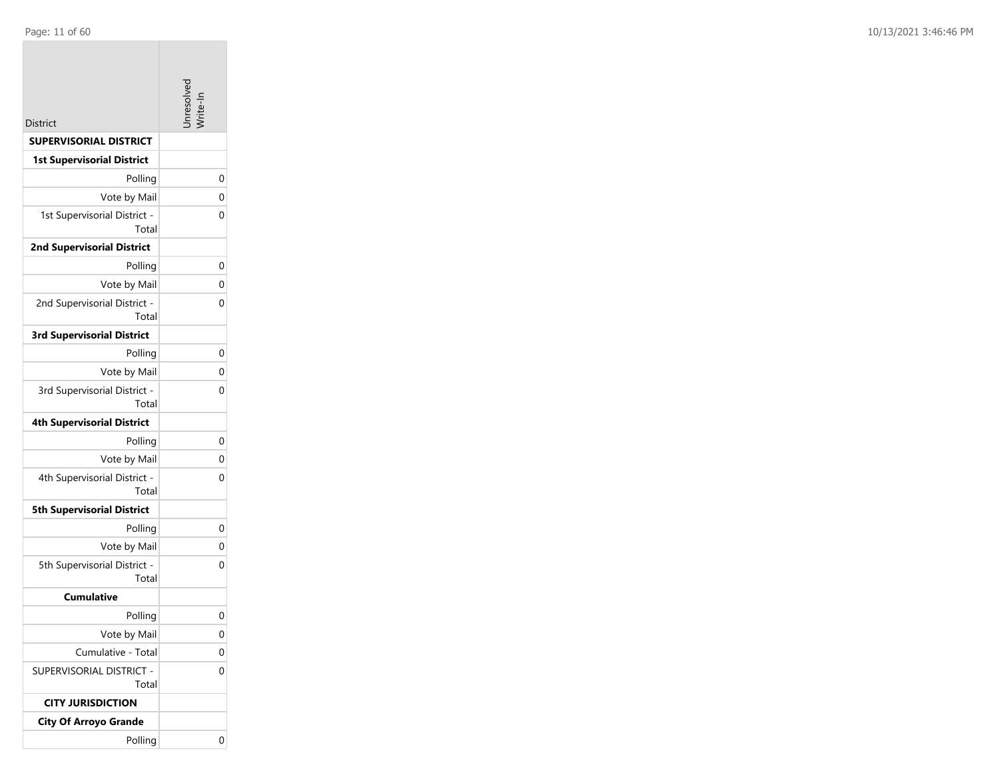|                                       | nresolve |
|---------------------------------------|----------|
| <b>District</b>                       |          |
| <b>SUPERVISORIAL DISTRICT</b>         |          |
| <b>1st Supervisorial District</b>     |          |
| Polling                               | 0        |
| Vote by Mail                          | 0        |
| 1st Supervisorial District -<br>Total | 0        |
| <b>2nd Supervisorial District</b>     |          |
| Polling                               | 0        |
| Vote by Mail                          | 0        |
| 2nd Supervisorial District -<br>Total | 0        |
| <b>3rd Supervisorial District</b>     |          |
| Polling                               | 0        |
| Vote by Mail                          | 0        |
| 3rd Supervisorial District -<br>Total | 0        |
| <b>4th Supervisorial District</b>     |          |
| Polling                               | 0        |
| Vote by Mail                          | 0        |
| 4th Supervisorial District -<br>Total | 0        |
| <b>5th Supervisorial District</b>     |          |
| Polling                               | 0        |
| Vote by Mail                          | 0        |
| 5th Supervisorial District -<br>Total | 0        |
| <b>Cumulative</b>                     |          |
| Polling                               | 0        |
| Vote by Mail                          | 0        |
| Cumulative - Total                    | 0        |
| SUPERVISORIAL DISTRICT -<br>Total     | 0        |
| <b>CITY JURISDICTION</b>              |          |
| <b>City Of Arroyo Grande</b>          |          |
| Polling                               | 0        |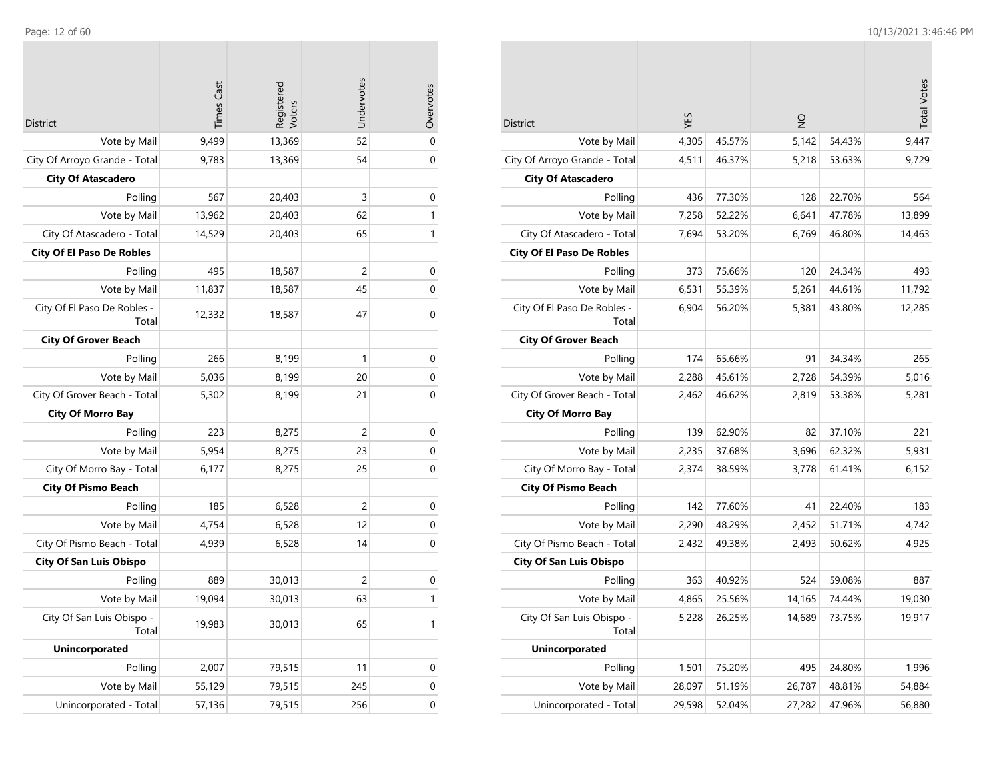| <b>District</b>                      | <b>Times Cast</b> | Registered<br>Voters | Undervotes | Overvotes        |
|--------------------------------------|-------------------|----------------------|------------|------------------|
| Vote by Mail                         | 9,499             | 13,369               | 52         | $\mathbf 0$      |
| City Of Arroyo Grande - Total        | 9,783             | 13,369               | 54         | $\mathbf 0$      |
| <b>City Of Atascadero</b>            |                   |                      |            |                  |
| Polling                              | 567               | 20,403               | 3          | $\mathbf 0$      |
| Vote by Mail                         | 13,962            | 20,403               | 62         | 1                |
| City Of Atascadero - Total           | 14,529            | 20,403               | 65         | 1                |
| <b>City Of El Paso De Robles</b>     |                   |                      |            |                  |
| Polling                              | 495               | 18,587               | 2          | $\mathbf 0$      |
| Vote by Mail                         | 11,837            | 18,587               | 45         | $\mathbf 0$      |
| City Of El Paso De Robles -<br>Total | 12,332            | 18,587               | 47         | 0                |
| <b>City Of Grover Beach</b>          |                   |                      |            |                  |
| Polling                              | 266               | 8,199                | 1          | $\boldsymbol{0}$ |
| Vote by Mail                         | 5,036             | 8,199                | 20         | $\mathbf 0$      |
| City Of Grover Beach - Total         | 5,302             | 8,199                | 21         | 0                |
| <b>City Of Morro Bay</b>             |                   |                      |            |                  |
| Polling                              | 223               | 8,275                | 2          | $\boldsymbol{0}$ |
| Vote by Mail                         | 5,954             | 8,275                | 23         | $\mathbf 0$      |
| City Of Morro Bay - Total            | 6,177             | 8,275                | 25         | $\mathbf 0$      |
| <b>City Of Pismo Beach</b>           |                   |                      |            |                  |
| Polling                              | 185               | 6,528                | 2          | $\mathbf 0$      |
| Vote by Mail                         | 4,754             | 6,528                | 12         | $\mathbf 0$      |
| City Of Pismo Beach - Total          | 4,939             | 6,528                | 14         | 0                |
| <b>City Of San Luis Obispo</b>       |                   |                      |            |                  |
| Polling                              | 889               | 30,013               | 2          | $\mathbf 0$      |
| Vote by Mail                         | 19,094            | 30,013               | 63         | 1                |
| City Of San Luis Obispo -<br>Total   | 19,983            | 30,013               | 65         | $\mathbf{1}$     |
| <b>Unincorporated</b>                |                   |                      |            |                  |
| Polling                              | 2,007             | 79,515               | 11         | $\boldsymbol{0}$ |
| Vote by Mail                         | 55,129            | 79,515               | 245        | $\mathbf 0$      |
| Unincorporated - Total               | 57,136            | 79,515               | 256        | $\boldsymbol{0}$ |

|                                      |        |        |               |        | <b>Total Votes</b> |
|--------------------------------------|--------|--------|---------------|--------|--------------------|
| District                             | YES    |        | $\frac{0}{2}$ |        |                    |
| Vote by Mail                         | 4,305  | 45.57% | 5,142         | 54.43% | 9,447              |
| City Of Arroyo Grande - Total        | 4,511  | 46.37% | 5,218         | 53.63% | 9,729              |
| <b>City Of Atascadero</b>            |        |        |               |        |                    |
| Polling                              | 436    | 77.30% | 128           | 22.70% | 564                |
| Vote by Mail                         | 7,258  | 52.22% | 6,641         | 47.78% | 13,899             |
| City Of Atascadero - Total           | 7,694  | 53.20% | 6,769         | 46.80% | 14,463             |
| <b>City Of El Paso De Robles</b>     |        |        |               |        |                    |
| Polling                              | 373    | 75.66% | 120           | 24.34% | 493                |
| Vote by Mail                         | 6,531  | 55.39% | 5,261         | 44.61% | 11,792             |
| City Of El Paso De Robles -<br>Total | 6,904  | 56.20% | 5,381         | 43.80% | 12,285             |
| <b>City Of Grover Beach</b>          |        |        |               |        |                    |
| Polling                              | 174    | 65.66% | 91            | 34.34% | 265                |
| Vote by Mail                         | 2,288  | 45.61% | 2,728         | 54.39% | 5.016              |
| City Of Grover Beach - Total         | 2,462  | 46.62% | 2,819         | 53.38% | 5,281              |
| <b>City Of Morro Bay</b>             |        |        |               |        |                    |
| Polling                              | 139    | 62.90% | 82            | 37.10% | 221                |
| Vote by Mail                         | 2,235  | 37.68% | 3,696         | 62.32% | 5,931              |
| City Of Morro Bay - Total            | 2,374  | 38.59% | 3,778         | 61.41% | 6,152              |
| <b>City Of Pismo Beach</b>           |        |        |               |        |                    |
| Polling                              | 142    | 77.60% | 41            | 22.40% | 183                |
| Vote by Mail                         | 2,290  | 48.29% | 2,452         | 51.71% | 4,742              |
| City Of Pismo Beach - Total          | 2,432  | 49.38% | 2,493         | 50.62% | 4,925              |
| <b>City Of San Luis Obispo</b>       |        |        |               |        |                    |
| Polling                              | 363    | 40.92% | 524           | 59.08% | 887                |
| Vote by Mail                         | 4,865  | 25.56% | 14,165        | 74.44% | 19,030             |
| City Of San Luis Obispo -<br>Total   | 5,228  | 26.25% | 14,689        | 73.75% | 19,917             |
| <b>Unincorporated</b>                |        |        |               |        |                    |
| Polling                              | 1,501  | 75.20% | 495           | 24.80% | 1,996              |
| Vote by Mail                         | 28,097 | 51.19% | 26,787        | 48.81% | 54,884             |
| Unincorporated - Total               | 29,598 | 52.04% | 27,282        | 47.96% | 56,880             |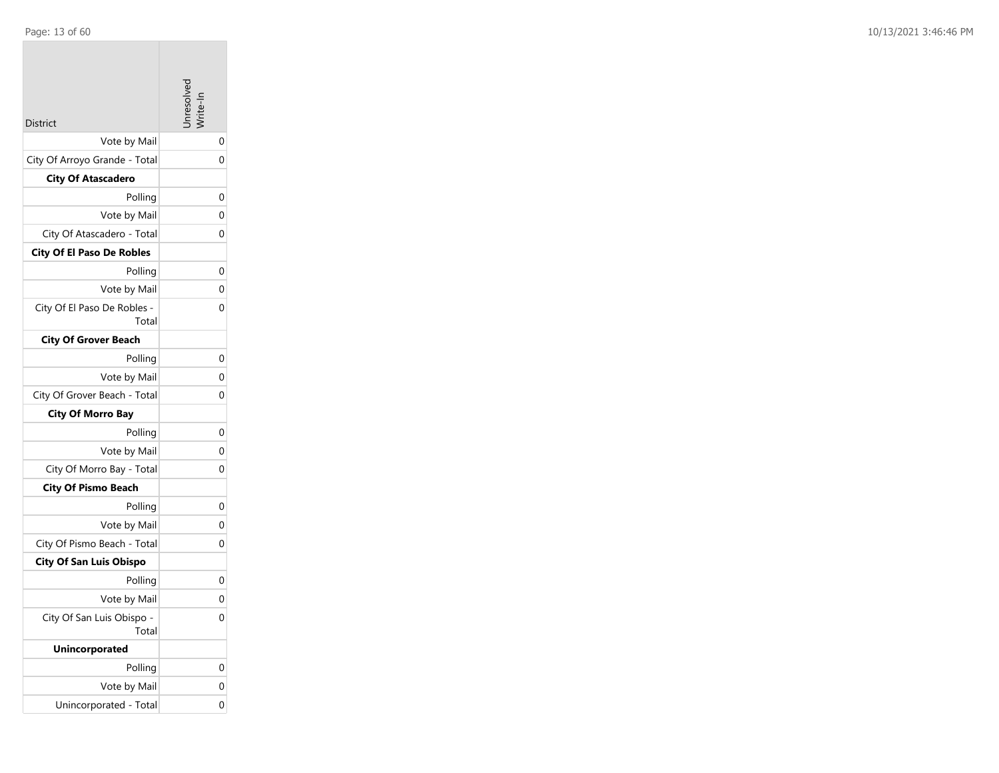| Page: 13 of 60 |  |  |  |
|----------------|--|--|--|
|                |  |  |  |

| <b>District</b>                      | nresolve |
|--------------------------------------|----------|
| Vote by Mail                         | 0        |
| City Of Arroyo Grande - Total        | 0        |
| <b>City Of Atascadero</b>            |          |
| Polling                              | 0        |
| Vote by Mail                         | 0        |
| City Of Atascadero - Total           | 0        |
| <b>City Of El Paso De Robles</b>     |          |
| Polling                              | 0        |
| Vote by Mail                         | 0        |
| City Of El Paso De Robles -<br>Total | 0        |
| <b>City Of Grover Beach</b>          |          |
| Polling                              | 0        |
| Vote by Mail                         | 0        |
| City Of Grover Beach - Total         | 0        |
| <b>City Of Morro Bay</b>             |          |
| Polling                              | 0        |
| Vote by Mail                         | 0        |
| City Of Morro Bay - Total            | 0        |
| <b>City Of Pismo Beach</b>           |          |
| Polling                              | 0        |
| Vote by Mail                         | 0        |
| City Of Pismo Beach - Total          | 0        |
| <b>City Of San Luis Obispo</b>       |          |
| Polling                              | 0        |
| Vote by Mail                         | 0        |
| City Of San Luis Obispo -<br>Total   | 0        |
| <b>Unincorporated</b>                |          |
| Polling                              | 0        |
| Vote by Mail                         | 0        |
| Unincorporated - Total               | 0        |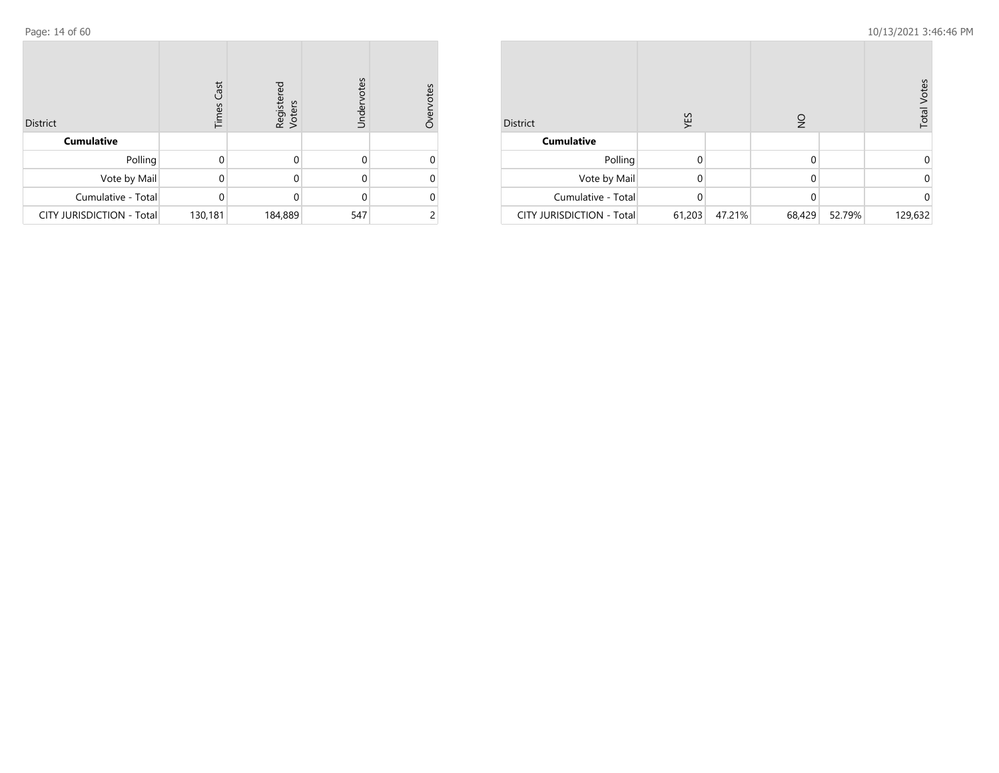| <b>District</b>                  | <b>Times Cast</b> | Registered<br>Voters | Undervotes | vervotes |
|----------------------------------|-------------------|----------------------|------------|----------|
| <b>Cumulative</b>                |                   |                      |            |          |
| Polling                          | 0                 | ი                    | 0          |          |
| Vote by Mail                     | Ω                 | Ω                    | 0          |          |
| Cumulative - Total               | $\Omega$          | 0                    | 0          |          |
| <b>CITY JURISDICTION - Total</b> | 130,181           | 184,889              | 547        |          |

| <b>District</b>           | YES      |        | ş      | <b>Total Votes</b> |         |  |
|---------------------------|----------|--------|--------|--------------------|---------|--|
| <b>Cumulative</b>         |          |        |        |                    |         |  |
| Polling                   | $\Omega$ |        | 0      |                    |         |  |
| Vote by Mail              | 0        |        | 0      |                    |         |  |
| Cumulative - Total        | 0        |        | 0      |                    |         |  |
| CITY JURISDICTION - Total | 61,203   | 47.21% | 68,429 | 52.79%             | 129,632 |  |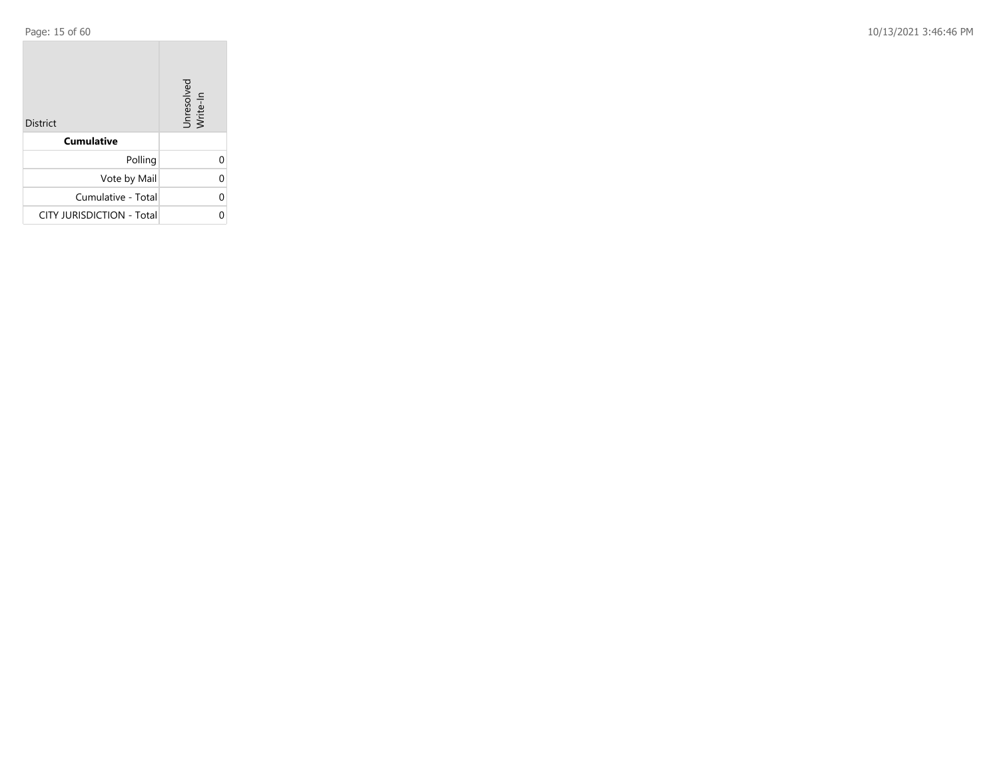Page: 15 of 60 10/13/2021 3:46:46 PM

| <b>District</b>           | Unresolved<br>Write-In |
|---------------------------|------------------------|
| <b>Cumulative</b>         |                        |
| Polling                   |                        |
| Vote by Mail              | ი                      |
| Cumulative - Total        | U                      |
| CITY JURISDICTION - Total |                        |

the control of the control of the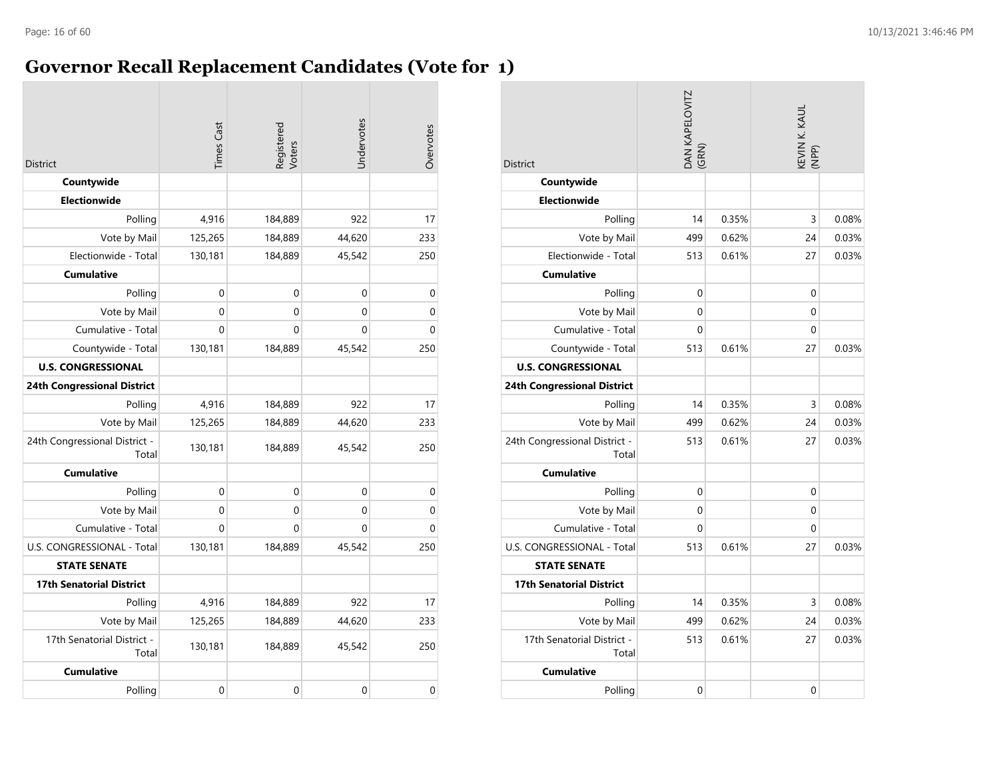## **Governor Recall Replacement Candidates (Vote for 1)**

| <b>District</b>                        | <b>Times Cast</b> | Registered<br>Voters | Undervotes | Overvotes   |
|----------------------------------------|-------------------|----------------------|------------|-------------|
| Countywide                             |                   |                      |            |             |
| <b>Electionwide</b>                    |                   |                      |            |             |
| Polling                                | 4,916             | 184,889              | 922        | 17          |
| Vote by Mail                           | 125,265           | 184,889              | 44,620     | 233         |
| Electionwide - Total                   | 130,181           | 184,889              | 45,542     | 250         |
| <b>Cumulative</b>                      |                   |                      |            |             |
| Polling                                | 0                 | 0                    | 0          | $\mathbf 0$ |
| Vote by Mail                           | 0                 | 0                    | 0          | 0           |
| Cumulative - Total                     | $\Omega$          | 0                    | 0          | $\Omega$    |
| Countywide - Total                     | 130,181           | 184,889              | 45,542     | 250         |
| <b>U.S. CONGRESSIONAL</b>              |                   |                      |            |             |
| <b>24th Congressional District</b>     |                   |                      |            |             |
| Polling                                | 4,916             | 184,889              | 922        | 17          |
| Vote by Mail                           | 125,265           | 184,889              | 44,620     | 233         |
| 24th Congressional District -<br>Total | 130,181           | 184,889              | 45,542     | 250         |
| <b>Cumulative</b>                      |                   |                      |            |             |
| Polling                                | 0                 | 0                    | 0          | 0           |
| Vote by Mail                           | 0                 | 0                    | 0          | 0           |
| Cumulative - Total                     | $\Omega$          | $\Omega$             | 0          | 0           |
| U.S. CONGRESSIONAL - Total             | 130,181           | 184,889              | 45,542     | 250         |
| <b>STATE SENATE</b>                    |                   |                      |            |             |
| <b>17th Senatorial District</b>        |                   |                      |            |             |
| Polling                                | 4,916             | 184,889              | 922        | 17          |
| Vote by Mail                           | 125,265           | 184,889              | 44,620     | 233         |
| 17th Senatorial District -<br>Total    | 130,181           | 184,889              | 45,542     | 250         |
| <b>Cumulative</b>                      |                   |                      |            |             |
| Polling                                | 0                 | 0                    | 0          | 0           |

| <b>District</b>                        | DAN KAPELOVITZ<br>(GRN) |       | KEVIN K. KAUL<br>(NPP) |       |  |
|----------------------------------------|-------------------------|-------|------------------------|-------|--|
| Countywide                             |                         |       |                        |       |  |
| <b>Electionwide</b>                    |                         |       |                        |       |  |
| Polling                                | 14                      | 0.35% | 3                      | 0.08% |  |
| Vote by Mail                           | 499                     | 0.62% | 24                     | 0.03% |  |
| Electionwide - Total                   | 513                     | 0.61% | 27                     | 0.03% |  |
| <b>Cumulative</b>                      |                         |       |                        |       |  |
| Polling                                | 0                       |       | 0                      |       |  |
| Vote by Mail                           | $\Omega$                |       | $\Omega$               |       |  |
| Cumulative - Total                     | $\Omega$                |       | 0                      |       |  |
| Countywide - Total                     | 513                     | 0.61% | 27                     | 0.03% |  |
| <b>U.S. CONGRESSIONAL</b>              |                         |       |                        |       |  |
| <b>24th Congressional District</b>     |                         |       |                        |       |  |
| Polling                                | 14                      | 0.35% | 3                      | 0.08% |  |
| Vote by Mail                           | 499                     | 0.62% | 24                     | 0.03% |  |
| 24th Congressional District -<br>Total | 513                     | 0.61% | 27                     | 0.03% |  |
| <b>Cumulative</b>                      |                         |       |                        |       |  |
| Polling                                | $\mathbf 0$             |       | 0                      |       |  |
| Vote by Mail                           | 0                       |       | 0                      |       |  |
| Cumulative - Total                     | 0                       |       | 0                      |       |  |
| U.S. CONGRESSIONAL - Total             | 513                     | 0.61% | 27                     | 0.03% |  |
| <b>STATE SENATE</b>                    |                         |       |                        |       |  |
| <b>17th Senatorial District</b>        |                         |       |                        |       |  |
| Polling                                | 14                      | 0.35% | 3                      | 0.08% |  |
| Vote by Mail                           | 499                     | 0.62% | 24                     | 0.03% |  |
| 17th Senatorial District -<br>Total    | 513                     | 0.61% | 27                     | 0.03% |  |
| <b>Cumulative</b>                      |                         |       |                        |       |  |
| Polling                                | $\Omega$                |       | 0                      |       |  |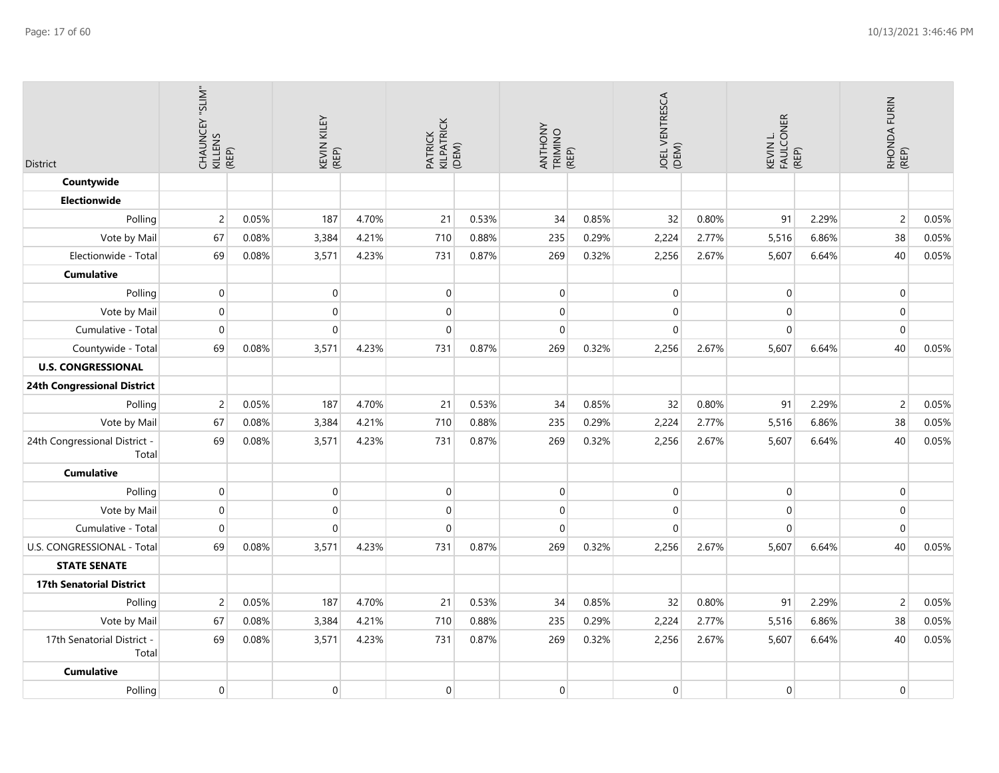| District                               | CHAUNCEY "SLIM"<br>KILLENS<br>CHAUNCEY "SLIM" |       | KEVIN KILEY<br>(REP) |       | PATRICK<br>KILPATRICK<br>(DEM) |       | ANTHONY<br>TRIMINO<br>(REP) |       | JOEL VENTRESCA<br>(DEM) |       | KEVIN L.<br>FAULCONER<br>(REP) |       | RHONDA FURIN<br>(REP) |       |
|----------------------------------------|-----------------------------------------------|-------|----------------------|-------|--------------------------------|-------|-----------------------------|-------|-------------------------|-------|--------------------------------|-------|-----------------------|-------|
| Countywide                             |                                               |       |                      |       |                                |       |                             |       |                         |       |                                |       |                       |       |
| <b>Electionwide</b>                    |                                               |       |                      |       |                                |       |                             |       |                         |       |                                |       |                       |       |
| Polling                                | $\overline{c}$                                | 0.05% | 187                  | 4.70% | 21                             | 0.53% | 34                          | 0.85% | 32                      | 0.80% | 91                             | 2.29% | $\overline{c}$        | 0.05% |
| Vote by Mail                           | 67                                            | 0.08% | 3,384                | 4.21% | 710                            | 0.88% | 235                         | 0.29% | 2,224                   | 2.77% | 5,516                          | 6.86% | 38                    | 0.05% |
| Electionwide - Total                   | 69                                            | 0.08% | 3,571                | 4.23% | 731                            | 0.87% | 269                         | 0.32% | 2,256                   | 2.67% | 5,607                          | 6.64% | 40                    | 0.05% |
| <b>Cumulative</b>                      |                                               |       |                      |       |                                |       |                             |       |                         |       |                                |       |                       |       |
| Polling                                | $\overline{0}$                                |       | $\mathbf 0$          |       | $\boldsymbol{0}$               |       | $\boldsymbol{0}$            |       | $\mathbf 0$             |       | $\mathbf 0$                    |       | $\pmb{0}$             |       |
| Vote by Mail                           | $\boldsymbol{0}$                              |       | $\mathbf 0$          |       | $\pmb{0}$                      |       | 0                           |       | $\mathbf{0}$            |       | 0                              |       | $\mathbf 0$           |       |
| Cumulative - Total                     | $\overline{0}$                                |       | $\mathbf 0$          |       | $\mathbf 0$                    |       | 0                           |       | $\mathbf 0$             |       | $\mathbf 0$                    |       | $\mathbf 0$           |       |
| Countywide - Total                     | 69                                            | 0.08% | 3,571                | 4.23% | 731                            | 0.87% | 269                         | 0.32% | 2,256                   | 2.67% | 5,607                          | 6.64% | 40                    | 0.05% |
| <b>U.S. CONGRESSIONAL</b>              |                                               |       |                      |       |                                |       |                             |       |                         |       |                                |       |                       |       |
| 24th Congressional District            |                                               |       |                      |       |                                |       |                             |       |                         |       |                                |       |                       |       |
| Polling                                | $\overline{c}$                                | 0.05% | 187                  | 4.70% | 21                             | 0.53% | 34                          | 0.85% | 32                      | 0.80% | 91                             | 2.29% | $\overline{c}$        | 0.05% |
| Vote by Mail                           | 67                                            | 0.08% | 3,384                | 4.21% | 710                            | 0.88% | 235                         | 0.29% | 2,224                   | 2.77% | 5,516                          | 6.86% | 38                    | 0.05% |
| 24th Congressional District -<br>Total | 69                                            | 0.08% | 3,571                | 4.23% | 731                            | 0.87% | 269                         | 0.32% | 2,256                   | 2.67% | 5,607                          | 6.64% | 40                    | 0.05% |
| <b>Cumulative</b>                      |                                               |       |                      |       |                                |       |                             |       |                         |       |                                |       |                       |       |
| Polling                                | $\boldsymbol{0}$                              |       | $\boldsymbol{0}$     |       | $\mbox{O}$                     |       | $\boldsymbol{0}$            |       | $\mathbf 0$             |       | 0                              |       | $\pmb{0}$             |       |
| Vote by Mail                           | $\overline{0}$                                |       | $\mathbf 0$          |       | $\mathbf 0$                    |       | 0                           |       | $\mathbf{0}$            |       | 0                              |       | $\mathbf 0$           |       |
| Cumulative - Total                     | $\overline{0}$                                |       | $\Omega$             |       | $\pmb{0}$                      |       | 0                           |       | $\boldsymbol{0}$        |       | $\mathbf 0$                    |       | $\pmb{0}$             |       |
| U.S. CONGRESSIONAL - Total             | 69                                            | 0.08% | 3,571                | 4.23% | 731                            | 0.87% | 269                         | 0.32% | 2,256                   | 2.67% | 5,607                          | 6.64% | 40                    | 0.05% |
| <b>STATE SENATE</b>                    |                                               |       |                      |       |                                |       |                             |       |                         |       |                                |       |                       |       |
| <b>17th Senatorial District</b>        |                                               |       |                      |       |                                |       |                             |       |                         |       |                                |       |                       |       |
| Polling                                | $\overline{2}$                                | 0.05% | 187                  | 4.70% | 21                             | 0.53% | 34                          | 0.85% | 32                      | 0.80% | 91                             | 2.29% | $\overline{c}$        | 0.05% |
| Vote by Mail                           | 67                                            | 0.08% | 3,384                | 4.21% | 710                            | 0.88% | 235                         | 0.29% | 2,224                   | 2.77% | 5,516                          | 6.86% | 38                    | 0.05% |
| 17th Senatorial District -<br>Total    | 69                                            | 0.08% | 3,571                | 4.23% | 731                            | 0.87% | 269                         | 0.32% | 2,256                   | 2.67% | 5,607                          | 6.64% | 40                    | 0.05% |
| <b>Cumulative</b>                      |                                               |       |                      |       |                                |       |                             |       |                         |       |                                |       |                       |       |
| Polling                                | $\mathbf 0$                                   |       | $\mathbf 0$          |       | $\boldsymbol{0}$               |       | 0                           |       | $\mathbf{0}$            |       | 0                              |       | $\pmb{0}$             |       |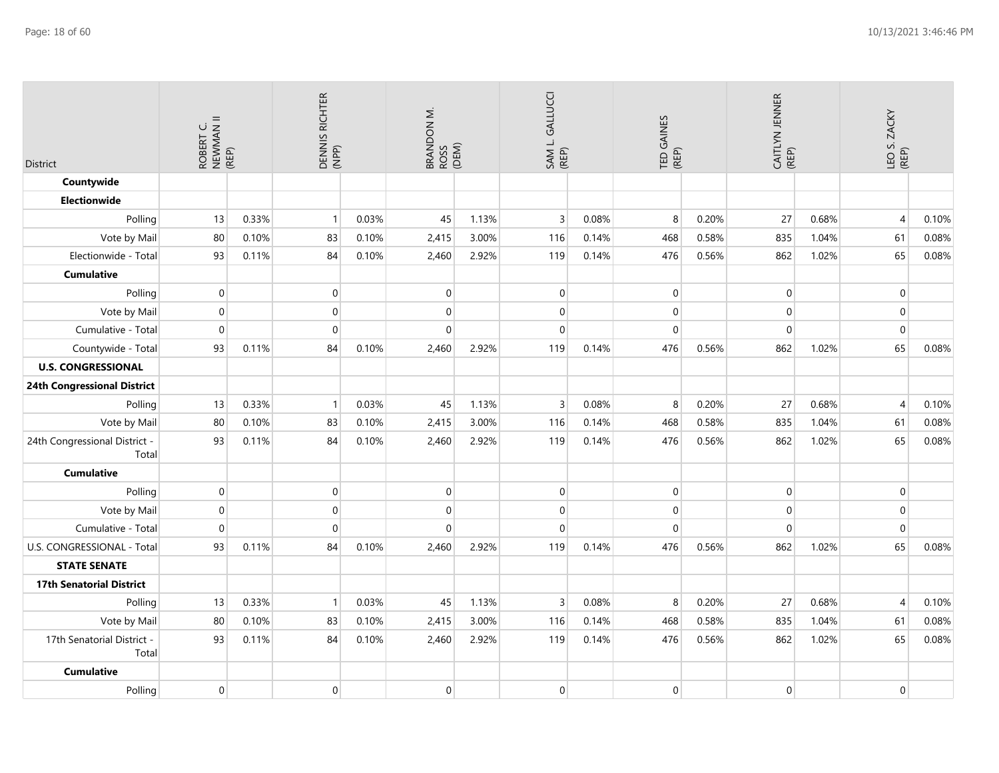| <b>District</b>                        | ROBERT C.<br>NEWMAN II<br>(REP) |       | Dennis Richter<br>(NPP) |       | BRANDON M.<br>ROSS<br>(DEM) |       | SAM L. GALLUCCI<br>(REP) |       | TED GAINES<br>(REP) |       | CAITLYN JENNER<br>(REP) |       | LEO S. ZACKY<br>(REP) |       |
|----------------------------------------|---------------------------------|-------|-------------------------|-------|-----------------------------|-------|--------------------------|-------|---------------------|-------|-------------------------|-------|-----------------------|-------|
| Countywide                             |                                 |       |                         |       |                             |       |                          |       |                     |       |                         |       |                       |       |
| Electionwide                           |                                 |       |                         |       |                             |       |                          |       |                     |       |                         |       |                       |       |
| Polling                                | 13                              | 0.33% | $\mathbf{1}$            | 0.03% | 45                          | 1.13% | $\overline{3}$           | 0.08% | 8                   | 0.20% | 27                      | 0.68% | $\overline{4}$        | 0.10% |
| Vote by Mail                           | 80                              | 0.10% | 83                      | 0.10% | 2,415                       | 3.00% | 116                      | 0.14% | 468                 | 0.58% | 835                     | 1.04% | 61                    | 0.08% |
| Electionwide - Total                   | 93                              | 0.11% | 84                      | 0.10% | 2,460                       | 2.92% | 119                      | 0.14% | 476                 | 0.56% | 862                     | 1.02% | 65                    | 0.08% |
| <b>Cumulative</b>                      |                                 |       |                         |       |                             |       |                          |       |                     |       |                         |       |                       |       |
| Polling                                | $\mathbf{0}$                    |       | $\overline{0}$          |       | 0                           |       | $\pmb{0}$                |       | $\mathbf 0$         |       | $\mathbf 0$             |       | $\overline{0}$        |       |
| Vote by Mail                           | $\overline{0}$                  |       | 0                       |       | 0                           |       | $\boldsymbol{0}$         |       | $\mathbf 0$         |       | 0                       |       | $\overline{0}$        |       |
| Cumulative - Total                     | $\mathbf{0}$                    |       | $\mathsf{O}\xspace$     |       | $\mathbf{0}$                |       | $\pmb{0}$                |       | $\pmb{0}$           |       | $\mathbf 0$             |       | $\overline{0}$        |       |
| Countywide - Total                     | 93                              | 0.11% | 84                      | 0.10% | 2,460                       | 2.92% | 119                      | 0.14% | 476                 | 0.56% | 862                     | 1.02% | 65                    | 0.08% |
| <b>U.S. CONGRESSIONAL</b>              |                                 |       |                         |       |                             |       |                          |       |                     |       |                         |       |                       |       |
| 24th Congressional District            |                                 |       |                         |       |                             |       |                          |       |                     |       |                         |       |                       |       |
| Polling                                | 13                              | 0.33% | $\mathbf{1}$            | 0.03% | 45                          | 1.13% | $\overline{3}$           | 0.08% | 8                   | 0.20% | 27                      | 0.68% | $\overline{4}$        | 0.10% |
| Vote by Mail                           | 80                              | 0.10% | 83                      | 0.10% | 2,415                       | 3.00% | 116                      | 0.14% | 468                 | 0.58% | 835                     | 1.04% | 61                    | 0.08% |
| 24th Congressional District -<br>Total | 93                              | 0.11% | 84                      | 0.10% | 2,460                       | 2.92% | 119                      | 0.14% | 476                 | 0.56% | 862                     | 1.02% | 65                    | 0.08% |
| <b>Cumulative</b>                      |                                 |       |                         |       |                             |       |                          |       |                     |       |                         |       |                       |       |
| Polling                                | $\overline{0}$                  |       | $\boldsymbol{0}$        |       | $\mathsf{O}\xspace$         |       | $\pmb{0}$                |       | $\pmb{0}$           |       | $\mathbf 0$             |       | $\overline{0}$        |       |
| Vote by Mail                           | $\mathbf{0}$                    |       | 0                       |       | 0                           |       | $\mathbf{0}$             |       | $\mathbf 0$         |       | $\mathbf 0$             |       | $\overline{0}$        |       |
| Cumulative - Total                     | $\mathbf{0}$                    |       | $\mathsf{O}\xspace$     |       | $\mathbf 0$                 |       | $\pmb{0}$                |       | $\pmb{0}$           |       | $\mathbf 0$             |       | $\overline{0}$        |       |
| U.S. CONGRESSIONAL - Total             | 93                              | 0.11% | 84                      | 0.10% | 2,460                       | 2.92% | 119                      | 0.14% | 476                 | 0.56% | 862                     | 1.02% | 65                    | 0.08% |
| <b>STATE SENATE</b>                    |                                 |       |                         |       |                             |       |                          |       |                     |       |                         |       |                       |       |
| <b>17th Senatorial District</b>        |                                 |       |                         |       |                             |       |                          |       |                     |       |                         |       |                       |       |
| Polling                                | 13                              | 0.33% | $\mathbf{1}$            | 0.03% | 45                          | 1.13% | $\overline{3}$           | 0.08% | $\boldsymbol{8}$    | 0.20% | 27                      | 0.68% | $\overline{4}$        | 0.10% |
| Vote by Mail                           | 80                              | 0.10% | 83                      | 0.10% | 2,415                       | 3.00% | 116                      | 0.14% | 468                 | 0.58% | 835                     | 1.04% | 61                    | 0.08% |
| 17th Senatorial District -<br>Total    | 93                              | 0.11% | 84                      | 0.10% | 2,460                       | 2.92% | 119                      | 0.14% | 476                 | 0.56% | 862                     | 1.02% | 65                    | 0.08% |
| <b>Cumulative</b>                      |                                 |       |                         |       |                             |       |                          |       |                     |       |                         |       |                       |       |
| Polling                                | $\mathbf{0}$                    |       | $\mathsf{O}\xspace$     |       | $\mathbf 0$                 |       | $\pmb{0}$                |       | $\pmb{0}$           |       | $\mathbf 0$             |       | $\overline{0}$        |       |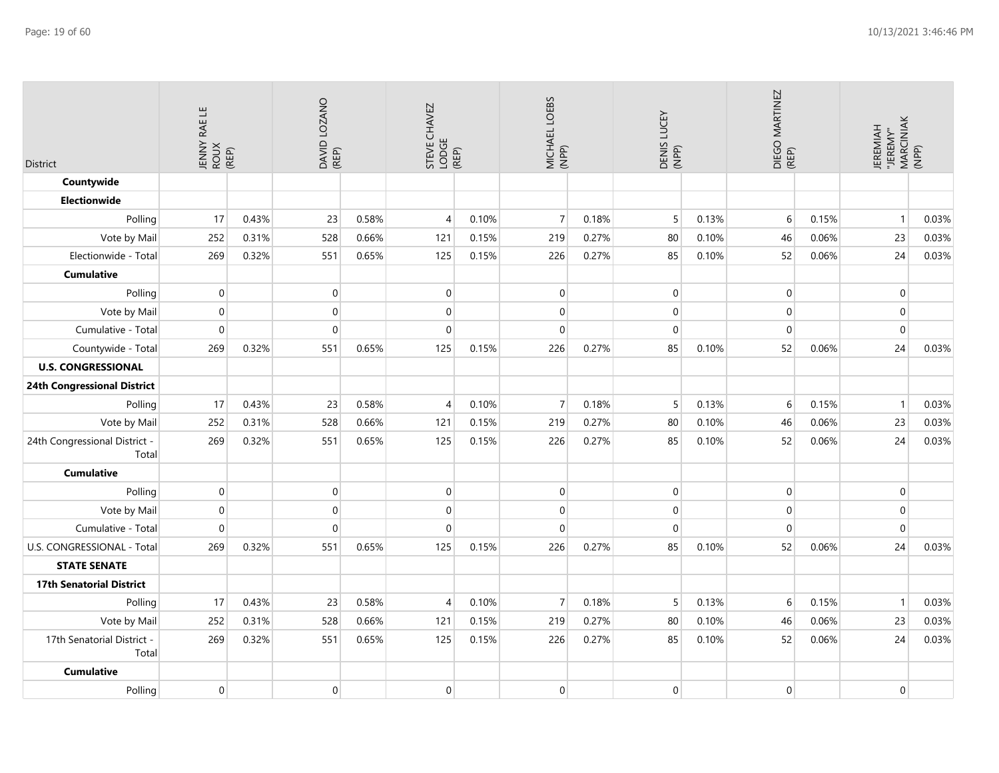| <b>District</b>                        | JENNY RAE LE<br>ROUX<br>(REP) |       | DAVID LOZANO<br>(REP) |       | STEVE CHAVEZ<br>LODGE<br>(REP) |       | MICHAEL LOEBS<br>(NPP) |       | DENIS LUCEY<br>(NPP) |       | DIEGO MARTINEZ<br>(REP) |       | JEREMIAH<br>"JEREMY"<br>MARCINIAK<br>(NPP) |       |
|----------------------------------------|-------------------------------|-------|-----------------------|-------|--------------------------------|-------|------------------------|-------|----------------------|-------|-------------------------|-------|--------------------------------------------|-------|
| Countywide                             |                               |       |                       |       |                                |       |                        |       |                      |       |                         |       |                                            |       |
| <b>Electionwide</b>                    |                               |       |                       |       |                                |       |                        |       |                      |       |                         |       |                                            |       |
| Polling                                | 17                            | 0.43% | 23                    | 0.58% | $\overline{4}$                 | 0.10% | $\overline{7}$         | 0.18% | 5                    | 0.13% | 6                       | 0.15% | $\mathbf{1}$                               | 0.03% |
| Vote by Mail                           | 252                           | 0.31% | 528                   | 0.66% | 121                            | 0.15% | 219                    | 0.27% | 80                   | 0.10% | 46                      | 0.06% | 23                                         | 0.03% |
| Electionwide - Total                   | 269                           | 0.32% | 551                   | 0.65% | 125                            | 0.15% | 226                    | 0.27% | 85                   | 0.10% | 52                      | 0.06% | 24                                         | 0.03% |
| <b>Cumulative</b>                      |                               |       |                       |       |                                |       |                        |       |                      |       |                         |       |                                            |       |
| Polling                                | $\mathbf 0$                   |       | 0                     |       | $\mathbf 0$                    |       | $\mathbf 0$            |       | $\mathbf 0$          |       | $\mathbf{0}$            |       | $\overline{0}$                             |       |
| Vote by Mail                           | $\Omega$                      |       | 0                     |       | $\pmb{0}$                      |       | $\mathbf{0}$           |       | $\pmb{0}$            |       | $\Omega$                |       | $\overline{0}$                             |       |
| Cumulative - Total                     | $\Omega$                      |       | $\mathbf 0$           |       | $\mathbf{0}$                   |       | $\mathbf 0$            |       | $\boldsymbol{0}$     |       | $\mathbf{0}$            |       | $\pmb{0}$                                  |       |
| Countywide - Total                     | 269                           | 0.32% | 551                   | 0.65% | 125                            | 0.15% | 226                    | 0.27% | 85                   | 0.10% | 52                      | 0.06% | 24                                         | 0.03% |
| <b>U.S. CONGRESSIONAL</b>              |                               |       |                       |       |                                |       |                        |       |                      |       |                         |       |                                            |       |
| <b>24th Congressional District</b>     |                               |       |                       |       |                                |       |                        |       |                      |       |                         |       |                                            |       |
| Polling                                | 17                            | 0.43% | 23                    | 0.58% | $\overline{4}$                 | 0.10% | $\overline{7}$         | 0.18% | 5                    | 0.13% | 6                       | 0.15% | $\mathbf{1}$                               | 0.03% |
| Vote by Mail                           | 252                           | 0.31% | 528                   | 0.66% | 121                            | 0.15% | 219                    | 0.27% | 80                   | 0.10% | 46                      | 0.06% | 23                                         | 0.03% |
| 24th Congressional District -<br>Total | 269                           | 0.32% | 551                   | 0.65% | 125                            | 0.15% | 226                    | 0.27% | 85                   | 0.10% | 52                      | 0.06% | 24                                         | 0.03% |
| <b>Cumulative</b>                      |                               |       |                       |       |                                |       |                        |       |                      |       |                         |       |                                            |       |
| Polling                                | $\mathbf{0}$                  |       | 0                     |       | $\mathbf 0$                    |       | $\boldsymbol{0}$       |       | $\mathbf 0$          |       | $\mathbf 0$             |       | $\overline{0}$                             |       |
| Vote by Mail                           | $\Omega$                      |       | 0                     |       | $\mathbf{0}$                   |       | $\mathbf 0$            |       | $\mathbf 0$          |       | $\mathbf{0}$            |       | $\overline{0}$                             |       |
| Cumulative - Total                     | $\Omega$                      |       | $\Omega$              |       | $\mathbf{0}$                   |       | $\mathbf 0$            |       | $\mathbf 0$          |       | $\mathbf{0}$            |       | $\overline{0}$                             |       |
| U.S. CONGRESSIONAL - Total             | 269                           | 0.32% | 551                   | 0.65% | 125                            | 0.15% | 226                    | 0.27% | 85                   | 0.10% | 52                      | 0.06% | 24                                         | 0.03% |
| <b>STATE SENATE</b>                    |                               |       |                       |       |                                |       |                        |       |                      |       |                         |       |                                            |       |
| <b>17th Senatorial District</b>        |                               |       |                       |       |                                |       |                        |       |                      |       |                         |       |                                            |       |
| Polling                                | 17                            | 0.43% | 23                    | 0.58% | 4                              | 0.10% | $\overline{7}$         | 0.18% | 5                    | 0.13% | 6                       | 0.15% | $\mathbf{1}$                               | 0.03% |
| Vote by Mail                           | 252                           | 0.31% | 528                   | 0.66% | 121                            | 0.15% | 219                    | 0.27% | 80                   | 0.10% | 46                      | 0.06% | 23                                         | 0.03% |
| 17th Senatorial District -<br>Total    | 269                           | 0.32% | 551                   | 0.65% | 125                            | 0.15% | 226                    | 0.27% | 85                   | 0.10% | 52                      | 0.06% | 24                                         | 0.03% |
| <b>Cumulative</b>                      |                               |       |                       |       |                                |       |                        |       |                      |       |                         |       |                                            |       |
| Polling                                | $\Omega$                      |       | 0                     |       | $\mathbf 0$                    |       | $\boldsymbol{0}$       |       | $\Omega$             |       | $\mathbf{0}$            |       | $\overline{0}$                             |       |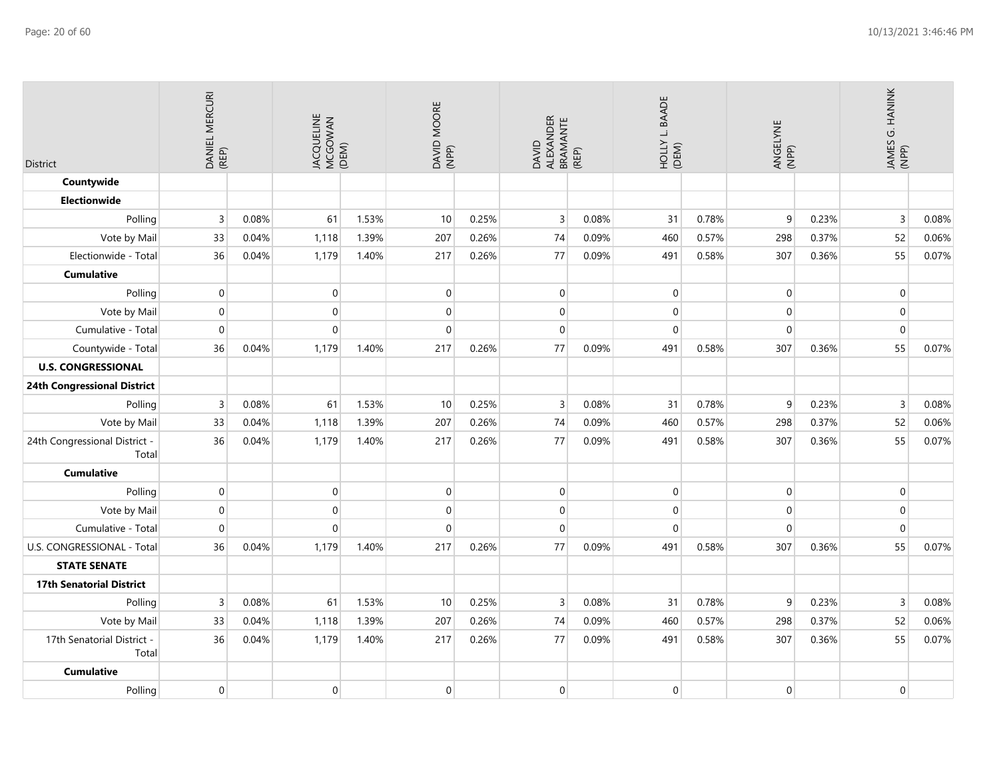| <b>District</b>                        | DANIEL MERCURI<br>(REP) |       | JACQUELINE<br>MCGOWAN<br>(DEM) |       | DAVID MOORE<br>(NPP) |       | ALEXANDER<br>BRAMANTE<br>(REP)<br>DAVID |       | <b>BAADE</b><br>$\sqcup$<br>(DEM) |       | ANGELYNE<br>(NPP) |       | JAMES G. HANINK<br>(NPP) |       |
|----------------------------------------|-------------------------|-------|--------------------------------|-------|----------------------|-------|-----------------------------------------|-------|-----------------------------------|-------|-------------------|-------|--------------------------|-------|
| Countywide                             |                         |       |                                |       |                      |       |                                         |       |                                   |       |                   |       |                          |       |
| <b>Electionwide</b>                    |                         |       |                                |       |                      |       |                                         |       |                                   |       |                   |       |                          |       |
| Polling                                | 3                       | 0.08% | 61                             | 1.53% | 10                   | 0.25% | $\mathsf{3}$                            | 0.08% | 31                                | 0.78% | 9                 | 0.23% | $\overline{3}$           | 0.08% |
| Vote by Mail                           | 33                      | 0.04% | 1,118                          | 1.39% | 207                  | 0.26% | 74                                      | 0.09% | 460                               | 0.57% | 298               | 0.37% | 52                       | 0.06% |
| Electionwide - Total                   | 36                      | 0.04% | 1,179                          | 1.40% | 217                  | 0.26% | 77                                      | 0.09% | 491                               | 0.58% | 307               | 0.36% | 55                       | 0.07% |
| <b>Cumulative</b>                      |                         |       |                                |       |                      |       |                                         |       |                                   |       |                   |       |                          |       |
| Polling                                | $\boldsymbol{0}$        |       | $\pmb{0}$                      |       | $\boldsymbol{0}$     |       | $\boldsymbol{0}$                        |       | $\overline{0}$                    |       | $\mathbf 0$       |       | $\overline{0}$           |       |
| Vote by Mail                           | $\boldsymbol{0}$        |       | $\mathbf 0$                    |       | $\pmb{0}$            |       | $\pmb{0}$                               |       | $\overline{0}$                    |       | $\mathbf 0$       |       | $\overline{0}$           |       |
| Cumulative - Total                     | $\overline{0}$          |       | $\mathsf{O}\xspace$            |       | $\mathbf 0$          |       | $\mathbf 0$                             |       | 0                                 |       | $\mathbf 0$       |       | $\mathbf 0$              |       |
| Countywide - Total                     | 36                      | 0.04% | 1,179                          | 1.40% | 217                  | 0.26% | 77                                      | 0.09% | 491                               | 0.58% | 307               | 0.36% | 55                       | 0.07% |
| <b>U.S. CONGRESSIONAL</b>              |                         |       |                                |       |                      |       |                                         |       |                                   |       |                   |       |                          |       |
| <b>24th Congressional District</b>     |                         |       |                                |       |                      |       |                                         |       |                                   |       |                   |       |                          |       |
| Polling                                | 3                       | 0.08% | 61                             | 1.53% | 10                   | 0.25% | $\overline{3}$                          | 0.08% | 31                                | 0.78% | 9                 | 0.23% | $\overline{3}$           | 0.08% |
| Vote by Mail                           | 33                      | 0.04% | 1,118                          | 1.39% | 207                  | 0.26% | 74                                      | 0.09% | 460                               | 0.57% | 298               | 0.37% | 52                       | 0.06% |
| 24th Congressional District -<br>Total | 36                      | 0.04% | 1,179                          | 1.40% | 217                  | 0.26% | 77                                      | 0.09% | 491                               | 0.58% | 307               | 0.36% | 55                       | 0.07% |
| <b>Cumulative</b>                      |                         |       |                                |       |                      |       |                                         |       |                                   |       |                   |       |                          |       |
| Polling                                | $\boldsymbol{0}$        |       | $\pmb{0}$                      |       | $\mathbf 0$          |       | $\pmb{0}$                               |       | $\overline{0}$                    |       | $\mathbf 0$       |       | $\overline{0}$           |       |
| Vote by Mail                           | 0                       |       | $\mathbf{0}$                   |       | $\mathbf 0$          |       | $\mathbf 0$                             |       | $\boldsymbol{0}$                  |       | $\mathbf 0$       |       | $\overline{0}$           |       |
| Cumulative - Total                     | 0                       |       | $\mathbf{0}$                   |       | $\mathbf 0$          |       | $\mathbf 0$                             |       | 0                                 |       | $\Omega$          |       | $\mathbf{0}$             |       |
| U.S. CONGRESSIONAL - Total             | 36                      | 0.04% | 1,179                          | 1.40% | 217                  | 0.26% | 77                                      | 0.09% | 491                               | 0.58% | 307               | 0.36% | 55                       | 0.07% |
| <b>STATE SENATE</b>                    |                         |       |                                |       |                      |       |                                         |       |                                   |       |                   |       |                          |       |
| <b>17th Senatorial District</b>        |                         |       |                                |       |                      |       |                                         |       |                                   |       |                   |       |                          |       |
| Polling                                | 3                       | 0.08% | 61                             | 1.53% | 10                   | 0.25% | $\overline{3}$                          | 0.08% | 31                                | 0.78% | 9                 | 0.23% | $\overline{3}$           | 0.08% |
| Vote by Mail                           | 33                      | 0.04% | 1,118                          | 1.39% | 207                  | 0.26% | 74                                      | 0.09% | 460                               | 0.57% | 298               | 0.37% | 52                       | 0.06% |
| 17th Senatorial District -<br>Total    | 36                      | 0.04% | 1,179                          | 1.40% | 217                  | 0.26% | 77                                      | 0.09% | 491                               | 0.58% | 307               | 0.36% | 55                       | 0.07% |
| <b>Cumulative</b>                      |                         |       |                                |       |                      |       |                                         |       |                                   |       |                   |       |                          |       |
| Polling                                | $\overline{0}$          |       | $\mathbf{0}$                   |       | $\mathbf 0$          |       | $\mathbf 0$                             |       | $\overline{0}$                    |       | $\mathbf 0$       |       | $\overline{0}$           |       |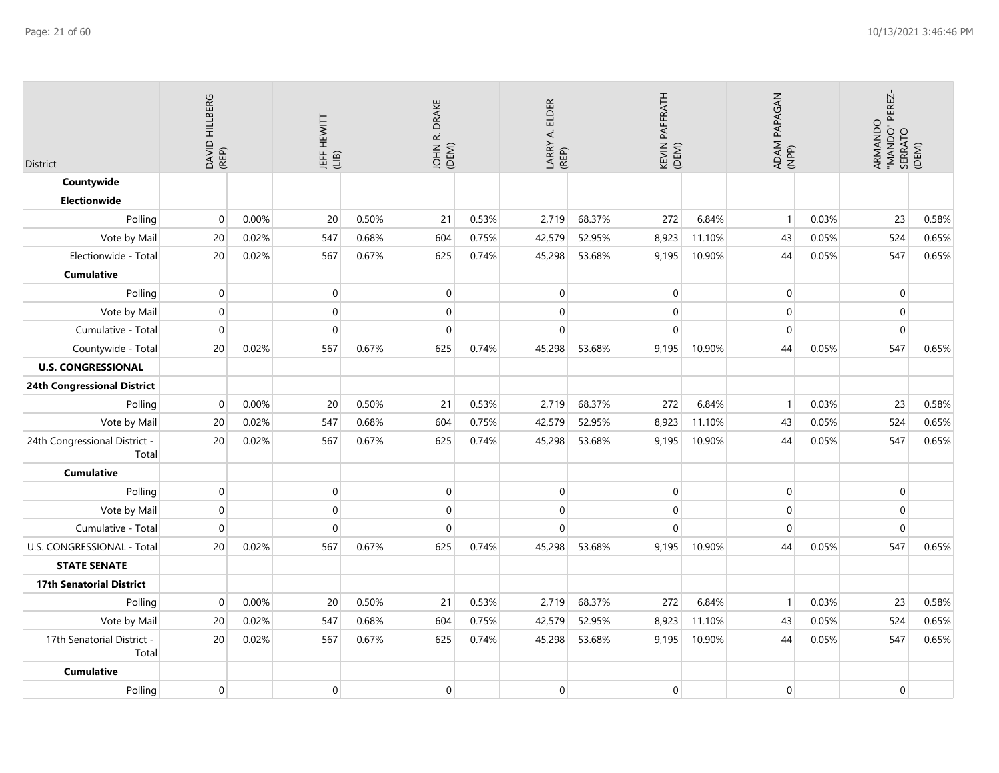| <b>District</b>                        | <b>HILLBERG</b><br>DAVID I<br>(REP) |       | JEFF HEWITT<br>(LIB) |       | DRAKE<br>JOHN R. I<br>(DEM) |       | <b>ELDER</b><br>LARRY A. I<br>(REP) |        | KEVIN PAFFRATH<br>(DEM) |        | ADAM PAPAGAN<br>(NPP) |       | ARMANDO<br>"MANDO" PEREZ-<br>. SERRATO<br>(DEM) |       |
|----------------------------------------|-------------------------------------|-------|----------------------|-------|-----------------------------|-------|-------------------------------------|--------|-------------------------|--------|-----------------------|-------|-------------------------------------------------|-------|
| Countywide                             |                                     |       |                      |       |                             |       |                                     |        |                         |        |                       |       |                                                 |       |
| <b>Electionwide</b>                    |                                     |       |                      |       |                             |       |                                     |        |                         |        |                       |       |                                                 |       |
| Polling                                | $\mathbf 0$                         | 0.00% | 20                   | 0.50% | 21                          | 0.53% | 2,719                               | 68.37% | 272                     | 6.84%  | $\mathbf{1}$          | 0.03% | 23                                              | 0.58% |
| Vote by Mail                           | 20                                  | 0.02% | 547                  | 0.68% | 604                         | 0.75% | 42,579                              | 52.95% | 8,923                   | 11.10% | 43                    | 0.05% | 524                                             | 0.65% |
| Electionwide - Total                   | 20                                  | 0.02% | 567                  | 0.67% | 625                         | 0.74% | 45,298                              | 53.68% | 9,195                   | 10.90% | 44                    | 0.05% | 547                                             | 0.65% |
| <b>Cumulative</b>                      |                                     |       |                      |       |                             |       |                                     |        |                         |        |                       |       |                                                 |       |
| Polling                                | $\mathbf 0$                         |       | 0                    |       | $\mathbf 0$                 |       | $\mathbf 0$                         |        | $\boldsymbol{0}$        |        | $\mathbf 0$           |       | $\overline{0}$                                  |       |
| Vote by Mail                           | $\mathbf{0}$                        |       | $\overline{0}$       |       | $\mathbf 0$                 |       | $\mathbf{0}$                        |        | $\mathbf 0$             |        | 0                     |       | $\overline{0}$                                  |       |
| Cumulative - Total                     | $\overline{0}$                      |       | $\overline{0}$       |       | $\mathbf 0$                 |       | $\mathbf 0$                         |        | $\mathbf 0$             |        | $\mathbf 0$           |       | $\mathbf{0}$                                    |       |
| Countywide - Total                     | 20                                  | 0.02% | 567                  | 0.67% | 625                         | 0.74% | 45,298                              | 53.68% | 9,195                   | 10.90% | 44                    | 0.05% | 547                                             | 0.65% |
| <b>U.S. CONGRESSIONAL</b>              |                                     |       |                      |       |                             |       |                                     |        |                         |        |                       |       |                                                 |       |
| <b>24th Congressional District</b>     |                                     |       |                      |       |                             |       |                                     |        |                         |        |                       |       |                                                 |       |
| Polling                                | $\Omega$                            | 0.00% | 20                   | 0.50% | 21                          | 0.53% | 2,719                               | 68.37% | 272                     | 6.84%  | $\mathbf{1}$          | 0.03% | 23                                              | 0.58% |
| Vote by Mail                           | 20                                  | 0.02% | 547                  | 0.68% | 604                         | 0.75% | 42,579                              | 52.95% | 8,923                   | 11.10% | 43                    | 0.05% | 524                                             | 0.65% |
| 24th Congressional District -<br>Total | 20                                  | 0.02% | 567                  | 0.67% | 625                         | 0.74% | 45,298                              | 53.68% | 9,195                   | 10.90% | 44                    | 0.05% | 547                                             | 0.65% |
| <b>Cumulative</b>                      |                                     |       |                      |       |                             |       |                                     |        |                         |        |                       |       |                                                 |       |
| Polling                                | $\overline{0}$                      |       | $\overline{0}$       |       | $\mathbf 0$                 |       | $\mathbf 0$                         |        | 0                       |        | $\mathbf 0$           |       | $\overline{0}$                                  |       |
| Vote by Mail                           | $\overline{0}$                      |       | $\overline{0}$       |       | $\mathbf 0$                 |       | $\mathbf{0}$                        |        | $\mathbf 0$             |        | $\Omega$              |       | $\overline{0}$                                  |       |
| Cumulative - Total                     | $\mathbf{0}$                        |       | $\overline{0}$       |       | $\mathbf 0$                 |       | $\mathbf 0$                         |        | $\mathbf 0$             |        | $\mathbf 0$           |       | $\mathbf 0$                                     |       |
| U.S. CONGRESSIONAL - Total             | 20                                  | 0.02% | 567                  | 0.67% | 625                         | 0.74% | 45,298                              | 53.68% | 9,195                   | 10.90% | 44                    | 0.05% | 547                                             | 0.65% |
| <b>STATE SENATE</b>                    |                                     |       |                      |       |                             |       |                                     |        |                         |        |                       |       |                                                 |       |
| <b>17th Senatorial District</b>        |                                     |       |                      |       |                             |       |                                     |        |                         |        |                       |       |                                                 |       |
| Polling                                | $\mathbf 0$                         | 0.00% | 20                   | 0.50% | 21                          | 0.53% | 2,719                               | 68.37% | 272                     | 6.84%  | $\mathbf{1}$          | 0.03% | 23                                              | 0.58% |
| Vote by Mail                           | 20                                  | 0.02% | 547                  | 0.68% | 604                         | 0.75% | 42,579                              | 52.95% | 8,923                   | 11.10% | 43                    | 0.05% | 524                                             | 0.65% |
| 17th Senatorial District -<br>Total    | 20                                  | 0.02% | 567                  | 0.67% | 625                         | 0.74% | 45,298                              | 53.68% | 9,195                   | 10.90% | 44                    | 0.05% | 547                                             | 0.65% |
| <b>Cumulative</b>                      |                                     |       |                      |       |                             |       |                                     |        |                         |        |                       |       |                                                 |       |
| Polling                                | $\mathbf{0}$                        |       | 0                    |       | $\mathbf 0$                 |       | $\mathbf 0$                         |        | 0                       |        | $\mathbf 0$           |       | $\overline{0}$                                  |       |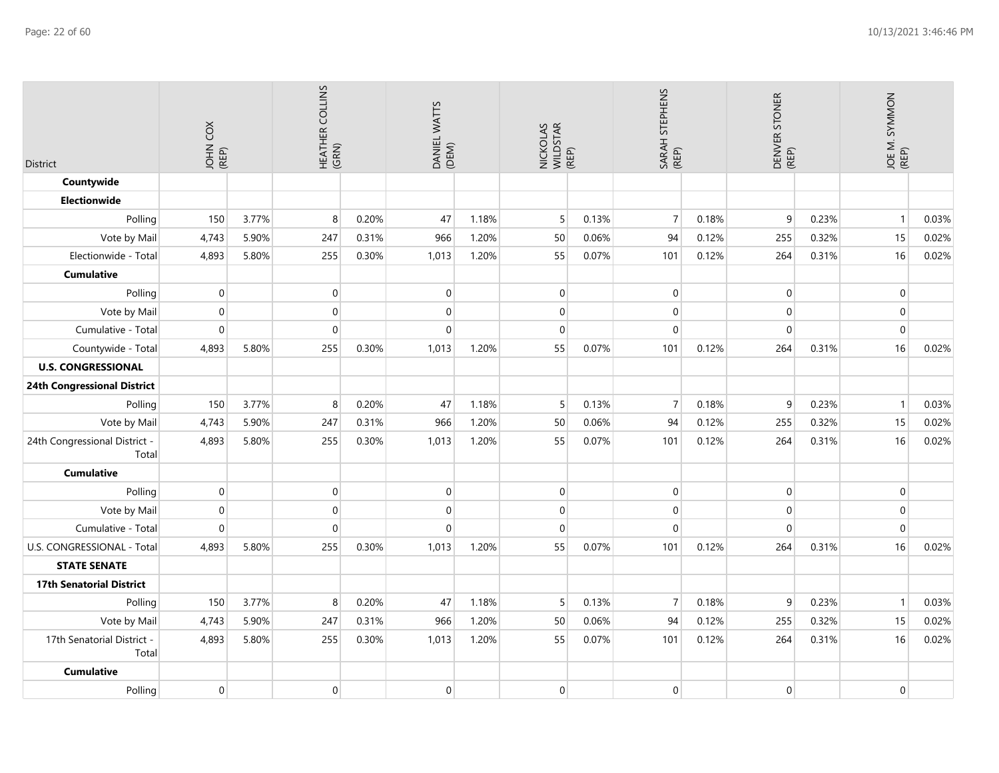| <b>District</b>                        | č<br>JOHN 0 |       | HEATHER COLLINS<br>(GRN) |       | DANIEL WATTS<br>(DEM) |       | NICKOLAS<br>WILDSTAR<br>(REP) |       | STEPHENS<br>SARAH S<br>(REP) |       | DENVER STONER<br>(REP) |       | JOE M. SYMMON<br>(REP) |       |
|----------------------------------------|-------------|-------|--------------------------|-------|-----------------------|-------|-------------------------------|-------|------------------------------|-------|------------------------|-------|------------------------|-------|
| Countywide                             |             |       |                          |       |                       |       |                               |       |                              |       |                        |       |                        |       |
| <b>Electionwide</b>                    |             |       |                          |       |                       |       |                               |       |                              |       |                        |       |                        |       |
| Polling                                | 150         | 3.77% | 8 <sup>°</sup>           | 0.20% | 47                    | 1.18% | $5\overline{)}$               | 0.13% | $\overline{7}$               | 0.18% | 9                      | 0.23% | $\mathbf{1}$           | 0.03% |
| Vote by Mail                           | 4,743       | 5.90% | 247                      | 0.31% | 966                   | 1.20% | 50                            | 0.06% | 94                           | 0.12% | 255                    | 0.32% | 15                     | 0.02% |
| Electionwide - Total                   | 4,893       | 5.80% | 255                      | 0.30% | 1,013                 | 1.20% | 55                            | 0.07% | 101                          | 0.12% | 264                    | 0.31% | 16                     | 0.02% |
| <b>Cumulative</b>                      |             |       |                          |       |                       |       |                               |       |                              |       |                        |       |                        |       |
| Polling                                | 0           |       | $\boldsymbol{0}$         |       | 0                     |       | $\pmb{0}$                     |       | $\mathbf 0$                  |       | $\mathbf 0$            |       | $\mathbf 0$            |       |
| Vote by Mail                           | 0           |       | $\boldsymbol{0}$         |       | 0                     |       | $\pmb{0}$                     |       | $\boldsymbol{0}$             |       | $\mathbf 0$            |       | $\mathbf 0$            |       |
| Cumulative - Total                     | $\Omega$    |       | $\overline{0}$           |       | $\Omega$              |       | $\mathbf{0}$                  |       | $\mathbf 0$                  |       | $\mathbf 0$            |       | $\mathbf 0$            |       |
| Countywide - Total                     | 4,893       | 5.80% | 255                      | 0.30% | 1,013                 | 1.20% | 55                            | 0.07% | 101                          | 0.12% | 264                    | 0.31% | 16                     | 0.02% |
| <b>U.S. CONGRESSIONAL</b>              |             |       |                          |       |                       |       |                               |       |                              |       |                        |       |                        |       |
| 24th Congressional District            |             |       |                          |       |                       |       |                               |       |                              |       |                        |       |                        |       |
| Polling                                | 150         | 3.77% | 8                        | 0.20% | 47                    | 1.18% | 5                             | 0.13% | $\overline{7}$               | 0.18% | $\mathsf 9$            | 0.23% | $\mathbf{1}$           | 0.03% |
| Vote by Mail                           | 4,743       | 5.90% | 247                      | 0.31% | 966                   | 1.20% | 50                            | 0.06% | 94                           | 0.12% | 255                    | 0.32% | 15                     | 0.02% |
| 24th Congressional District -<br>Total | 4,893       | 5.80% | 255                      | 0.30% | 1,013                 | 1.20% | 55                            | 0.07% | 101                          | 0.12% | 264                    | 0.31% | 16                     | 0.02% |
| <b>Cumulative</b>                      |             |       |                          |       |                       |       |                               |       |                              |       |                        |       |                        |       |
| Polling                                | $\Omega$    |       | $\boldsymbol{0}$         |       | $\mathbf 0$           |       | $\pmb{0}$                     |       | $\pmb{0}$                    |       | $\mathbf 0$            |       | $\mathbf 0$            |       |
| Vote by Mail                           | $\mathbf 0$ |       | $\boldsymbol{0}$         |       | $\boldsymbol{0}$      |       | $\mathbf{0}$                  |       | $\boldsymbol{0}$             |       | $\mathbf 0$            |       | $\mathbf 0$            |       |
| Cumulative - Total                     | $\Omega$    |       | $\overline{0}$           |       | $\Omega$              |       | $\mathbf{0}$                  |       | $\mathbf 0$                  |       | $\mathbf 0$            |       | $\mathbf 0$            |       |
| U.S. CONGRESSIONAL - Total             | 4,893       | 5.80% | 255                      | 0.30% | 1,013                 | 1.20% | 55                            | 0.07% | 101                          | 0.12% | 264                    | 0.31% | 16                     | 0.02% |
| <b>STATE SENATE</b>                    |             |       |                          |       |                       |       |                               |       |                              |       |                        |       |                        |       |
| <b>17th Senatorial District</b>        |             |       |                          |       |                       |       |                               |       |                              |       |                        |       |                        |       |
| Polling                                | 150         | 3.77% | 8                        | 0.20% | 47                    | 1.18% | 5                             | 0.13% | $\overline{7}$               | 0.18% | 9                      | 0.23% | $\mathbf{1}$           | 0.03% |
| Vote by Mail                           | 4,743       | 5.90% | 247                      | 0.31% | 966                   | 1.20% | 50                            | 0.06% | 94                           | 0.12% | 255                    | 0.32% | 15                     | 0.02% |
| 17th Senatorial District -<br>Total    | 4,893       | 5.80% | 255                      | 0.30% | 1,013                 | 1.20% | 55                            | 0.07% | 101                          | 0.12% | 264                    | 0.31% | 16                     | 0.02% |
| <b>Cumulative</b>                      |             |       |                          |       |                       |       |                               |       |                              |       |                        |       |                        |       |
| Polling                                | $\Omega$    |       | 0                        |       | $\mathbf 0$           |       | $\mathbf 0$                   |       | $\mathbf 0$                  |       | $\mathbf{0}$           |       | $\mathbf 0$            |       |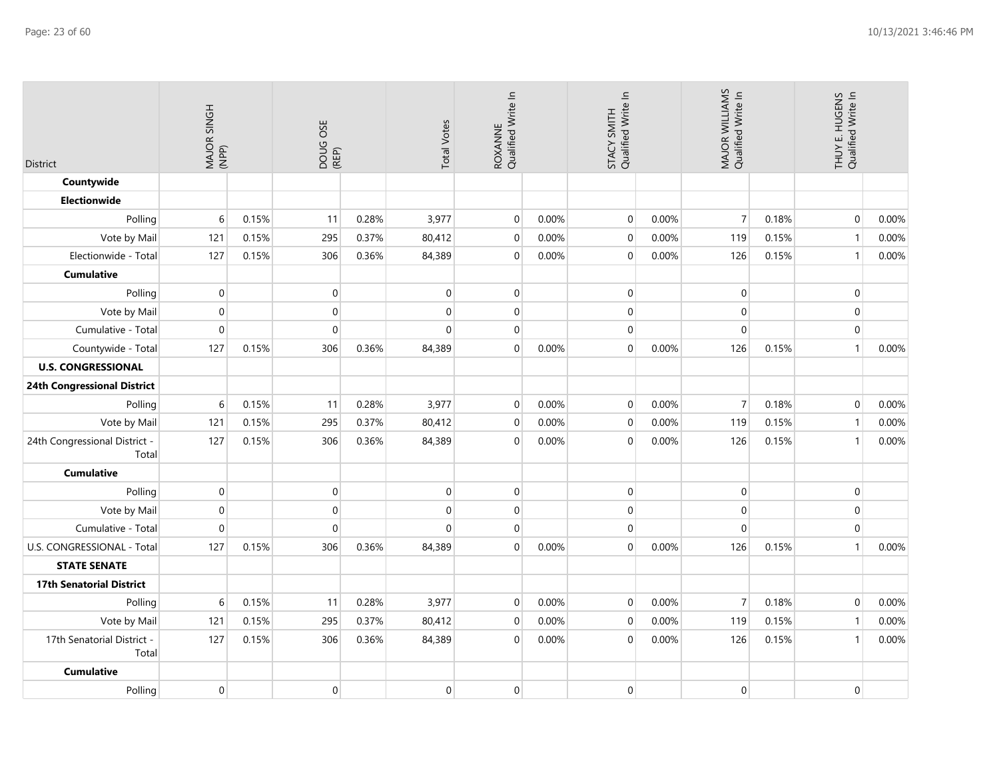| <b>District</b>                        | MAJOR SINGH<br>(NPP) |       | DOUG OSE<br>(REP) |       | <b>Total Votes</b> | ROXANNE<br>Qualified Write In |       | Qualified Write In<br>STACY SMITH |       | MAJOR WILLIAMS<br>Qualified Write In |       | THUY E. HUGENS<br>Qualified Write In |       |
|----------------------------------------|----------------------|-------|-------------------|-------|--------------------|-------------------------------|-------|-----------------------------------|-------|--------------------------------------|-------|--------------------------------------|-------|
| Countywide                             |                      |       |                   |       |                    |                               |       |                                   |       |                                      |       |                                      |       |
| <b>Electionwide</b>                    |                      |       |                   |       |                    |                               |       |                                   |       |                                      |       |                                      |       |
| Polling                                | 6                    | 0.15% | 11                | 0.28% | 3,977              | $\mathbf 0$                   | 0.00% | $\mathbf 0$                       | 0.00% | $\overline{7}$                       | 0.18% | $\mathbf 0$                          | 0.00% |
| Vote by Mail                           | 121                  | 0.15% | 295               | 0.37% | 80,412             | $\mathbf 0$                   | 0.00% | $\mathbf{0}$                      | 0.00% | 119                                  | 0.15% | $\mathbf{1}$                         | 0.00% |
| Electionwide - Total                   | 127                  | 0.15% | 306               | 0.36% | 84,389             | $\mathbf 0$                   | 0.00% | $\mathbf 0$                       | 0.00% | 126                                  | 0.15% | $\mathbf{1}$                         | 0.00% |
| <b>Cumulative</b>                      |                      |       |                   |       |                    |                               |       |                                   |       |                                      |       |                                      |       |
| Polling                                | $\mathbf{0}$         |       | $\overline{0}$    |       | $\Omega$           | $\mathbf 0$                   |       | $\mathbf 0$                       |       | $\mathbf 0$                          |       | $\mathbf 0$                          |       |
| Vote by Mail                           | $\boldsymbol{0}$     |       | $\overline{0}$    |       | $\Omega$           | $\mathbf 0$                   |       | $\mathbf 0$                       |       | $\mathbf 0$                          |       | $\mathbf 0$                          |       |
| Cumulative - Total                     | $\mathbf 0$          |       | $\mathbf 0$       |       | $\mathbf{0}$       | $\Omega$                      |       | $\Omega$                          |       | $\Omega$                             |       | $\mathbf 0$                          |       |
| Countywide - Total                     | 127                  | 0.15% | 306               | 0.36% | 84,389             | $\mathbf 0$                   | 0.00% | $\pmb{0}$                         | 0.00% | 126                                  | 0.15% | $\mathbf{1}$                         | 0.00% |
| <b>U.S. CONGRESSIONAL</b>              |                      |       |                   |       |                    |                               |       |                                   |       |                                      |       |                                      |       |
| 24th Congressional District            |                      |       |                   |       |                    |                               |       |                                   |       |                                      |       |                                      |       |
| Polling                                | 6                    | 0.15% | 11                | 0.28% | 3,977              | $\mathbf 0$                   | 0.00% | $\pmb{0}$                         | 0.00% | $\overline{7}$                       | 0.18% | $\mathbf 0$                          | 0.00% |
| Vote by Mail                           | 121                  | 0.15% | 295               | 0.37% | 80,412             | $\mathbf 0$                   | 0.00% | $\mathbf 0$                       | 0.00% | 119                                  | 0.15% | $\mathbf{1}$                         | 0.00% |
| 24th Congressional District -<br>Total | 127                  | 0.15% | 306               | 0.36% | 84,389             | $\mathbf 0$                   | 0.00% | $\mathbf{0}$                      | 0.00% | 126                                  | 0.15% | $\mathbf{1}$                         | 0.00% |
| <b>Cumulative</b>                      |                      |       |                   |       |                    |                               |       |                                   |       |                                      |       |                                      |       |
| Polling                                | $\mathbf 0$          |       | $\boldsymbol{0}$  |       | $\Omega$           | $\mathbf 0$                   |       | $\mathbf 0$                       |       | $\mathbf 0$                          |       | $\pmb{0}$                            |       |
| Vote by Mail                           | $\mathbf 0$          |       | $\overline{0}$    |       | $\Omega$           | $\mathbf 0$                   |       | $\mathbf 0$                       |       | $\mathbf 0$                          |       | $\mathbf 0$                          |       |
| Cumulative - Total                     | $\mathbf 0$          |       | $\mathbf 0$       |       | $\Omega$           | $\Omega$                      |       | $\Omega$                          |       | $\Omega$                             |       | $\mathbf 0$                          |       |
| U.S. CONGRESSIONAL - Total             | 127                  | 0.15% | 306               | 0.36% | 84,389             | $\mathbf 0$                   | 0.00% | $\pmb{0}$                         | 0.00% | 126                                  | 0.15% | $\mathbf{1}$                         | 0.00% |
| <b>STATE SENATE</b>                    |                      |       |                   |       |                    |                               |       |                                   |       |                                      |       |                                      |       |
| <b>17th Senatorial District</b>        |                      |       |                   |       |                    |                               |       |                                   |       |                                      |       |                                      |       |
| Polling                                | 6                    | 0.15% | 11                | 0.28% | 3,977              | $\mathbf 0$                   | 0.00% | $\mathbf 0$                       | 0.00% | $\overline{7}$                       | 0.18% | $\mathbf 0$                          | 0.00% |
| Vote by Mail                           | 121                  | 0.15% | 295               | 0.37% | 80,412             | $\mathbf 0$                   | 0.00% | $\pmb{0}$                         | 0.00% | 119                                  | 0.15% | $\mathbf{1}$                         | 0.00% |
| 17th Senatorial District -<br>Total    | 127                  | 0.15% | 306               | 0.36% | 84,389             | $\mathbf 0$                   | 0.00% | $\mathbf 0$                       | 0.00% | 126                                  | 0.15% | $\mathbf{1}$                         | 0.00% |
| <b>Cumulative</b>                      |                      |       |                   |       |                    |                               |       |                                   |       |                                      |       |                                      |       |
| Polling                                | $\mathbf 0$          |       | $\boldsymbol{0}$  |       | $\mathbf 0$        | $\mathbf 0$                   |       | $\mathbf 0$                       |       | $\mathbf 0$                          |       | $\pmb{0}$                            |       |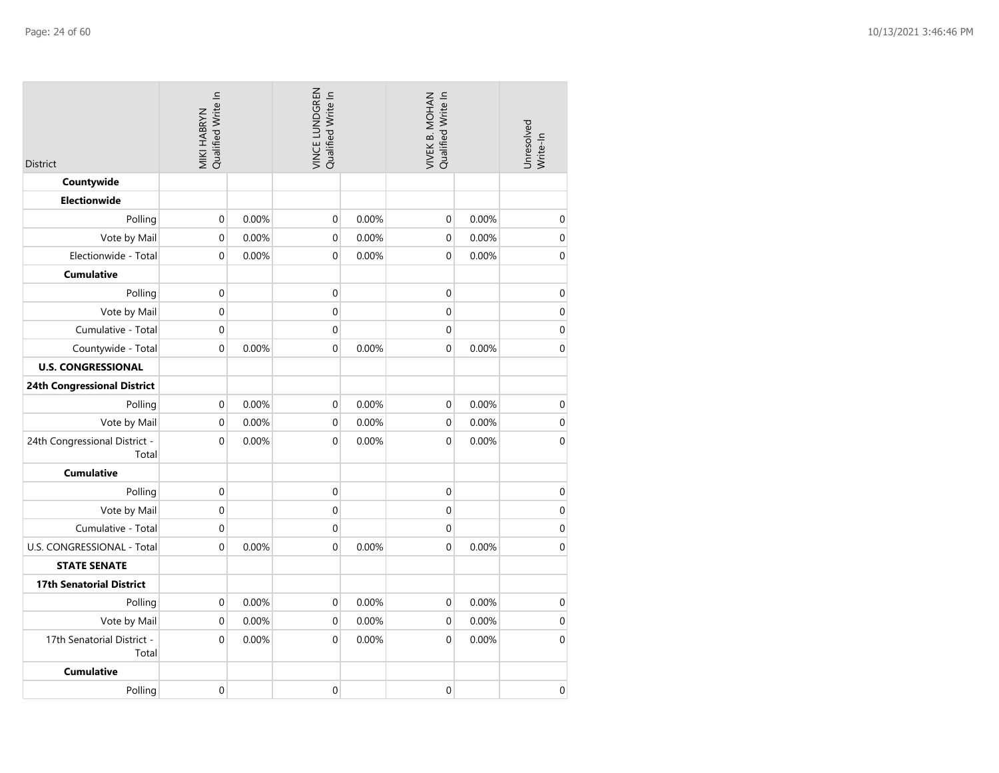| <b>District</b>                        | MIKI HABRYN<br>Qualified Write In |       | VINCE LUNDGREN<br>Qualified Write In |       | Qualified Write In<br>VIVEK B. MOHAN |       | Unresolved<br>Write-In |
|----------------------------------------|-----------------------------------|-------|--------------------------------------|-------|--------------------------------------|-------|------------------------|
| Countywide                             |                                   |       |                                      |       |                                      |       |                        |
| <b>Electionwide</b>                    |                                   |       |                                      |       |                                      |       |                        |
| Polling                                | $\mathbf 0$                       | 0.00% | $\boldsymbol{0}$                     | 0.00% | $\pmb{0}$                            | 0.00% | $\mathbf 0$            |
| Vote by Mail                           | 0                                 | 0.00% | 0                                    | 0.00% | $\mathbf 0$                          | 0.00% | $\boldsymbol{0}$       |
| Electionwide - Total                   | 0                                 | 0.00% | 0                                    | 0.00% | $\mathbf 0$                          | 0.00% | $\mathbf 0$            |
| <b>Cumulative</b>                      |                                   |       |                                      |       |                                      |       |                        |
| Polling                                | 0                                 |       | 0                                    |       | $\boldsymbol{0}$                     |       | $\boldsymbol{0}$       |
| Vote by Mail                           | 0                                 |       | 0                                    |       | $\mathbf 0$                          |       | $\mathbf 0$            |
| Cumulative - Total                     | 0                                 |       | 0                                    |       | $\mathbf 0$                          |       | $\boldsymbol{0}$       |
| Countywide - Total                     | 0                                 | 0.00% | 0                                    | 0.00% | $\mathbf 0$                          | 0.00% | $\mathbf 0$            |
| <b>U.S. CONGRESSIONAL</b>              |                                   |       |                                      |       |                                      |       |                        |
| <b>24th Congressional District</b>     |                                   |       |                                      |       |                                      |       |                        |
| Polling                                | $\boldsymbol{0}$                  | 0.00% | 0                                    | 0.00% | 0                                    | 0.00% | $\mathbf 0$            |
| Vote by Mail                           | 0                                 | 0.00% | 0                                    | 0.00% | 0                                    | 0.00% | $\boldsymbol{0}$       |
| 24th Congressional District -<br>Total | 0                                 | 0.00% | 0                                    | 0.00% | $\mathbf 0$                          | 0.00% | 0                      |
| <b>Cumulative</b>                      |                                   |       |                                      |       |                                      |       |                        |
| Polling                                | 0                                 |       | 0                                    |       | $\boldsymbol{0}$                     |       | $\mathbf 0$            |
| Vote by Mail                           | 0                                 |       | 0                                    |       | $\boldsymbol{0}$                     |       | $\boldsymbol{0}$       |
| Cumulative - Total                     | 0                                 |       | 0                                    |       | 0                                    |       | $\mathbf 0$            |
| U.S. CONGRESSIONAL - Total             | 0                                 | 0.00% | 0                                    | 0.00% | $\mathbf 0$                          | 0.00% | $\mathbf 0$            |
| <b>STATE SENATE</b>                    |                                   |       |                                      |       |                                      |       |                        |
| <b>17th Senatorial District</b>        |                                   |       |                                      |       |                                      |       |                        |
| Polling                                | 0                                 | 0.00% | $\mathbf 0$                          | 0.00% | 0                                    | 0.00% | $\mathbf 0$            |
| Vote by Mail                           | 0                                 | 0.00% | 0                                    | 0.00% | 0                                    | 0.00% | $\mathbf 0$            |
| 17th Senatorial District -<br>Total    | 0                                 | 0.00% | 0                                    | 0.00% | $\boldsymbol{0}$                     | 0.00% | $\boldsymbol{0}$       |
| <b>Cumulative</b>                      |                                   |       |                                      |       |                                      |       |                        |
| Polling                                | 0                                 |       | 0                                    |       | $\mathbf 0$                          |       | $\mathbf 0$            |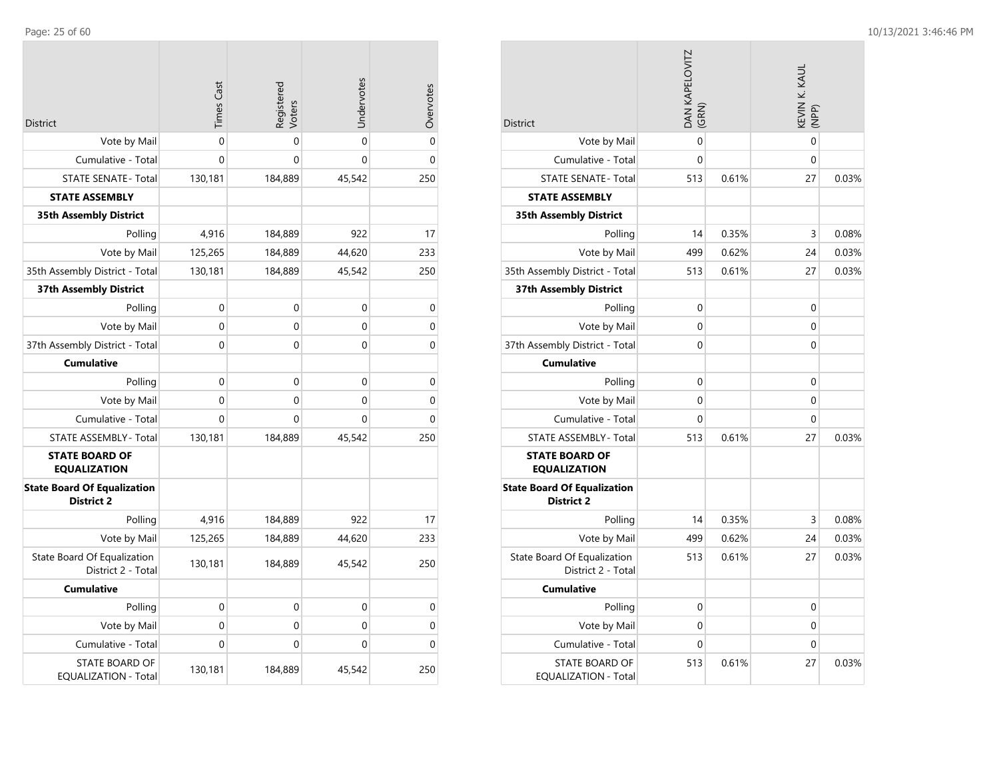| <b>District</b>                                         | <b>Times Cast</b> | Registered<br>Voters | Undervotes  | Overvotes   |
|---------------------------------------------------------|-------------------|----------------------|-------------|-------------|
| Vote by Mail                                            | 0                 | 0                    | $\Omega$    | 0           |
| Cumulative - Total                                      | $\Omega$          | $\Omega$             | $\Omega$    | $\mathbf 0$ |
| <b>STATE SENATE - Total</b>                             | 130,181           | 184,889              | 45,542      | 250         |
| <b>STATE ASSEMBLY</b>                                   |                   |                      |             |             |
| <b>35th Assembly District</b>                           |                   |                      |             |             |
| Polling                                                 | 4,916             | 184,889              | 922         | 17          |
| Vote by Mail                                            | 125,265           | 184,889              | 44,620      | 233         |
| 35th Assembly District - Total                          | 130,181           | 184,889              | 45,542      | 250         |
| 37th Assembly District                                  |                   |                      |             |             |
| Polling                                                 | $\mathbf 0$       | 0                    | $\mathbf 0$ | 0           |
| Vote by Mail                                            | $\mathbf 0$       | $\mathbf 0$          | 0           | 0           |
| 37th Assembly District - Total                          | 0                 | $\mathbf 0$          | $\mathbf 0$ | $\mathbf 0$ |
| <b>Cumulative</b>                                       |                   |                      |             |             |
| Polling                                                 | $\mathbf 0$       | $\mathbf 0$          | 0           | 0           |
| Vote by Mail                                            | $\overline{0}$    | 0                    | 0           | 0           |
| Cumulative - Total                                      | 0                 | 0                    | 0           | 0           |
| <b>STATE ASSEMBLY - Total</b>                           | 130,181           | 184,889              | 45,542      | 250         |
| <b>STATE BOARD OF</b><br><b>EQUALIZATION</b>            |                   |                      |             |             |
| <b>State Board Of Equalization</b><br><b>District 2</b> |                   |                      |             |             |
| Polling                                                 | 4,916             | 184,889              | 922         | 17          |
| Vote by Mail                                            | 125,265           | 184,889              | 44,620      | 233         |
| State Board Of Equalization<br>District 2 - Total       | 130,181           | 184,889              | 45,542      | 250         |
| <b>Cumulative</b>                                       |                   |                      |             |             |
| Polling                                                 | 0                 | 0                    | 0           | 0           |
| Vote by Mail                                            | 0                 | 0                    | 0           | 0           |
| Cumulative - Total                                      | 0                 | 0                    | 0           | 0           |
| STATE BOARD OF<br>EQUALIZATION - Total                  | 130,181           | 184,889              | 45,542      | 250         |

| <b>District</b>                                         | <b>DAN KAPELOVITZ</b><br>(GRN) |       | KEVIN K. KAUL<br>(NPP) |       |
|---------------------------------------------------------|--------------------------------|-------|------------------------|-------|
| Vote by Mail                                            | 0                              |       | $\mathbf 0$            |       |
| Cumulative - Total                                      | 0                              |       | 0                      |       |
| <b>STATE SENATE - Total</b>                             | 513                            | 0.61% | 27                     | 0.03% |
| <b>STATE ASSEMBLY</b>                                   |                                |       |                        |       |
| <b>35th Assembly District</b>                           |                                |       |                        |       |
| Polling                                                 | 14                             | 0.35% | 3                      | 0.08% |
| Vote by Mail                                            | 499                            | 0.62% | 24                     | 0.03% |
| 35th Assembly District - Total                          | 513                            | 0.61% | 27                     | 0.03% |
| <b>37th Assembly District</b>                           |                                |       |                        |       |
| Polling                                                 | 0                              |       | 0                      |       |
| Vote by Mail                                            | 0                              |       | 0                      |       |
| 37th Assembly District - Total                          | 0                              |       | 0                      |       |
| <b>Cumulative</b>                                       |                                |       |                        |       |
| Polling                                                 | 0                              |       | 0                      |       |
| Vote by Mail                                            | 0                              |       | 0                      |       |
| Cumulative - Total                                      | 0                              |       | 0                      |       |
| <b>STATE ASSEMBLY- Total</b>                            | 513                            | 0.61% | 27                     | 0.03% |
| <b>STATE BOARD OF</b><br><b>EQUALIZATION</b>            |                                |       |                        |       |
| <b>State Board Of Equalization</b><br><b>District 2</b> |                                |       |                        |       |
| Polling                                                 | 14                             | 0.35% | 3                      | 0.08% |
| Vote by Mail                                            | 499                            | 0.62% | 24                     | 0.03% |
| State Board Of Equalization<br>District 2 - Total       | 513                            | 0.61% | 27                     | 0.03% |
| <b>Cumulative</b>                                       |                                |       |                        |       |
| Polling                                                 | 0                              |       | 0                      |       |
| Vote by Mail                                            | 0                              |       | 0                      |       |
| Cumulative - Total                                      | 0                              |       | 0                      |       |
| <b>STATE BOARD OF</b><br>EQUALIZATION - Total           | 513                            | 0.61% | 27                     | 0.03% |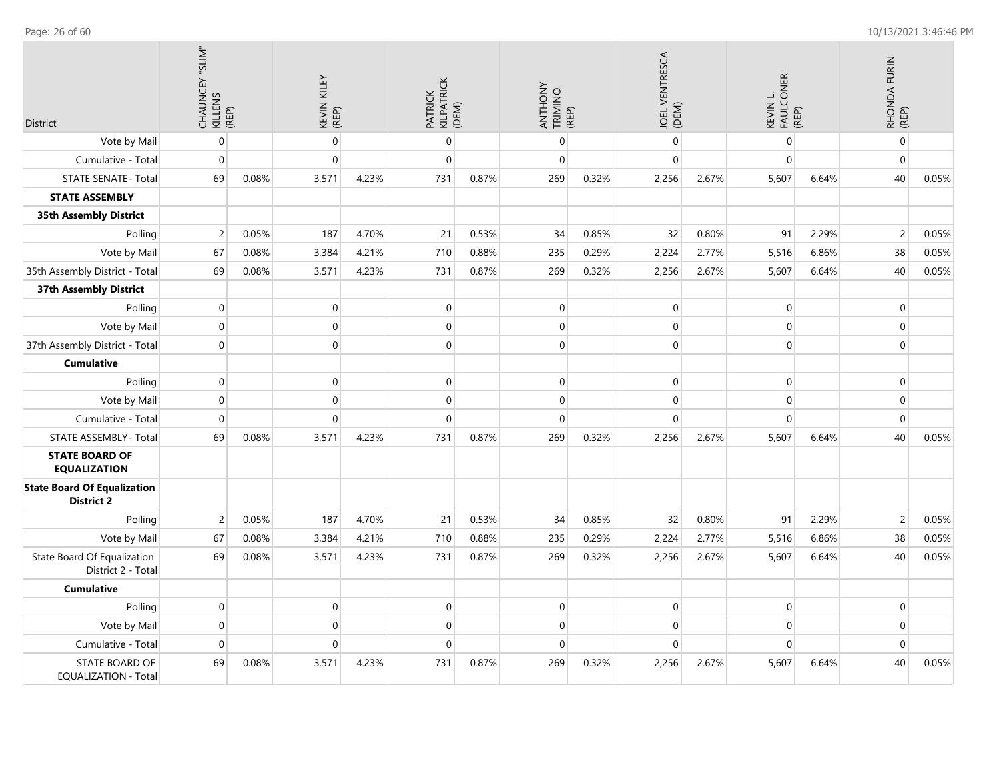| District                                                | CHAUNCEY "SLIM"<br>KILLENS<br>KEENS |       | KEVIN KILEY<br>(REP) |       | PATRICK<br>KILPATRICK<br>(DEM) |       | ANTHONY<br>TRIMINO<br>(REP) |       | JOEL VENTRESCA<br>(DEM) |       | KEVIN L.<br>FAULCONER<br>(REP) |       | RHONDA FURIN<br>(REP) |       |
|---------------------------------------------------------|-------------------------------------|-------|----------------------|-------|--------------------------------|-------|-----------------------------|-------|-------------------------|-------|--------------------------------|-------|-----------------------|-------|
| Vote by Mail                                            | $\pmb{0}$                           |       | $\mathbf 0$          |       | $\mathbf 0$                    |       | 0                           |       | $\mathbf 0$             |       | $\Omega$                       |       | $\pmb{0}$             |       |
| Cumulative - Total                                      | $\mathbf 0$                         |       | $\mathbf 0$          |       | $\mathbf 0$                    |       | 0                           |       | $\mathbf 0$             |       | 0                              |       | $\pmb{0}$             |       |
| <b>STATE SENATE - Total</b>                             | 69                                  | 0.08% | 3,571                | 4.23% | 731                            | 0.87% | 269                         | 0.32% | 2,256                   | 2.67% | 5,607                          | 6.64% | 40                    | 0.05% |
| <b>STATE ASSEMBLY</b>                                   |                                     |       |                      |       |                                |       |                             |       |                         |       |                                |       |                       |       |
| <b>35th Assembly District</b>                           |                                     |       |                      |       |                                |       |                             |       |                         |       |                                |       |                       |       |
| Polling                                                 | 2                                   | 0.05% | 187                  | 4.70% | 21                             | 0.53% | 34                          | 0.85% | 32                      | 0.80% | 91                             | 2.29% | $\overline{c}$        | 0.05% |
| Vote by Mail                                            | 67                                  | 0.08% | 3,384                | 4.21% | 710                            | 0.88% | 235                         | 0.29% | 2,224                   | 2.77% | 5,516                          | 6.86% | 38                    | 0.05% |
| 35th Assembly District - Total                          | 69                                  | 0.08% | 3,571                | 4.23% | 731                            | 0.87% | 269                         | 0.32% | 2,256                   | 2.67% | 5,607                          | 6.64% | 40                    | 0.05% |
| 37th Assembly District                                  |                                     |       |                      |       |                                |       |                             |       |                         |       |                                |       |                       |       |
| Polling                                                 | $\mathbf 0$                         |       | $\mathbf 0$          |       | $\mathbf 0$                    |       | 0                           |       | $\mathbf 0$             |       | 0                              |       | 0                     |       |
| Vote by Mail                                            | $\mathbf 0$                         |       | $\mathbf{0}$         |       | $\pmb{0}$                      |       | 0                           |       | $\mathbf 0$             |       | $\Omega$                       |       | $\boldsymbol{0}$      |       |
| 37th Assembly District - Total                          | 0                                   |       | $\mathbf 0$          |       | $\overline{0}$                 |       | 0                           |       | $\mathbf 0$             |       | 0                              |       | $\pmb{0}$             |       |
| <b>Cumulative</b>                                       |                                     |       |                      |       |                                |       |                             |       |                         |       |                                |       |                       |       |
| Polling                                                 | $\pmb{0}$                           |       | $\mathbf 0$          |       | $\mathbf 0$                    |       | 0                           |       | $\mathbf 0$             |       | 0                              |       | $\boldsymbol{0}$      |       |
| Vote by Mail                                            | $\mathbf 0$                         |       | $\mathbf{0}$         |       | $\mathbf 0$                    |       | 0                           |       | $\mathbf 0$             |       | 0                              |       | $\pmb{0}$             |       |
| Cumulative - Total                                      | 0                                   |       | $\pmb{0}$            |       | $\pmb{0}$                      |       | 0                           |       | $\mathbf 0$             |       | 0                              |       | $\boldsymbol{0}$      |       |
| STATE ASSEMBLY - Total                                  | 69                                  | 0.08% | 3,571                | 4.23% | 731                            | 0.87% | 269                         | 0.32% | 2,256                   | 2.67% | 5,607                          | 6.64% | 40                    | 0.05% |
| <b>STATE BOARD OF</b><br><b>EQUALIZATION</b>            |                                     |       |                      |       |                                |       |                             |       |                         |       |                                |       |                       |       |
| <b>State Board Of Equalization</b><br><b>District 2</b> |                                     |       |                      |       |                                |       |                             |       |                         |       |                                |       |                       |       |
| Polling                                                 | $\overline{c}$                      | 0.05% | 187                  | 4.70% | 21                             | 0.53% | 34                          | 0.85% | 32                      | 0.80% | 91                             | 2.29% | $\overline{c}$        | 0.05% |
| Vote by Mail                                            | 67                                  | 0.08% | 3,384                | 4.21% | 710                            | 0.88% | 235                         | 0.29% | 2,224                   | 2.77% | 5,516                          | 6.86% | 38                    | 0.05% |
| State Board Of Equalization<br>District 2 - Total       | 69                                  | 0.08% | 3,571                | 4.23% | 731                            | 0.87% | 269                         | 0.32% | 2,256                   | 2.67% | 5,607                          | 6.64% | 40                    | 0.05% |
| <b>Cumulative</b>                                       |                                     |       |                      |       |                                |       |                             |       |                         |       |                                |       |                       |       |
| Polling                                                 | $\mathbf 0$                         |       | $\pmb{0}$            |       | $\mathbf 0$                    |       | 0                           |       | $\mathbf 0$             |       | 0                              |       | $\boldsymbol{0}$      |       |
| Vote by Mail                                            | $\mathbf 0$                         |       | $\mathbf{0}$         |       | $\overline{0}$                 |       | 0                           |       | $\mathbf 0$             |       | 0                              |       | $\pmb{0}$             |       |
| Cumulative - Total                                      | $\mathbf 0$                         |       | $\mathbf{0}$         |       | $\mathbf 0$                    |       | $\Omega$                    |       | $\Omega$                |       | $\Omega$                       |       | $\mathbf 0$           |       |
| STATE BOARD OF<br><b>EQUALIZATION - Total</b>           | 69                                  | 0.08% | 3,571                | 4.23% | 731                            | 0.87% | 269                         | 0.32% | 2,256                   | 2.67% | 5,607                          | 6.64% | 40                    | 0.05% |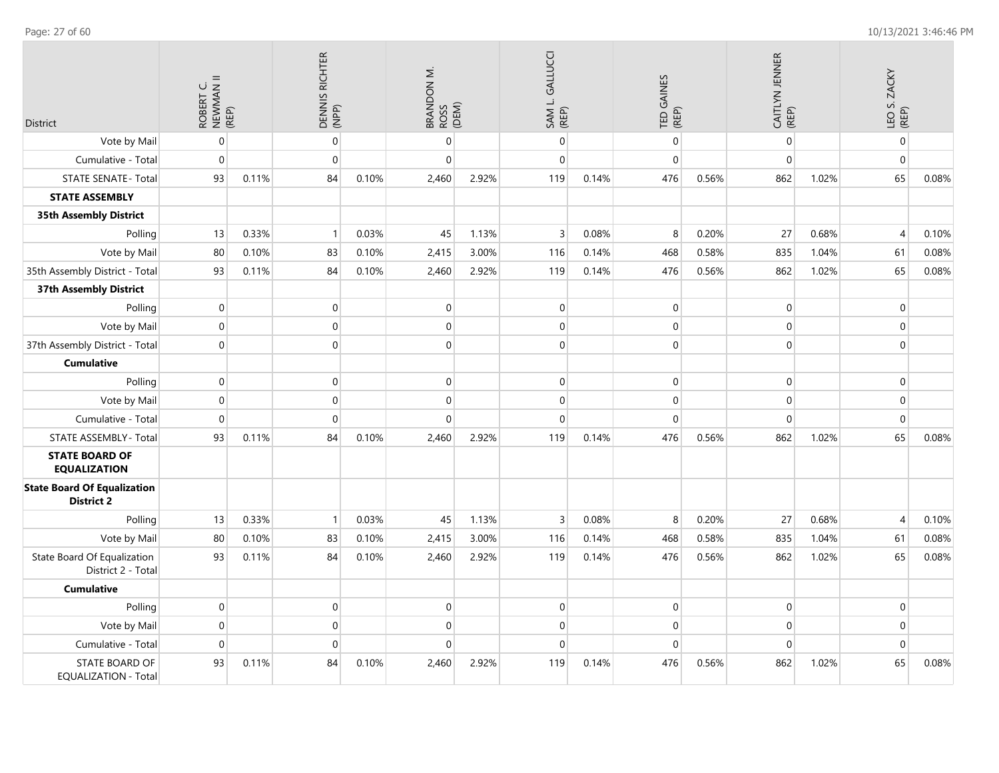| <b>District</b>                                         | ROBERT C.<br>NEWMAN II<br>(REP) |       | DENNIS RICHTER<br>(NPP) |       | BRANDON M.<br>ROSS<br>(DEM) |       | SAM L. GALLUCCI<br>(REP) |       | TED GAINES<br>(REP) |       | CAITLYN JENNER<br>(REP) |       | LEO S. ZACKY<br>(REP) |       |
|---------------------------------------------------------|---------------------------------|-------|-------------------------|-------|-----------------------------|-------|--------------------------|-------|---------------------|-------|-------------------------|-------|-----------------------|-------|
| Vote by Mail                                            | $\mathbf 0$                     |       | $\mathbf{0}$            |       | 0                           |       | $\pmb{0}$                |       | $\boldsymbol{0}$    |       | $\pmb{0}$               |       | $\mathbf 0$           |       |
| Cumulative - Total                                      | $\boldsymbol{0}$                |       | $\mathbf 0$             |       | $\mathbf 0$                 |       | $\mathbf 0$              |       | $\boldsymbol{0}$    |       | $\pmb{0}$               |       | $\pmb{0}$             |       |
| <b>STATE SENATE - Total</b>                             | 93                              | 0.11% | 84                      | 0.10% | 2,460                       | 2.92% | 119                      | 0.14% | 476                 | 0.56% | 862                     | 1.02% | 65                    | 0.08% |
| <b>STATE ASSEMBLY</b>                                   |                                 |       |                         |       |                             |       |                          |       |                     |       |                         |       |                       |       |
| 35th Assembly District                                  |                                 |       |                         |       |                             |       |                          |       |                     |       |                         |       |                       |       |
| Polling                                                 | 13                              | 0.33% | $\mathbf{1}$            | 0.03% | 45                          | 1.13% | $\overline{3}$           | 0.08% | 8                   | 0.20% | 27                      | 0.68% | $\overline{4}$        | 0.10% |
| Vote by Mail                                            | 80                              | 0.10% | 83                      | 0.10% | 2,415                       | 3.00% | 116                      | 0.14% | 468                 | 0.58% | 835                     | 1.04% | 61                    | 0.08% |
| 35th Assembly District - Total                          | 93                              | 0.11% | 84                      | 0.10% | 2,460                       | 2.92% | 119                      | 0.14% | 476                 | 0.56% | 862                     | 1.02% | 65                    | 0.08% |
| 37th Assembly District                                  |                                 |       |                         |       |                             |       |                          |       |                     |       |                         |       |                       |       |
| Polling                                                 | $\mathbf 0$                     |       | 0                       |       | 0                           |       | $\mathbf 0$              |       | $\mathbf 0$         |       | $\pmb{0}$               |       | $\mathbf 0$           |       |
| Vote by Mail                                            | $\mathbf 0$                     |       | $\mathbf 0$             |       | 0                           |       | $\mathbf{0}$             |       | 0                   |       | $\mathbf 0$             |       | $\mathbf 0$           |       |
| 37th Assembly District - Total                          | $\mathbf 0$                     |       | $\mathbf 0$             |       | $\overline{0}$              |       | $\mathbf 0$              |       | $\mathbf 0$         |       | $\mathbf 0$             |       | $\mathbf{0}$          |       |
| <b>Cumulative</b>                                       |                                 |       |                         |       |                             |       |                          |       |                     |       |                         |       |                       |       |
| Polling                                                 | $\boldsymbol{0}$                |       | $\boldsymbol{0}$        |       | $\mathsf{O}\xspace$         |       | $\pmb{0}$                |       | $\mathsf{O}\xspace$ |       | $\mathbf 0$             |       | $\mathbf 0$           |       |
| Vote by Mail                                            | $\mathbf 0$                     |       | $\mathbf 0$             |       | $\overline{0}$              |       | $\pmb{0}$                |       | $\boldsymbol{0}$    |       | $\pmb{0}$               |       | $\mathbf 0$           |       |
| Cumulative - Total                                      | $\Omega$                        |       | $\Omega$                |       | 0                           |       | $\pmb{0}$                |       | $\mathsf{O}\xspace$ |       | $\pmb{0}$               |       | $\pmb{0}$             |       |
| STATE ASSEMBLY - Total                                  | 93                              | 0.11% | 84                      | 0.10% | 2,460                       | 2.92% | 119                      | 0.14% | 476                 | 0.56% | 862                     | 1.02% | 65                    | 0.08% |
| <b>STATE BOARD OF</b><br><b>EQUALIZATION</b>            |                                 |       |                         |       |                             |       |                          |       |                     |       |                         |       |                       |       |
| <b>State Board Of Equalization</b><br><b>District 2</b> |                                 |       |                         |       |                             |       |                          |       |                     |       |                         |       |                       |       |
| Polling                                                 | 13                              | 0.33% | $\mathbf{1}$            | 0.03% | 45                          | 1.13% | $\overline{3}$           | 0.08% | 8                   | 0.20% | 27                      | 0.68% | $\overline{4}$        | 0.10% |
| Vote by Mail                                            | 80                              | 0.10% | 83                      | 0.10% | 2,415                       | 3.00% | 116                      | 0.14% | 468                 | 0.58% | 835                     | 1.04% | 61                    | 0.08% |
| State Board Of Equalization<br>District 2 - Total       | 93                              | 0.11% | 84                      | 0.10% | 2,460                       | 2.92% | 119                      | 0.14% | 476                 | 0.56% | 862                     | 1.02% | 65                    | 0.08% |
| <b>Cumulative</b>                                       |                                 |       |                         |       |                             |       |                          |       |                     |       |                         |       |                       |       |
| Polling                                                 | $\mathbf 0$                     |       | $\mathbf 0$             |       | 0                           |       | $\pmb{0}$                |       | $\boldsymbol{0}$    |       | $\pmb{0}$               |       | $\pmb{0}$             |       |
| Vote by Mail                                            | $\mathbf 0$                     |       | $\mathbf 0$             |       | 0                           |       | $\mathbf 0$              |       | $\boldsymbol{0}$    |       | $\mathbf 0$             |       | $\mathbf 0$           |       |
| Cumulative - Total                                      | $\mathbf 0$                     |       | $\Omega$                |       | 0                           |       | $\mathbf 0$              |       | 0                   |       | $\mathbf 0$             |       | $\mathbf 0$           |       |
| STATE BOARD OF<br><b>EQUALIZATION - Total</b>           | 93                              | 0.11% | 84                      | 0.10% | 2,460                       | 2.92% | 119                      | 0.14% | 476                 | 0.56% | 862                     | 1.02% | 65                    | 0.08% |

Page: 27 of 60 10/13/2021 3:46:46 PM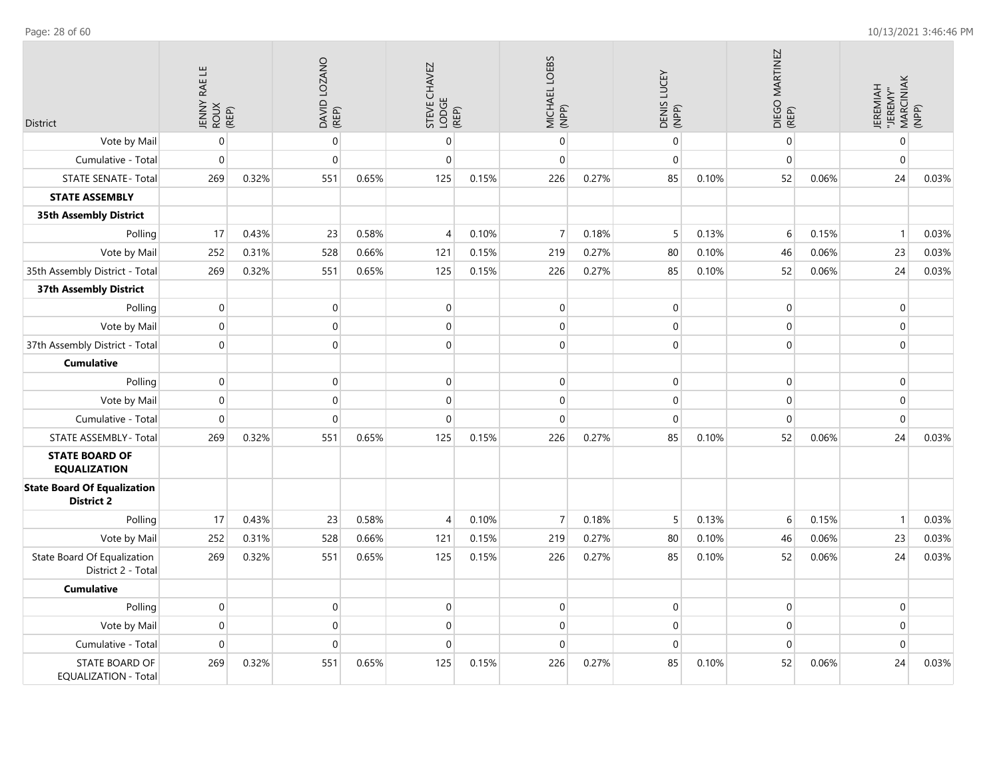| <b>District</b>                                         | JENNY RAE LE<br>ROUX<br>(REP) |       | DAVID LOZANO<br>(REP) |       | STEVE CHAVEZ<br>LODGE<br>(REP) |       | MICHAEL LOEBS<br>(NPP) |       | DENIS LUCEY<br>(NPP) |       | DIEGO MARTINEZ<br>(REP) |       | "JEREMY"<br>MARCINIAK<br>(NPP)<br><b>JEREMIAH</b> |       |
|---------------------------------------------------------|-------------------------------|-------|-----------------------|-------|--------------------------------|-------|------------------------|-------|----------------------|-------|-------------------------|-------|---------------------------------------------------|-------|
| Vote by Mail                                            | $\overline{0}$                |       | $\boldsymbol{0}$      |       | $\pmb{0}$                      |       | $\mathbf 0$            |       | $\mathbf 0$          |       | $\mathbf{0}$            |       | $\boldsymbol{0}$                                  |       |
| Cumulative - Total                                      | $\mathbf{0}$                  |       | $\overline{0}$        |       | $\mathbf 0$                    |       | $\mathbf 0$            |       | $\mathbf 0$          |       | $\mathbf 0$             |       | $\mathbf 0$                                       |       |
| <b>STATE SENATE - Total</b>                             | 269                           | 0.32% | 551                   | 0.65% | 125                            | 0.15% | 226                    | 0.27% | 85                   | 0.10% | 52                      | 0.06% | 24                                                | 0.03% |
| <b>STATE ASSEMBLY</b>                                   |                               |       |                       |       |                                |       |                        |       |                      |       |                         |       |                                                   |       |
| 35th Assembly District                                  |                               |       |                       |       |                                |       |                        |       |                      |       |                         |       |                                                   |       |
| Polling                                                 | 17                            | 0.43% | 23                    | 0.58% | $\overline{4}$                 | 0.10% | $\overline{7}$         | 0.18% | 5                    | 0.13% | 6                       | 0.15% | $\overline{1}$                                    | 0.03% |
| Vote by Mail                                            | 252                           | 0.31% | 528                   | 0.66% | 121                            | 0.15% | 219                    | 0.27% | 80                   | 0.10% | 46                      | 0.06% | 23                                                | 0.03% |
| 35th Assembly District - Total                          | 269                           | 0.32% | 551                   | 0.65% | 125                            | 0.15% | 226                    | 0.27% | 85                   | 0.10% | 52                      | 0.06% | 24                                                | 0.03% |
| 37th Assembly District                                  |                               |       |                       |       |                                |       |                        |       |                      |       |                         |       |                                                   |       |
| Polling                                                 | $\mathbf 0$                   |       | 0                     |       | $\mathbf 0$                    |       | $\mathbf 0$            |       | $\mathbf 0$          |       | $\mathbf 0$             |       | $\mathbf 0$                                       |       |
| Vote by Mail                                            | $\mathbf 0$                   |       | $\mathsf{O}\xspace$   |       | $\boldsymbol{0}$               |       | $\mathbf 0$            |       | $\pmb{0}$            |       | $\mathbf 0$             |       | $\boldsymbol{0}$                                  |       |
| 37th Assembly District - Total                          | $\mathbf{0}$                  |       | $\overline{0}$        |       | $\mathbf 0$                    |       | 0                      |       | $\mathbf{0}$         |       | $\mathbf 0$             |       | $\boldsymbol{0}$                                  |       |
| <b>Cumulative</b>                                       |                               |       |                       |       |                                |       |                        |       |                      |       |                         |       |                                                   |       |
| Polling                                                 | $\mathbf 0$                   |       | $\overline{0}$        |       | $\mathbf 0$                    |       | $\mathbf 0$            |       | $\mathbf 0$          |       | $\mathbf 0$             |       | $\mathbf 0$                                       |       |
| Vote by Mail                                            | $\pmb{0}$                     |       | $\boldsymbol{0}$      |       | $\boldsymbol{0}$               |       | $\mathbf 0$            |       | $\pmb{0}$            |       | $\pmb{0}$               |       | $\mathbf 0$                                       |       |
| Cumulative - Total                                      | $\overline{0}$                |       | $\overline{0}$        |       | $\mathbf 0$                    |       | $\mathbf 0$            |       | $\mathbf{0}$         |       | $\mathbf{0}$            |       | $\mathbf{0}$                                      |       |
| STATE ASSEMBLY - Total                                  | 269                           | 0.32% | 551                   | 0.65% | 125                            | 0.15% | 226                    | 0.27% | 85                   | 0.10% | 52                      | 0.06% | 24                                                | 0.03% |
| <b>STATE BOARD OF</b><br><b>EQUALIZATION</b>            |                               |       |                       |       |                                |       |                        |       |                      |       |                         |       |                                                   |       |
| <b>State Board Of Equalization</b><br><b>District 2</b> |                               |       |                       |       |                                |       |                        |       |                      |       |                         |       |                                                   |       |
| Polling                                                 | 17                            | 0.43% | 23                    | 0.58% | 4                              | 0.10% | $\overline{7}$         | 0.18% | 5                    | 0.13% | 6                       | 0.15% | $\mathbf{1}$                                      | 0.03% |
| Vote by Mail                                            | 252                           | 0.31% | 528                   | 0.66% | 121                            | 0.15% | 219                    | 0.27% | 80                   | 0.10% | 46                      | 0.06% | 23                                                | 0.03% |
| State Board Of Equalization<br>District 2 - Total       | 269                           | 0.32% | 551                   | 0.65% | 125                            | 0.15% | 226                    | 0.27% | 85                   | 0.10% | 52                      | 0.06% | 24                                                | 0.03% |
| <b>Cumulative</b>                                       |                               |       |                       |       |                                |       |                        |       |                      |       |                         |       |                                                   |       |
| Polling                                                 | $\mathbf 0$                   |       | $\overline{0}$        |       | $\boldsymbol{0}$               |       | $\mathbf 0$            |       | $\mathbf 0$          |       | $\mathbf 0$             |       | $\boldsymbol{0}$                                  |       |
| Vote by Mail                                            | $\mathbf 0$                   |       | $\mathsf{O}\xspace$   |       | $\mathbf 0$                    |       | $\mathbf 0$            |       | $\mathbf{0}$         |       | $\mathbf 0$             |       | $\mathbf{0}$                                      |       |
| Cumulative - Total                                      | $\mathbf{0}$                  |       | $\mathbf 0$           |       | $\mathbf 0$                    |       | $\mathbf 0$            |       | $\mathbf{0}$         |       | $\mathbf{0}$            |       | $\mathbf 0$                                       |       |
| STATE BOARD OF<br><b>EQUALIZATION - Total</b>           | 269                           | 0.32% | 551                   | 0.65% | 125                            | 0.15% | 226                    | 0.27% | 85                   | 0.10% | 52                      | 0.06% | 24                                                | 0.03% |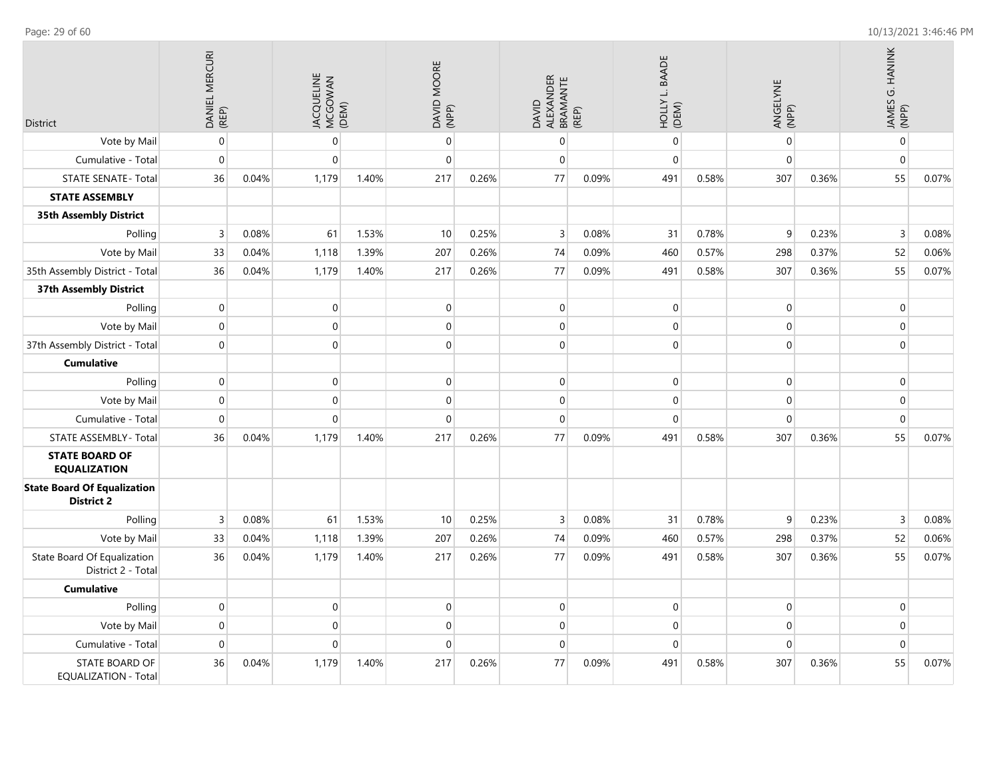| <b>District</b>                                         | DANIEL MERCURI<br>(REP) |       | JACQUELINE<br>MCGOWAN<br>(DEM) |       | DAVID MOORE<br>(NPP) |       | ALEXANDER<br>BRAMANTE<br>(REP)<br>DAVID |       | HOLLY L. BAADE<br>(DEM) |       | ANGELYNE<br>(NPP) |       | JAMES G. HANINK<br>(NPP) |       |
|---------------------------------------------------------|-------------------------|-------|--------------------------------|-------|----------------------|-------|-----------------------------------------|-------|-------------------------|-------|-------------------|-------|--------------------------|-------|
| Vote by Mail                                            | $\boldsymbol{0}$        |       | $\mathbf 0$                    |       | $\mathbf{0}$         |       | 0                                       |       | $\mathbf 0$             |       | $\mathbf 0$       |       | $\boldsymbol{0}$         |       |
| Cumulative - Total                                      | $\mathbf 0$             |       | $\mathbf{0}$                   |       | $\mathbf{0}$         |       | $\overline{0}$                          |       | $\mathbf 0$             |       | $\mathbf 0$       |       | $\mathbf 0$              |       |
| <b>STATE SENATE - Total</b>                             | 36                      | 0.04% | 1,179                          | 1.40% | 217                  | 0.26% | 77                                      | 0.09% | 491                     | 0.58% | 307               | 0.36% | 55                       | 0.07% |
| <b>STATE ASSEMBLY</b>                                   |                         |       |                                |       |                      |       |                                         |       |                         |       |                   |       |                          |       |
| <b>35th Assembly District</b>                           |                         |       |                                |       |                      |       |                                         |       |                         |       |                   |       |                          |       |
| Polling                                                 | $\overline{3}$          | 0.08% | 61                             | 1.53% | 10                   | 0.25% | 3                                       | 0.08% | 31                      | 0.78% | $\mathsf 9$       | 0.23% | 3                        | 0.08% |
| Vote by Mail                                            | 33                      | 0.04% | 1,118                          | 1.39% | 207                  | 0.26% | 74                                      | 0.09% | 460                     | 0.57% | 298               | 0.37% | 52                       | 0.06% |
| 35th Assembly District - Total                          | 36                      | 0.04% | 1,179                          | 1.40% | 217                  | 0.26% | 77                                      | 0.09% | 491                     | 0.58% | 307               | 0.36% | 55                       | 0.07% |
| 37th Assembly District                                  |                         |       |                                |       |                      |       |                                         |       |                         |       |                   |       |                          |       |
| Polling                                                 | $\mathbf 0$             |       | $\mathbf 0$                    |       | $\mathbf 0$          |       | 0                                       |       | $\boldsymbol{0}$        |       | $\mathbf 0$       |       | $\mathbf 0$              |       |
| Vote by Mail                                            | $\mathbf 0$             |       | $\mathbf 0$                    |       | $\mathbf{0}$         |       | 0                                       |       | $\mathbf 0$             |       | $\mathbf 0$       |       | $\mathbf 0$              |       |
| 37th Assembly District - Total                          | $\mathbf 0$             |       | $\Omega$                       |       | $\mathbf 0$          |       | $\overline{0}$                          |       | $\boldsymbol{0}$        |       | $\Omega$          |       | $\mathbf 0$              |       |
| <b>Cumulative</b>                                       |                         |       |                                |       |                      |       |                                         |       |                         |       |                   |       |                          |       |
| Polling                                                 | $\mathbf 0$             |       | $\mathbf 0$                    |       | $\mathbf 0$          |       | 0                                       |       | $\boldsymbol{0}$        |       | $\mathbf 0$       |       | $\mathbf 0$              |       |
| Vote by Mail                                            | $\boldsymbol{0}$        |       | $\mathbf{0}$                   |       | $\mathbf{0}$         |       | $\overline{0}$                          |       | $\mathbf{0}$            |       | $\mathbf 0$       |       | $\mathbf 0$              |       |
| Cumulative - Total                                      | $\mathbf 0$             |       | $\mathbf 0$                    |       | $\mathbf{0}$         |       | $\overline{0}$                          |       | $\mathbf 0$             |       | $\mathbf 0$       |       | $\mathbf 0$              |       |
| STATE ASSEMBLY - Total                                  | 36                      | 0.04% | 1,179                          | 1.40% | 217                  | 0.26% | 77                                      | 0.09% | 491                     | 0.58% | 307               | 0.36% | 55                       | 0.07% |
| <b>STATE BOARD OF</b><br><b>EQUALIZATION</b>            |                         |       |                                |       |                      |       |                                         |       |                         |       |                   |       |                          |       |
| <b>State Board Of Equalization</b><br><b>District 2</b> |                         |       |                                |       |                      |       |                                         |       |                         |       |                   |       |                          |       |
| Polling                                                 | $\overline{3}$          | 0.08% | 61                             | 1.53% | 10                   | 0.25% | $\overline{3}$                          | 0.08% | 31                      | 0.78% | 9                 | 0.23% | $\mathsf 3$              | 0.08% |
| Vote by Mail                                            | 33                      | 0.04% | 1,118                          | 1.39% | 207                  | 0.26% | 74                                      | 0.09% | 460                     | 0.57% | 298               | 0.37% | 52                       | 0.06% |
| State Board Of Equalization<br>District 2 - Total       | 36                      | 0.04% | 1,179                          | 1.40% | 217                  | 0.26% | 77                                      | 0.09% | 491                     | 0.58% | 307               | 0.36% | 55                       | 0.07% |
| <b>Cumulative</b>                                       |                         |       |                                |       |                      |       |                                         |       |                         |       |                   |       |                          |       |
| Polling                                                 | $\mathbf{0}$            |       | $\mathbf{0}$                   |       | $\mathbf{0}$         |       | $\overline{0}$                          |       | $\mathbf 0$             |       | $\mathbf{0}$      |       | $\mathbf 0$              |       |
| Vote by Mail                                            | $\mathbf 0$             |       | $\mathbf 0$                    |       | $\mathbf{0}$         |       | 0                                       |       | $\boldsymbol{0}$        |       | $\mathbf 0$       |       | $\mathbf 0$              |       |
| Cumulative - Total                                      | $\mathbf 0$             |       | $\mathbf 0$                    |       | $\mathbf 0$          |       | 0                                       |       | $\mathbf 0$             |       | $\mathbf 0$       |       | $\mathbf 0$              |       |
| STATE BOARD OF<br><b>EQUALIZATION - Total</b>           | 36                      | 0.04% | 1,179                          | 1.40% | 217                  | 0.26% | 77                                      | 0.09% | 491                     | 0.58% | 307               | 0.36% | 55                       | 0.07% |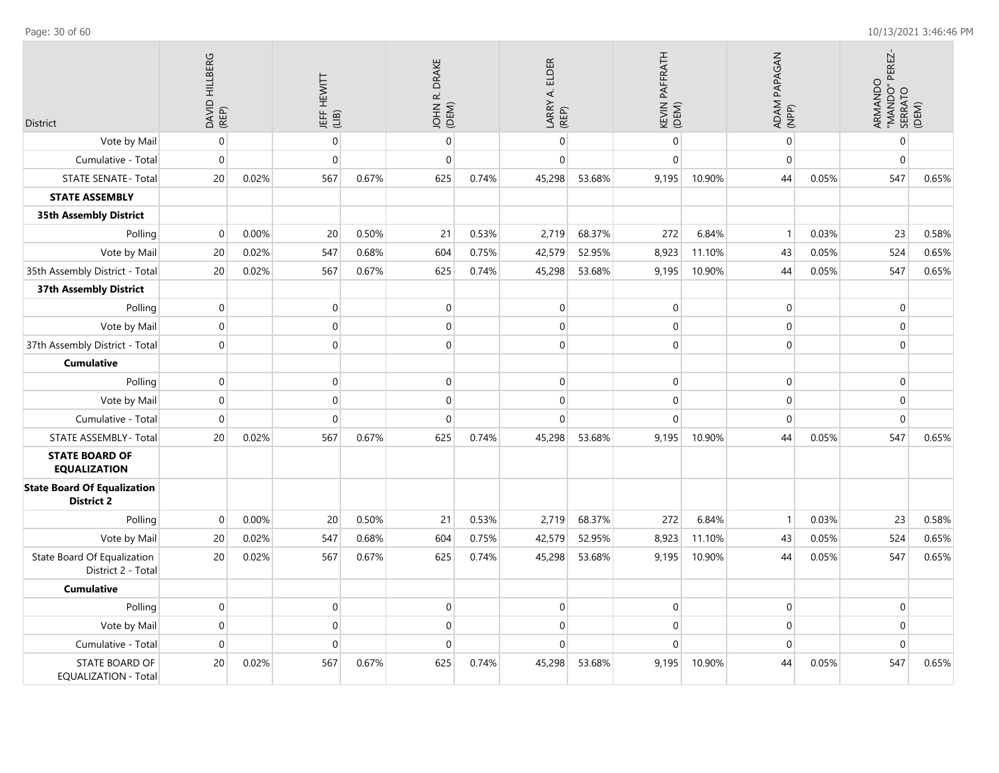| District                                                | DAVID HILLBERG<br>(REP) |       | <b>JEFF HEWITT</b><br>(LIB) |       | <b>DRAKE</b><br>$\vec{\alpha}$<br>JOHN I |       | LARRY A. ELDER<br>(REP) |        | KEVIN PAFFRATH<br>(DEM) |        | ADAM PAPAGAN<br>(NPP) |       | PEREZ-<br>ARMANDO<br>"MANDO" PI<br>SERRATO<br>(DEM) |       |
|---------------------------------------------------------|-------------------------|-------|-----------------------------|-------|------------------------------------------|-------|-------------------------|--------|-------------------------|--------|-----------------------|-------|-----------------------------------------------------|-------|
| Vote by Mail                                            | $\mathbf{0}$            |       | $\mathbf 0$                 |       | $\mathbf 0$                              |       | $\boldsymbol{0}$        |        | $\mathbf 0$             |        | $\mathbf 0$           |       | $\mathbf{0}$                                        |       |
| Cumulative - Total                                      | $\Omega$                |       | $\mathbf 0$                 |       | 0                                        |       | $\overline{0}$          |        | $\mathbf 0$             |        | $\mathbf 0$           |       | $\mathbf 0$                                         |       |
| <b>STATE SENATE - Total</b>                             | 20                      | 0.02% | 567                         | 0.67% | 625                                      | 0.74% | 45,298                  | 53.68% | 9,195                   | 10.90% | 44                    | 0.05% | 547                                                 | 0.65% |
| <b>STATE ASSEMBLY</b>                                   |                         |       |                             |       |                                          |       |                         |        |                         |        |                       |       |                                                     |       |
| <b>35th Assembly District</b>                           |                         |       |                             |       |                                          |       |                         |        |                         |        |                       |       |                                                     |       |
| Polling                                                 | $\Omega$                | 0.00% | 20                          | 0.50% | 21                                       | 0.53% | 2,719                   | 68.37% | 272                     | 6.84%  | $\mathbf{1}$          | 0.03% | 23                                                  | 0.58% |
| Vote by Mail                                            | 20                      | 0.02% | 547                         | 0.68% | 604                                      | 0.75% | 42,579                  | 52.95% | 8,923                   | 11.10% | 43                    | 0.05% | 524                                                 | 0.65% |
| 35th Assembly District - Total                          | 20                      | 0.02% | 567                         | 0.67% | 625                                      | 0.74% | 45,298                  | 53.68% | 9,195                   | 10.90% | 44                    | 0.05% | 547                                                 | 0.65% |
| <b>37th Assembly District</b>                           |                         |       |                             |       |                                          |       |                         |        |                         |        |                       |       |                                                     |       |
| Polling                                                 | $\mathbf{0}$            |       | $\mathbf 0$                 |       | 0                                        |       | $\overline{0}$          |        | $\mathbf 0$             |        | $\mathbf 0$           |       | $\mathbf 0$                                         |       |
| Vote by Mail                                            | $\mathbf 0$             |       | $\mathbf 0$                 |       | $\mathbf 0$                              |       | $\boldsymbol{0}$        |        | $\mathbf 0$             |        | $\mathbf 0$           |       | $\mathbf{0}$                                        |       |
| 37th Assembly District - Total                          | $\Omega$                |       | $\Omega$                    |       | $\overline{0}$                           |       | $\overline{0}$          |        | $\Omega$                |        | $\Omega$              |       | $\mathbf{0}$                                        |       |
| <b>Cumulative</b>                                       |                         |       |                             |       |                                          |       |                         |        |                         |        |                       |       |                                                     |       |
| Polling                                                 | $\boldsymbol{0}$        |       | 0                           |       | 0                                        |       | 0                       |        | $\mathbf 0$             |        | $\mathbf 0$           |       | $\mathbf 0$                                         |       |
| Vote by Mail                                            | $\mathbf{0}$            |       | $\mathbf 0$                 |       | $\mathbf 0$                              |       | $\overline{0}$          |        | $\mathbf{0}$            |        | $\mathbf 0$           |       | $\mathbf{0}$                                        |       |
| Cumulative - Total                                      | $\mathbf{0}$            |       | $\mathbf 0$                 |       | 0                                        |       | $\overline{0}$          |        | $\mathbf 0$             |        | $\mathbf 0$           |       | $\mathbf{0}$                                        |       |
| STATE ASSEMBLY - Total                                  | 20                      | 0.02% | 567                         | 0.67% | 625                                      | 0.74% | 45,298                  | 53.68% | 9,195                   | 10.90% | 44                    | 0.05% | 547                                                 | 0.65% |
| <b>STATE BOARD OF</b><br><b>EQUALIZATION</b>            |                         |       |                             |       |                                          |       |                         |        |                         |        |                       |       |                                                     |       |
| <b>State Board Of Equalization</b><br><b>District 2</b> |                         |       |                             |       |                                          |       |                         |        |                         |        |                       |       |                                                     |       |
| Polling                                                 | $\mathbf 0$             | 0.00% | 20                          | 0.50% | 21                                       | 0.53% | 2,719                   | 68.37% | 272                     | 6.84%  | $\mathbf{1}$          | 0.03% | 23                                                  | 0.58% |
| Vote by Mail                                            | 20                      | 0.02% | 547                         | 0.68% | 604                                      | 0.75% | 42,579                  | 52.95% | 8,923                   | 11.10% | 43                    | 0.05% | 524                                                 | 0.65% |
| State Board Of Equalization<br>District 2 - Total       | 20                      | 0.02% | 567                         | 0.67% | 625                                      | 0.74% | 45,298                  | 53.68% | 9,195                   | 10.90% | 44                    | 0.05% | 547                                                 | 0.65% |
| <b>Cumulative</b>                                       |                         |       |                             |       |                                          |       |                         |        |                         |        |                       |       |                                                     |       |
| Polling                                                 | $\mathbf{0}$            |       | $\mathbf 0$                 |       | 0                                        |       | $\boldsymbol{0}$        |        | $\mathbf 0$             |        | $\pmb{0}$             |       | $\mathbf 0$                                         |       |
| Vote by Mail                                            | $\mathbf{0}$            |       | $\mathbf 0$                 |       | 0                                        |       | $\overline{0}$          |        | $\mathbf 0$             |        | $\mathbf 0$           |       | $\mathbf{0}$                                        |       |
| Cumulative - Total                                      | $\Omega$                |       | $\Omega$                    |       | $\Omega$                                 |       | 0                       |        | $\mathbf 0$             |        | $\mathbf 0$           |       | $\mathbf 0$                                         |       |
| <b>STATE BOARD OF</b><br><b>EQUALIZATION - Total</b>    | 20                      | 0.02% | 567                         | 0.67% | 625                                      | 0.74% | 45,298                  | 53.68% | 9,195                   | 10.90% | 44                    | 0.05% | 547                                                 | 0.65% |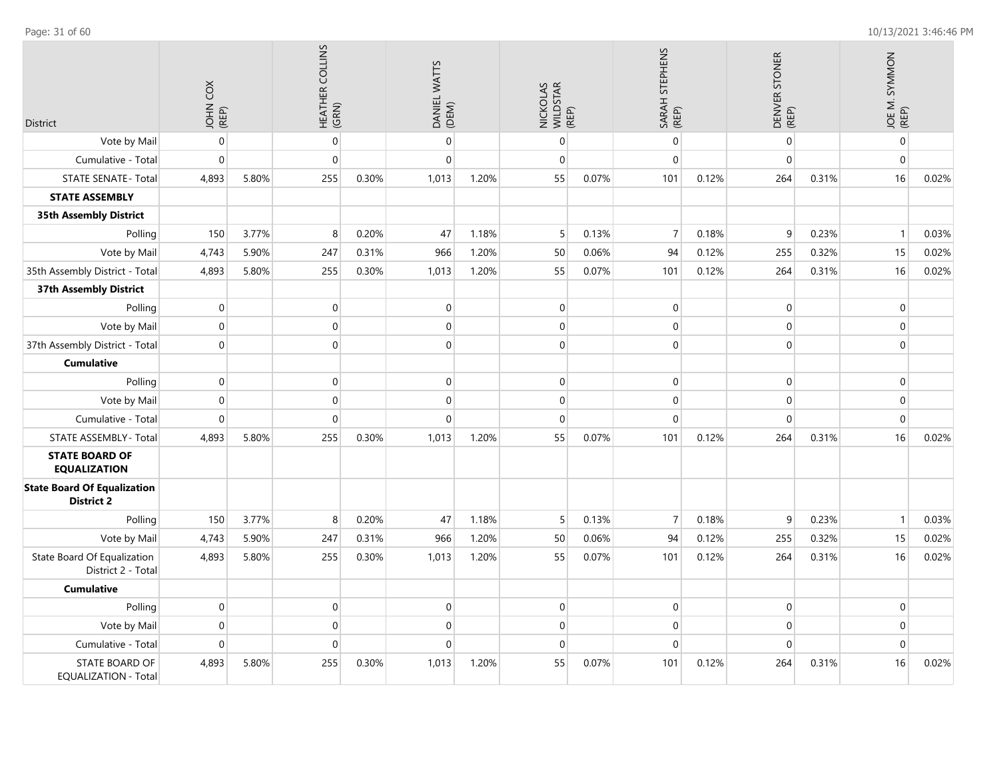| <b>District</b>                                         | JOHN COX<br>(REP) |       | HEATHER COLLINS<br>(GRN) |       | DANIEL WATTS<br>(DEM) |       | NICKOLAS<br>WILDSTAR<br>(REP) |       | SARAH STEPHENS<br>(REP) |       | DENVER STONER<br>(REP) |       | JOE M. SYMMON<br>(REP) |       |
|---------------------------------------------------------|-------------------|-------|--------------------------|-------|-----------------------|-------|-------------------------------|-------|-------------------------|-------|------------------------|-------|------------------------|-------|
| Vote by Mail                                            | $\mathbf 0$       |       | $\boldsymbol{0}$         |       | $\mathbf 0$           |       | $\mathbf 0$                   |       | $\mathbf 0$             |       | $\mathbf 0$            |       | $\pmb{0}$              |       |
| Cumulative - Total                                      | $\mathbf 0$       |       | $\overline{0}$           |       | $\Omega$              |       | $\mathbf{0}$                  |       | $\overline{0}$          |       | $\mathbf 0$            |       | $\pmb{0}$              |       |
| <b>STATE SENATE - Total</b>                             | 4,893             | 5.80% | 255                      | 0.30% | 1,013                 | 1.20% | 55                            | 0.07% | 101                     | 0.12% | 264                    | 0.31% | 16                     | 0.02% |
| <b>STATE ASSEMBLY</b>                                   |                   |       |                          |       |                       |       |                               |       |                         |       |                        |       |                        |       |
| <b>35th Assembly District</b>                           |                   |       |                          |       |                       |       |                               |       |                         |       |                        |       |                        |       |
| Polling                                                 | 150               | 3.77% | 8                        | 0.20% | 47                    | 1.18% | 5                             | 0.13% | $\overline{7}$          | 0.18% | 9                      | 0.23% | $\mathbf{1}$           | 0.03% |
| Vote by Mail                                            | 4,743             | 5.90% | 247                      | 0.31% | 966                   | 1.20% | 50                            | 0.06% | 94                      | 0.12% | 255                    | 0.32% | 15                     | 0.02% |
| 35th Assembly District - Total                          | 4,893             | 5.80% | 255                      | 0.30% | 1,013                 | 1.20% | 55                            | 0.07% | 101                     | 0.12% | 264                    | 0.31% | 16                     | 0.02% |
| 37th Assembly District                                  |                   |       |                          |       |                       |       |                               |       |                         |       |                        |       |                        |       |
| Polling                                                 | $\mathbf 0$       |       | $\mathbf{0}$             |       | $\Omega$              |       | $\mathbf{0}$                  |       | $\overline{0}$          |       | $\mathbf 0$            |       | $\mathbf 0$            |       |
| Vote by Mail                                            | $\mathbf 0$       |       | $\mathbf 0$              |       | $\mathbf 0$           |       | $\mathbf 0$                   |       | $\mathbf{0}$            |       | $\mathbf 0$            |       | $\mathbf 0$            |       |
| 37th Assembly District - Total                          | $\mathbf 0$       |       | $\overline{0}$           |       | $\Omega$              |       | $\mathbf 0$                   |       | $\overline{0}$          |       | $\Omega$               |       | $\mathbf{0}$           |       |
| <b>Cumulative</b>                                       |                   |       |                          |       |                       |       |                               |       |                         |       |                        |       |                        |       |
| Polling                                                 | $\mathbf 0$       |       | $\mathbf 0$              |       | $\Omega$              |       | $\mathbf 0$                   |       | $\mathbf 0$             |       | $\mathbf 0$            |       | $\pmb{0}$              |       |
| Vote by Mail                                            | $\mathbf 0$       |       | $\mathbf 0$              |       | $\mathbf 0$           |       | $\mathbf 0$                   |       | 0                       |       | $\mathbf 0$            |       | $\mathbf 0$            |       |
| Cumulative - Total                                      | $\mathbf 0$       |       | $\mathbf 0$              |       | $\Omega$              |       | $\mathbf{0}$                  |       | $\overline{0}$          |       | $\mathbf 0$            |       | $\pmb{0}$              |       |
| STATE ASSEMBLY - Total                                  | 4,893             | 5.80% | 255                      | 0.30% | 1,013                 | 1.20% | 55                            | 0.07% | 101                     | 0.12% | 264                    | 0.31% | 16                     | 0.02% |
| <b>STATE BOARD OF</b><br><b>EQUALIZATION</b>            |                   |       |                          |       |                       |       |                               |       |                         |       |                        |       |                        |       |
| <b>State Board Of Equalization</b><br><b>District 2</b> |                   |       |                          |       |                       |       |                               |       |                         |       |                        |       |                        |       |
| Polling                                                 | 150               | 3.77% | 8                        | 0.20% | 47                    | 1.18% | 5                             | 0.13% | $\overline{7}$          | 0.18% | 9                      | 0.23% | $\mathbf{1}$           | 0.03% |
| Vote by Mail                                            | 4,743             | 5.90% | 247                      | 0.31% | 966                   | 1.20% | 50                            | 0.06% | 94                      | 0.12% | 255                    | 0.32% | 15                     | 0.02% |
| State Board Of Equalization<br>District 2 - Total       | 4,893             | 5.80% | 255                      | 0.30% | 1,013                 | 1.20% | 55                            | 0.07% | 101                     | 0.12% | 264                    | 0.31% | 16                     | 0.02% |
| <b>Cumulative</b>                                       |                   |       |                          |       |                       |       |                               |       |                         |       |                        |       |                        |       |
| Polling                                                 | $\mathbf 0$       |       | $\mathbf 0$              |       | $\mathbf 0$           |       | $\mathbf 0$                   |       | 0                       |       | $\mathbf 0$            |       | $\mathbf 0$            |       |
| Vote by Mail                                            | $\mathbf 0$       |       | $\mathbf 0$              |       | $\Omega$              |       | $\mathbf{0}$                  |       | $\mathbf{0}$            |       | $\mathbf{0}$           |       | $\mathbf{0}$           |       |
| Cumulative - Total                                      | $\mathbf 0$       |       | $\overline{0}$           |       | $\mathbf 0$           |       | $\mathbf 0$                   |       | $\overline{0}$          |       | $\mathbf 0$            |       | $\mathbf 0$            |       |
| STATE BOARD OF<br><b>EQUALIZATION - Total</b>           | 4,893             | 5.80% | 255                      | 0.30% | 1,013                 | 1.20% | 55                            | 0.07% | 101                     | 0.12% | 264                    | 0.31% | 16                     | 0.02% |

Page: 31 of 60 10/13/2021 3:46:46 PM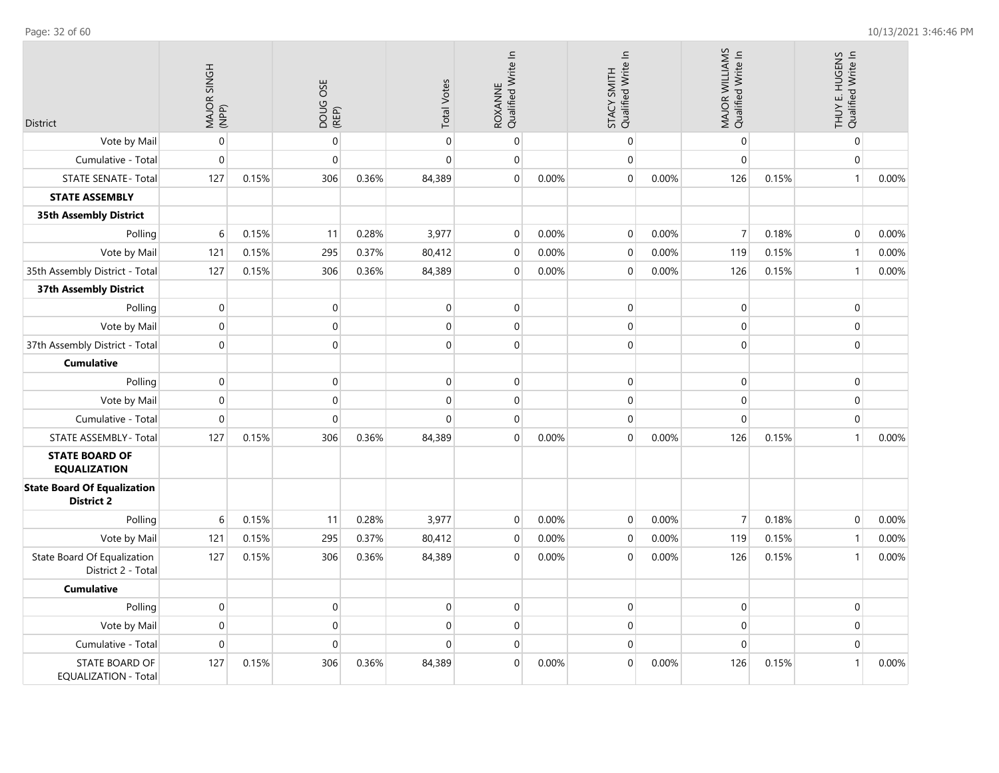| District                                                | MAJOR SINGH<br>(NPP) |       | DOUG OSE<br>(REP) |       | <b>Total Votes</b> | ROXANNE<br>Qualified Write In |       | STACY SMITH<br>Qualified Write In |       | MAJOR WILLIAMS<br>Qualified Write In |       | THUY E. HUGENS<br>Qualified Write In |       |
|---------------------------------------------------------|----------------------|-------|-------------------|-------|--------------------|-------------------------------|-------|-----------------------------------|-------|--------------------------------------|-------|--------------------------------------|-------|
| Vote by Mail                                            | $\pmb{0}$            |       | $\pmb{0}$         |       | $\mathbf 0$        | $\mathbf 0$                   |       | $\mathbf 0$                       |       | $\mathbf 0$                          |       | $\boldsymbol{0}$                     |       |
| Cumulative - Total                                      | $\mathbf 0$          |       | $\mathbf{0}$      |       | $\mathbf 0$        | $\mathbf 0$                   |       | $\mathbf{0}$                      |       | $\mathbf{0}$                         |       | $\mathbf{0}$                         |       |
| <b>STATE SENATE - Total</b>                             | 127                  | 0.15% | 306               | 0.36% | 84,389             | $\pmb{0}$                     | 0.00% | $\mathbf 0$                       | 0.00% | 126                                  | 0.15% | $\mathbf{1}$                         | 0.00% |
| <b>STATE ASSEMBLY</b>                                   |                      |       |                   |       |                    |                               |       |                                   |       |                                      |       |                                      |       |
| <b>35th Assembly District</b>                           |                      |       |                   |       |                    |                               |       |                                   |       |                                      |       |                                      |       |
| Polling                                                 | 6                    | 0.15% | 11                | 0.28% | 3,977              | $\mathbf 0$                   | 0.00% | $\mathbf{0}$                      | 0.00% | $\overline{7}$                       | 0.18% | $\mathbf{0}$                         | 0.00% |
| Vote by Mail                                            | 121                  | 0.15% | 295               | 0.37% | 80,412             | $\mathbf 0$                   | 0.00% | $\mathbf 0$                       | 0.00% | 119                                  | 0.15% | $\mathbf{1}$                         | 0.00% |
| 35th Assembly District - Total                          | 127                  | 0.15% | 306               | 0.36% | 84,389             | $\mathbf 0$                   | 0.00% | $\overline{0}$                    | 0.00% | 126                                  | 0.15% | $\mathbf{1}$                         | 0.00% |
| 37th Assembly District                                  |                      |       |                   |       |                    |                               |       |                                   |       |                                      |       |                                      |       |
| Polling                                                 | $\pmb{0}$            |       | $\boldsymbol{0}$  |       | $\mathbf 0$        | $\mathbf 0$                   |       | $\mathbf 0$                       |       | $\pmb{0}$                            |       | 0                                    |       |
| Vote by Mail                                            | $\mathbf 0$          |       | $\boldsymbol{0}$  |       | $\mathbf 0$        | $\mathbf 0$                   |       | $\mathbf{0}$                      |       | $\mathbf 0$                          |       | $\boldsymbol{0}$                     |       |
| 37th Assembly District - Total                          | $\mathbf 0$          |       | $\overline{0}$    |       | $\mathbf 0$        | $\mathbf 0$                   |       | $\mathbf 0$                       |       | $\mathbf 0$                          |       | $\pmb{0}$                            |       |
| <b>Cumulative</b>                                       |                      |       |                   |       |                    |                               |       |                                   |       |                                      |       |                                      |       |
| Polling                                                 | $\pmb{0}$            |       | $\boldsymbol{0}$  |       | $\mathbf 0$        | $\mathbf 0$                   |       | $\mathbf 0$                       |       | $\mathbf 0$                          |       | $\boldsymbol{0}$                     |       |
| Vote by Mail                                            | $\mathbf 0$          |       | $\boldsymbol{0}$  |       | $\mathbf 0$        | $\mathbf 0$                   |       | $\mathbf 0$                       |       | $\mathbf 0$                          |       | $\boldsymbol{0}$                     |       |
| Cumulative - Total                                      | $\pmb{0}$            |       | $\mathbf{0}$      |       | $\mathbf 0$        | $\mathbf 0$                   |       | $\mathbf{0}$                      |       | $\mathbf{0}$                         |       | $\mathbf{0}$                         |       |
| STATE ASSEMBLY - Total                                  | 127                  | 0.15% | 306               | 0.36% | 84,389             | $\mathbf 0$                   | 0.00% | $\mathbf{0}$                      | 0.00% | 126                                  | 0.15% | $\mathbf{1}$                         | 0.00% |
| <b>STATE BOARD OF</b><br><b>EQUALIZATION</b>            |                      |       |                   |       |                    |                               |       |                                   |       |                                      |       |                                      |       |
| <b>State Board Of Equalization</b><br><b>District 2</b> |                      |       |                   |       |                    |                               |       |                                   |       |                                      |       |                                      |       |
| Polling                                                 | 6                    | 0.15% | 11                | 0.28% | 3,977              | $\mathbf 0$                   | 0.00% | $\mathbf 0$                       | 0.00% | $\overline{7}$                       | 0.18% | $\mathbf 0$                          | 0.00% |
| Vote by Mail                                            | 121                  | 0.15% | 295               | 0.37% | 80,412             | $\mathbf 0$                   | 0.00% | $\mathbf 0$                       | 0.00% | 119                                  | 0.15% | $\mathbf{1}$                         | 0.00% |
| State Board Of Equalization<br>District 2 - Total       | 127                  | 0.15% | 306               | 0.36% | 84,389             | $\mathbf 0$                   | 0.00% | $\Omega$                          | 0.00% | 126                                  | 0.15% | $\mathbf{1}$                         | 0.00% |
| <b>Cumulative</b>                                       |                      |       |                   |       |                    |                               |       |                                   |       |                                      |       |                                      |       |
| Polling                                                 | $\mathbf 0$          |       | $\boldsymbol{0}$  |       | $\mathbf 0$        | $\mathbf 0$                   |       | $\mathbf 0$                       |       | $\mathbf 0$                          |       | $\boldsymbol{0}$                     |       |
| Vote by Mail                                            | $\mathbf 0$          |       | $\overline{0}$    |       | $\mathbf 0$        | $\mathbf 0$                   |       | $\mathbf 0$                       |       | $\mathbf 0$                          |       | $\boldsymbol{0}$                     |       |
| Cumulative - Total                                      | $\pmb{0}$            |       | $\boldsymbol{0}$  |       | $\Omega$           | $\mathbf 0$                   |       | $\mathbf 0$                       |       | $\mathbf 0$                          |       | $\boldsymbol{0}$                     |       |
| STATE BOARD OF<br><b>EQUALIZATION - Total</b>           | 127                  | 0.15% | 306               | 0.36% | 84,389             | $\mathbf 0$                   | 0.00% | $\overline{0}$                    | 0.00% | 126                                  | 0.15% | $\mathbf{1}$                         | 0.00% |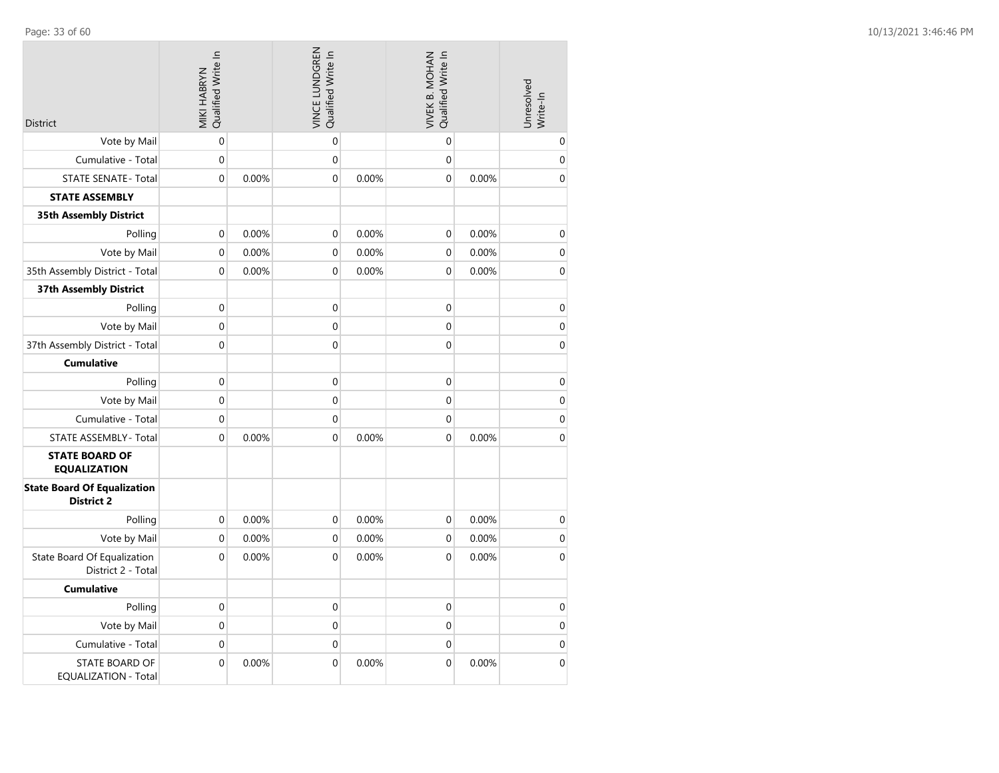| <b>District</b>                                         | Qualified Write In<br>MIKI HABRYN |       | VINCE LUNDGREN<br>Qualified Write In |       | Qualified Write In<br>VIVEK B. MOHAN |       | Unresolved<br>Write-In |
|---------------------------------------------------------|-----------------------------------|-------|--------------------------------------|-------|--------------------------------------|-------|------------------------|
| Vote by Mail                                            | $\mathbf 0$                       |       | $\mathbf 0$                          |       | $\mathbf 0$                          |       | 0                      |
| Cumulative - Total                                      | 0                                 |       | $\mathbf 0$                          |       | $\mathbf 0$                          |       | $\boldsymbol{0}$       |
| <b>STATE SENATE - Total</b>                             | $\mathbf 0$                       | 0.00% | $\mathbf 0$                          | 0.00% | $\mathbf 0$                          | 0.00% | $\boldsymbol{0}$       |
| <b>STATE ASSEMBLY</b>                                   |                                   |       |                                      |       |                                      |       |                        |
| <b>35th Assembly District</b>                           |                                   |       |                                      |       |                                      |       |                        |
| Polling                                                 | 0                                 | 0.00% | $\boldsymbol{0}$                     | 0.00% | $\boldsymbol{0}$                     | 0.00% | $\pmb{0}$              |
| Vote by Mail                                            | $\mathbf 0$                       | 0.00% | $\mathbf 0$                          | 0.00% | $\mathbf 0$                          | 0.00% | $\boldsymbol{0}$       |
| 35th Assembly District - Total                          | $\mathbf 0$                       | 0.00% | $\mathbf 0$                          | 0.00% | $\mathbf 0$                          | 0.00% | $\boldsymbol{0}$       |
| <b>37th Assembly District</b>                           |                                   |       |                                      |       |                                      |       |                        |
| Polling                                                 | $\mathbf 0$                       |       | $\mathbf 0$                          |       | $\mathbf 0$                          |       | $\boldsymbol{0}$       |
| Vote by Mail                                            | $\boldsymbol{0}$                  |       | $\mathbf 0$                          |       | $\boldsymbol{0}$                     |       | $\boldsymbol{0}$       |
| 37th Assembly District - Total                          | $\mathbf 0$                       |       | $\overline{0}$                       |       | $\overline{0}$                       |       | $\boldsymbol{0}$       |
| <b>Cumulative</b>                                       |                                   |       |                                      |       |                                      |       |                        |
| Polling                                                 | $\boldsymbol{0}$                  |       | $\mathbf 0$                          |       | $\mathbf 0$                          |       | $\pmb{0}$              |
| Vote by Mail                                            | $\boldsymbol{0}$                  |       | $\mathbf 0$                          |       | $\mathbf 0$                          |       | $\pmb{0}$              |
| Cumulative - Total                                      | $\mathbf 0$                       |       | $\mathbf 0$                          |       | $\mathbf 0$                          |       | $\mathbf 0$            |
| STATE ASSEMBLY - Total                                  | $\mathbf 0$                       | 0.00% | $\mathbf 0$                          | 0.00% | $\mathbf 0$                          | 0.00% | $\boldsymbol{0}$       |
| <b>STATE BOARD OF</b><br><b>EQUALIZATION</b>            |                                   |       |                                      |       |                                      |       |                        |
| <b>State Board Of Equalization</b><br><b>District 2</b> |                                   |       |                                      |       |                                      |       |                        |
| Polling                                                 | $\boldsymbol{0}$                  | 0.00% | 0                                    | 0.00% | $\mathbf 0$                          | 0.00% | $\pmb{0}$              |
| Vote by Mail                                            | $\boldsymbol{0}$                  | 0.00% | $\boldsymbol{0}$                     | 0.00% | $\boldsymbol{0}$                     | 0.00% | $\pmb{0}$              |
| State Board Of Equalization<br>District 2 - Total       | 0                                 | 0.00% | $\mathbf 0$                          | 0.00% | $\mathbf 0$                          | 0.00% | $\boldsymbol{0}$       |
| <b>Cumulative</b>                                       |                                   |       |                                      |       |                                      |       |                        |
| Polling                                                 | $\boldsymbol{0}$                  |       | $\pmb{0}$                            |       | $\boldsymbol{0}$                     |       | $\pmb{0}$              |
| Vote by Mail                                            | $\mathbf 0$                       |       | $\mathbf 0$                          |       | $\mathbf 0$                          |       | $\mathbf 0$            |
| Cumulative - Total                                      | 0                                 |       | $\mathbf 0$                          |       | $\mathbf 0$                          |       | $\pmb{0}$              |
| <b>STATE BOARD OF</b><br><b>EQUALIZATION - Total</b>    | $\boldsymbol{0}$                  | 0.00% | $\boldsymbol{0}$                     | 0.00% | $\boldsymbol{0}$                     | 0.00% | $\boldsymbol{0}$       |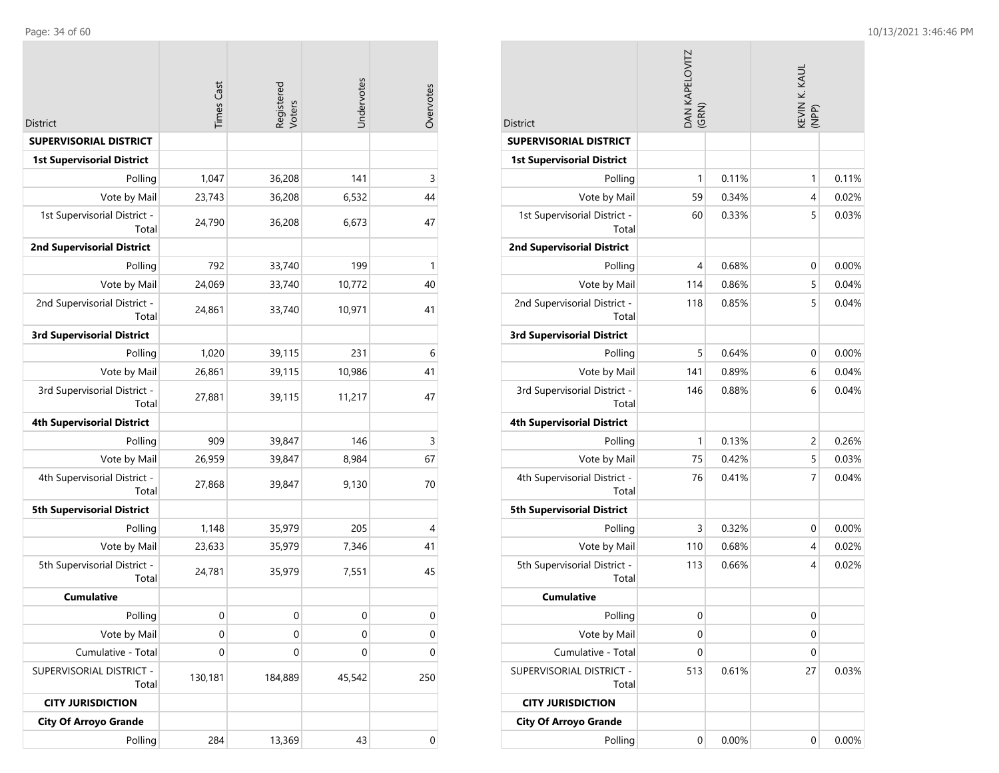|                                       | <b>Times Cast</b> | Registered<br>Voters | Undervotes  | Overvotes   |
|---------------------------------------|-------------------|----------------------|-------------|-------------|
| <b>District</b>                       |                   |                      |             |             |
| <b>SUPERVISORIAL DISTRICT</b>         |                   |                      |             |             |
| <b>1st Supervisorial District</b>     |                   |                      |             |             |
| Polling                               | 1,047             | 36,208               | 141         | 3           |
| Vote by Mail                          | 23,743            | 36,208               | 6,532       | 44          |
| 1st Supervisorial District -<br>Total | 24,790            | 36,208               | 6,673       | 47          |
| <b>2nd Supervisorial District</b>     |                   |                      |             |             |
| Polling                               | 792               | 33,740               | 199         | 1           |
| Vote by Mail                          | 24,069            | 33,740               | 10,772      | 40          |
| 2nd Supervisorial District -<br>Total | 24,861            | 33,740               | 10,971      | 41          |
| <b>3rd Supervisorial District</b>     |                   |                      |             |             |
| Polling                               | 1,020             | 39,115               | 231         | 6           |
| Vote by Mail                          | 26,861            | 39,115               | 10,986      | 41          |
| 3rd Supervisorial District -<br>Total | 27,881            | 39,115               | 11,217      | 47          |
| <b>4th Supervisorial District</b>     |                   |                      |             |             |
| Polling                               | 909               | 39,847               | 146         | 3           |
| Vote by Mail                          | 26,959            | 39,847               | 8,984       | 67          |
| 4th Supervisorial District -<br>Total | 27,868            | 39,847               | 9,130       | 70          |
| <b>5th Supervisorial District</b>     |                   |                      |             |             |
| Polling                               | 1,148             | 35,979               | 205         | 4           |
| Vote by Mail                          | 23,633            | 35,979               | 7,346       | 41          |
| 5th Supervisorial District -<br>Total | 24,781            | 35,979               | 7,551       | 45          |
| <b>Cumulative</b>                     |                   |                      |             |             |
| Polling                               | $\mathbf 0$       | 0                    | $\mathbf 0$ | $\mathbf 0$ |
| Vote by Mail                          | 0                 | 0                    | 0           | $\mathbf 0$ |
| Cumulative - Total                    | $\mathbf 0$       | $\mathbf 0$          | 0           | 0           |
| SUPERVISORIAL DISTRICT -<br>Total     | 130,181           | 184,889              | 45,542      | 250         |
| <b>CITY JURISDICTION</b>              |                   |                      |             |             |
| <b>City Of Arroyo Grande</b>          |                   |                      |             |             |
| Polling                               | 284               | 13,369               | 43          | $\mathbf 0$ |

| District                              | DAN KAPELOVITZ<br>(GRN) |       | KEVIN K. KAUL<br>(NPP) |       |
|---------------------------------------|-------------------------|-------|------------------------|-------|
| <b>SUPERVISORIAL DISTRICT</b>         |                         |       |                        |       |
| <b>1st Supervisorial District</b>     |                         |       |                        |       |
| Polling                               | 1                       | 0.11% | 1                      | 0.11% |
| Vote by Mail                          | 59                      | 0.34% | 4                      | 0.02% |
| 1st Supervisorial District -<br>Total | 60                      | 0.33% | 5                      | 0.03% |
| <b>2nd Supervisorial District</b>     |                         |       |                        |       |
| Polling                               | 4                       | 0.68% | 0                      | 0.00% |
| Vote by Mail                          | 114                     | 0.86% | 5                      | 0.04% |
| 2nd Supervisorial District -<br>Total | 118                     | 0.85% | 5                      | 0.04% |
| <b>3rd Supervisorial District</b>     |                         |       |                        |       |
| Polling                               | 5                       | 0.64% | 0                      | 0.00% |
| Vote by Mail                          | 141                     | 0.89% | 6                      | 0.04% |
| 3rd Supervisorial District -<br>Total | 146                     | 0.88% | 6                      | 0.04% |
| <b>4th Supervisorial District</b>     |                         |       |                        |       |
| Polling                               | 1                       | 0.13% | 2                      | 0.26% |
| Vote by Mail                          | 75                      | 0.42% | 5                      | 0.03% |
| 4th Supervisorial District -<br>Total | 76                      | 0.41% | 7                      | 0.04% |
| <b>5th Supervisorial District</b>     |                         |       |                        |       |
| Polling                               | 3                       | 0.32% | 0                      | 0.00% |
| Vote by Mail                          | 110                     | 0.68% | 4                      | 0.02% |
| 5th Supervisorial District -<br>Total | 113                     | 0.66% | 4                      | 0.02% |
| <b>Cumulative</b>                     |                         |       |                        |       |
| Polling                               | 0                       |       | 0                      |       |
| Vote by Mail                          | 0                       |       | 0                      |       |
| Cumulative - Total                    | 0                       |       | 0                      |       |
| SUPERVISORIAL DISTRICT -<br>Total     | 513                     | 0.61% | 27                     | 0.03% |
| <b>CITY JURISDICTION</b>              |                         |       |                        |       |
| <b>City Of Arroyo Grande</b>          |                         |       |                        |       |
| Polling                               | 0                       | 0.00% | 0                      | 0.00% |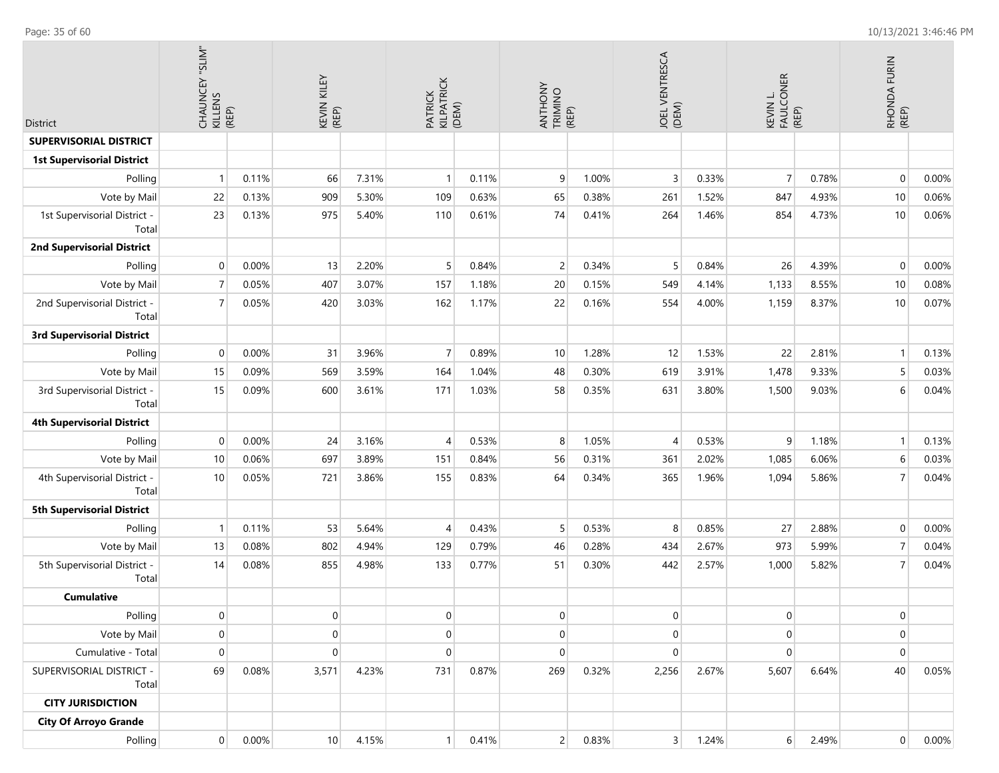| <b>District</b>                       | CHAUNCEY "SLIM"<br>KILLENS<br>CHAUNCEY "SLIM" |       | KEVIN KILEY<br>(REP) |       | PATRICK<br>KILPATRICK<br>(DEM) |       | ANTHONY<br>TRIMINO<br>(REP) |       | JOEL VENTRESCA<br>(DEM) |       | KEVIN L.<br>FAULCONER | (REP) | RHONDA FURIN<br>(REP) |       |
|---------------------------------------|-----------------------------------------------|-------|----------------------|-------|--------------------------------|-------|-----------------------------|-------|-------------------------|-------|-----------------------|-------|-----------------------|-------|
| SUPERVISORIAL DISTRICT                |                                               |       |                      |       |                                |       |                             |       |                         |       |                       |       |                       |       |
| <b>1st Supervisorial District</b>     |                                               |       |                      |       |                                |       |                             |       |                         |       |                       |       |                       |       |
| Polling                               | $\mathbf{1}$                                  | 0.11% | 66                   | 7.31% | $\mathbf{1}$                   | 0.11% | 9                           | 1.00% | 3                       | 0.33% | $\overline{7}$        | 0.78% | $\mathbf 0$           | 0.00% |
| Vote by Mail                          | 22                                            | 0.13% | 909                  | 5.30% | 109                            | 0.63% | 65                          | 0.38% | 261                     | 1.52% | 847                   | 4.93% | 10                    | 0.06% |
| 1st Supervisorial District -<br>Total | 23                                            | 0.13% | 975                  | 5.40% | 110                            | 0.61% | 74                          | 0.41% | 264                     | 1.46% | 854                   | 4.73% | 10                    | 0.06% |
| <b>2nd Supervisorial District</b>     |                                               |       |                      |       |                                |       |                             |       |                         |       |                       |       |                       |       |
| Polling                               | 0                                             | 0.00% | 13                   | 2.20% | 5                              | 0.84% | $\overline{2}$              | 0.34% | 5                       | 0.84% | 26                    | 4.39% | $\mathbf 0$           | 0.00% |
| Vote by Mail                          | $\overline{7}$                                | 0.05% | 407                  | 3.07% | 157                            | 1.18% | 20                          | 0.15% | 549                     | 4.14% | 1,133                 | 8.55% | 10                    | 0.08% |
| 2nd Supervisorial District -<br>Total | $\overline{7}$                                | 0.05% | 420                  | 3.03% | 162                            | 1.17% | 22                          | 0.16% | 554                     | 4.00% | 1,159                 | 8.37% | 10                    | 0.07% |
| <b>3rd Supervisorial District</b>     |                                               |       |                      |       |                                |       |                             |       |                         |       |                       |       |                       |       |
| Polling                               | $\mathbf 0$                                   | 0.00% | 31                   | 3.96% | $\overline{7}$                 | 0.89% | 10                          | 1.28% | 12                      | 1.53% | 22                    | 2.81% | $\mathbf{1}$          | 0.13% |
| Vote by Mail                          | 15                                            | 0.09% | 569                  | 3.59% | 164                            | 1.04% | 48                          | 0.30% | 619                     | 3.91% | 1,478                 | 9.33% | 5                     | 0.03% |
| 3rd Supervisorial District -<br>Total | 15                                            | 0.09% | 600                  | 3.61% | 171                            | 1.03% | 58                          | 0.35% | 631                     | 3.80% | 1,500                 | 9.03% | 6                     | 0.04% |
| <b>4th Supervisorial District</b>     |                                               |       |                      |       |                                |       |                             |       |                         |       |                       |       |                       |       |
| Polling                               | $\mathbf 0$                                   | 0.00% | 24                   | 3.16% | 4                              | 0.53% | 8                           | 1.05% | $\overline{4}$          | 0.53% | 9                     | 1.18% | $\overline{1}$        | 0.13% |
| Vote by Mail                          | 10                                            | 0.06% | 697                  | 3.89% | 151                            | 0.84% | 56                          | 0.31% | 361                     | 2.02% | 1,085                 | 6.06% | 6                     | 0.03% |
| 4th Supervisorial District -<br>Total | 10                                            | 0.05% | 721                  | 3.86% | 155                            | 0.83% | 64                          | 0.34% | 365                     | 1.96% | 1,094                 | 5.86% | $\overline{7}$        | 0.04% |
| <b>5th Supervisorial District</b>     |                                               |       |                      |       |                                |       |                             |       |                         |       |                       |       |                       |       |
| Polling                               | 1                                             | 0.11% | 53                   | 5.64% | 4                              | 0.43% | 5                           | 0.53% | 8                       | 0.85% | 27                    | 2.88% | $\mathbf 0$           | 0.00% |
| Vote by Mail                          | 13                                            | 0.08% | 802                  | 4.94% | 129                            | 0.79% | 46                          | 0.28% | 434                     | 2.67% | 973                   | 5.99% | $\overline{7}$        | 0.04% |
| 5th Supervisorial District -<br>Total | 14                                            | 0.08% | 855                  | 4.98% | 133                            | 0.77% | 51                          | 0.30% | 442                     | 2.57% | 1,000                 | 5.82% | $\overline{7}$        | 0.04% |
| <b>Cumulative</b>                     |                                               |       |                      |       |                                |       |                             |       |                         |       |                       |       |                       |       |
| Polling                               | $\overline{0}$                                |       | $\overline{0}$       |       | $\overline{0}$                 |       | $\overline{0}$              |       | $\overline{0}$          |       | $\mathbf 0$           |       | $\overline{0}$        |       |
| Vote by Mail                          | 0                                             |       | $\mathbf 0$          |       | $\mathbf{0}$                   |       | $\overline{0}$              |       | $\mathbf 0$             |       | 0                     |       | $\mathbf 0$           |       |
| Cumulative - Total                    | 0                                             |       | $\mathbf 0$          |       | $\mathbf 0$                    |       | $\mathbf 0$                 |       | $\mathbf 0$             |       | $\mathbf 0$           |       | $\mathbf 0$           |       |
| SUPERVISORIAL DISTRICT -<br>Total     | 69                                            | 0.08% | 3,571                | 4.23% | 731                            | 0.87% | 269                         | 0.32% | 2,256                   | 2.67% | 5,607                 | 6.64% | 40                    | 0.05% |
| <b>CITY JURISDICTION</b>              |                                               |       |                      |       |                                |       |                             |       |                         |       |                       |       |                       |       |
| <b>City Of Arroyo Grande</b>          |                                               |       |                      |       |                                |       |                             |       |                         |       |                       |       |                       |       |

Polling 0 0.00% 10 4.15% 1 0.41% 2 0.83% 3 1.24% 6 2.49% 0 0.00%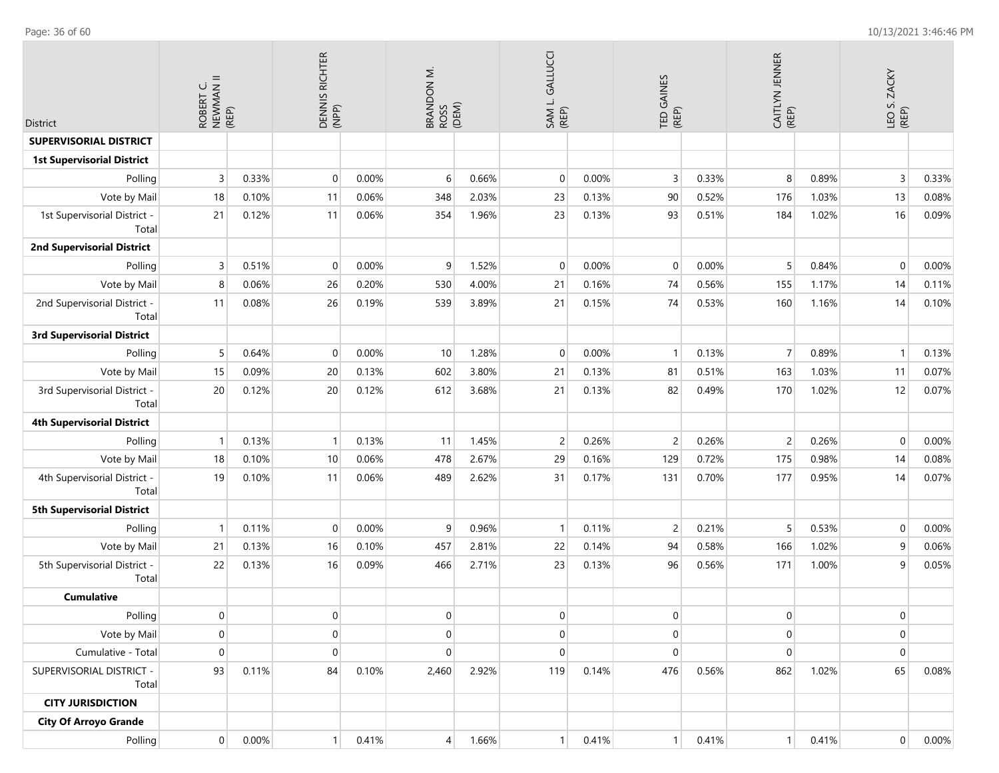| District                              | ROBERT C.<br>NEWMAN II<br>(REP) |       | DENNIS RICHTER<br>(NPP) |       | $\dot{\Xi}$<br>BRANDON N<br>ROSS | (DEM) | SAM L. GALLUCCI<br>(REP) |       | TED GAINES<br>(REP) |       | CAITLYN JENNER<br>(REP) |       | LEO S. ZACKY<br>(REP) |       |
|---------------------------------------|---------------------------------|-------|-------------------------|-------|----------------------------------|-------|--------------------------|-------|---------------------|-------|-------------------------|-------|-----------------------|-------|
| <b>SUPERVISORIAL DISTRICT</b>         |                                 |       |                         |       |                                  |       |                          |       |                     |       |                         |       |                       |       |
| <b>1st Supervisorial District</b>     |                                 |       |                         |       |                                  |       |                          |       |                     |       |                         |       |                       |       |
| Polling                               | $\overline{3}$                  | 0.33% | $\mathbf 0$             | 0.00% | 6                                | 0.66% | $\mathbf 0$              | 0.00% | 3                   | 0.33% | 8                       | 0.89% | 3                     | 0.33% |
| Vote by Mail                          | 18                              | 0.10% | 11                      | 0.06% | 348                              | 2.03% | 23                       | 0.13% | 90                  | 0.52% | 176                     | 1.03% | 13                    | 0.08% |
| 1st Supervisorial District -<br>Total | 21                              | 0.12% | 11                      | 0.06% | 354                              | 1.96% | 23                       | 0.13% | 93                  | 0.51% | 184                     | 1.02% | 16                    | 0.09% |
| <b>2nd Supervisorial District</b>     |                                 |       |                         |       |                                  |       |                          |       |                     |       |                         |       |                       |       |
| Polling                               | 3                               | 0.51% | $\mathbf 0$             | 0.00% | 9                                | 1.52% | $\mathbf 0$              | 0.00% | $\mathbf 0$         | 0.00% | 5                       | 0.84% | $\mathbf 0$           | 0.00% |
| Vote by Mail                          | 8                               | 0.06% | 26                      | 0.20% | 530                              | 4.00% | 21                       | 0.16% | 74                  | 0.56% | 155                     | 1.17% | 14                    | 0.11% |
| 2nd Supervisorial District -<br>Total | 11                              | 0.08% | 26                      | 0.19% | 539                              | 3.89% | 21                       | 0.15% | 74                  | 0.53% | 160                     | 1.16% | 14                    | 0.10% |
| <b>3rd Supervisorial District</b>     |                                 |       |                         |       |                                  |       |                          |       |                     |       |                         |       |                       |       |
| Polling                               | 5                               | 0.64% | $\mathbf 0$             | 0.00% | 10                               | 1.28% | $\mathbf 0$              | 0.00% | $\overline{1}$      | 0.13% | $\overline{7}$          | 0.89% | $\mathbf{1}$          | 0.13% |
| Vote by Mail                          | 15                              | 0.09% | 20                      | 0.13% | 602                              | 3.80% | 21                       | 0.13% | 81                  | 0.51% | 163                     | 1.03% | 11                    | 0.07% |
| 3rd Supervisorial District -<br>Total | 20                              | 0.12% | 20                      | 0.12% | 612                              | 3.68% | 21                       | 0.13% | 82                  | 0.49% | 170                     | 1.02% | 12                    | 0.07% |
| <b>4th Supervisorial District</b>     |                                 |       |                         |       |                                  |       |                          |       |                     |       |                         |       |                       |       |
| Polling                               | $\mathbf{1}$                    | 0.13% | $\mathbf{1}$            | 0.13% | 11                               | 1.45% | $\overline{c}$           | 0.26% | $\overline{c}$      | 0.26% | $\overline{c}$          | 0.26% | $\mathbf 0$           | 0.00% |
| Vote by Mail                          | 18                              | 0.10% | 10                      | 0.06% | 478                              | 2.67% | 29                       | 0.16% | 129                 | 0.72% | 175                     | 0.98% | 14                    | 0.08% |
| 4th Supervisorial District -<br>Total | 19                              | 0.10% | 11                      | 0.06% | 489                              | 2.62% | 31                       | 0.17% | 131                 | 0.70% | 177                     | 0.95% | 14                    | 0.07% |
| <b>5th Supervisorial District</b>     |                                 |       |                         |       |                                  |       |                          |       |                     |       |                         |       |                       |       |
| Polling                               | $\mathbf{1}$                    | 0.11% | $\mathbf 0$             | 0.00% | 9                                | 0.96% | $\mathbf{1}$             | 0.11% | $\overline{c}$      | 0.21% | 5                       | 0.53% | $\mathbf 0$           | 0.00% |
| Vote by Mail                          | 21                              | 0.13% | 16                      | 0.10% | 457                              | 2.81% | 22                       | 0.14% | 94                  | 0.58% | 166                     | 1.02% | 9                     | 0.06% |
| 5th Supervisorial District -<br>Total | 22                              | 0.13% | 16                      | 0.09% | 466                              | 2.71% | 23                       | 0.13% | 96                  | 0.56% | 171                     | 1.00% | 9                     | 0.05% |
| <b>Cumulative</b>                     |                                 |       |                         |       |                                  |       |                          |       |                     |       |                         |       |                       |       |
| Polling                               | $\overline{0}$                  |       | $\pmb{0}$               |       | 0                                |       | $\overline{0}$           |       | 0                   |       | $\boldsymbol{0}$        |       | 0                     |       |
| Vote by Mail                          | $\mathbf 0$                     |       | $\mathbf 0$             |       | $\overline{0}$                   |       | $\overline{0}$           |       | $\pmb{0}$           |       | $\mathbf 0$             |       | $\mathbf{0}$          |       |
| Cumulative - Total                    | $\boldsymbol{0}$                |       | $\mathbf 0$             |       | 0                                |       | $\Omega$                 |       | $\boldsymbol{0}$    |       | $\mathbf 0$             |       | $\mathbf 0$           |       |
| SUPERVISORIAL DISTRICT -<br>Total     | 93                              | 0.11% | 84                      | 0.10% | 2,460                            | 2.92% | 119                      | 0.14% | 476                 | 0.56% | 862                     | 1.02% | 65                    | 0.08% |
| <b>CITY JURISDICTION</b>              |                                 |       |                         |       |                                  |       |                          |       |                     |       |                         |       |                       |       |
| <b>City Of Arroyo Grande</b>          |                                 |       |                         |       |                                  |       |                          |       |                     |       |                         |       |                       |       |

4 1.66%

1 0.41%

1 0.41%

1 0.41%

0 0.00%

Polling

0 0.00%

1 0.41%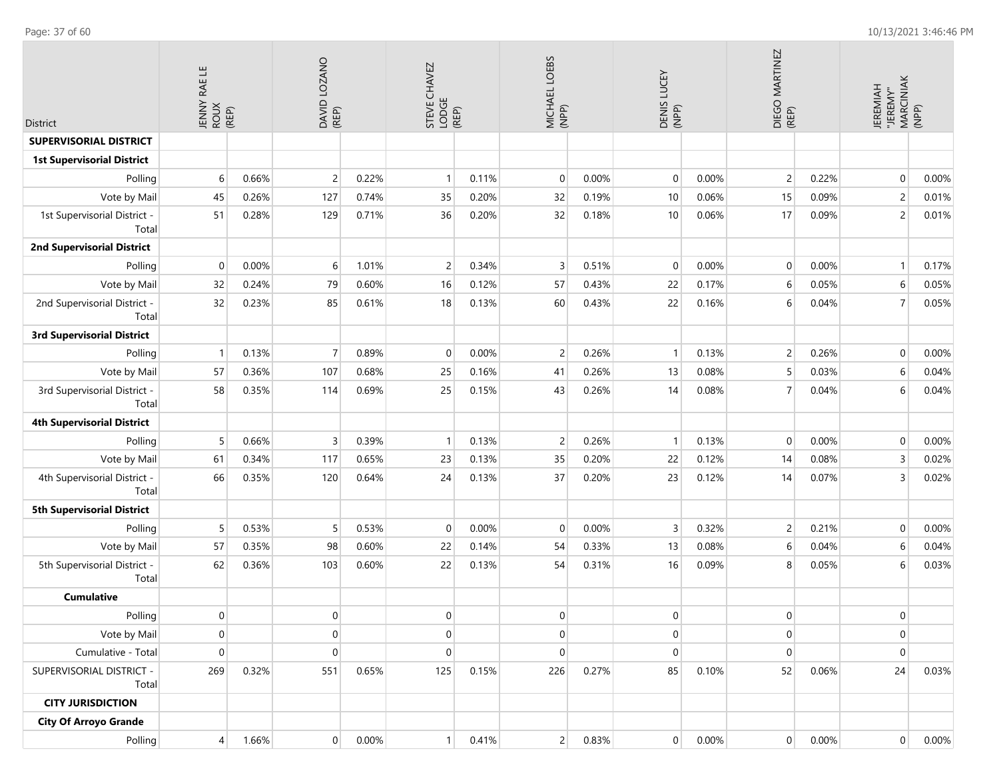**COL** 

 $\sim$ 

| <b>District</b>                       | ш<br>RAE I<br><b>JENNY</b><br>ROUX<br>(REP) |       | DAVID LOZANO<br>(REP) |       | STEVE CHAVEZ<br>LODGE | (REP) | MICHAEL LOEBS<br>(NPP) |       | DENIS LUCEY<br>(NPP) |       | DIEGO MARTINEZ<br>(REP) |       | MARCINIAK<br>(NPP)<br><b>JEREMIAH</b><br>"JEREMY" |       |
|---------------------------------------|---------------------------------------------|-------|-----------------------|-------|-----------------------|-------|------------------------|-------|----------------------|-------|-------------------------|-------|---------------------------------------------------|-------|
| <b>SUPERVISORIAL DISTRICT</b>         |                                             |       |                       |       |                       |       |                        |       |                      |       |                         |       |                                                   |       |
| <b>1st Supervisorial District</b>     |                                             |       |                       |       |                       |       |                        |       |                      |       |                         |       |                                                   |       |
| Polling                               | 6                                           | 0.66% | $\overline{2}$        | 0.22% | $\mathbf{1}$          | 0.11% | $\mathbf 0$            | 0.00% | $\mathbf{0}$         | 0.00% | 2                       | 0.22% | $\mathbf 0$                                       | 0.00% |
| Vote by Mail                          | 45                                          | 0.26% | 127                   | 0.74% | 35                    | 0.20% | 32                     | 0.19% | 10                   | 0.06% | 15                      | 0.09% | $\overline{c}$                                    | 0.01% |
| 1st Supervisorial District -<br>Total | 51                                          | 0.28% | 129                   | 0.71% | 36                    | 0.20% | 32                     | 0.18% | 10                   | 0.06% | 17                      | 0.09% | $\overline{c}$                                    | 0.01% |
| <b>2nd Supervisorial District</b>     |                                             |       |                       |       |                       |       |                        |       |                      |       |                         |       |                                                   |       |
| Polling                               | $\mathbf{0}$                                | 0.00% | $6 \overline{6}$      | 1.01% | $\overline{c}$        | 0.34% | 3                      | 0.51% | $\mathbf{0}$         | 0.00% | $\mathbf 0$             | 0.00% | $\overline{1}$                                    | 0.17% |
| Vote by Mail                          | 32                                          | 0.24% | 79                    | 0.60% | 16                    | 0.12% | 57                     | 0.43% | 22                   | 0.17% | 6                       | 0.05% | 6                                                 | 0.05% |
| 2nd Supervisorial District -<br>Total | 32                                          | 0.23% | 85                    | 0.61% | 18                    | 0.13% | 60                     | 0.43% | 22                   | 0.16% | 6                       | 0.04% | $\overline{7}$                                    | 0.05% |
| <b>3rd Supervisorial District</b>     |                                             |       |                       |       |                       |       |                        |       |                      |       |                         |       |                                                   |       |
| Polling                               |                                             | 0.13% | $\overline{7}$        | 0.89% | $\mathbf 0$           | 0.00% | $\overline{c}$         | 0.26% | $\mathbf{1}$         | 0.13% | 2                       | 0.26% | $\mathbf{0}$                                      | 0.00% |
| Vote by Mail                          | 57                                          | 0.36% | 107                   | 0.68% | 25                    | 0.16% | 41                     | 0.26% | 13                   | 0.08% | 5                       | 0.03% | 6                                                 | 0.04% |
| 3rd Supervisorial District -<br>Total | 58                                          | 0.35% | 114                   | 0.69% | 25                    | 0.15% | 43                     | 0.26% | 14                   | 0.08% | $\overline{7}$          | 0.04% | 6                                                 | 0.04% |
| <b>4th Supervisorial District</b>     |                                             |       |                       |       |                       |       |                        |       |                      |       |                         |       |                                                   |       |
| Polling                               | 5                                           | 0.66% | 3                     | 0.39% | $\mathbf{1}$          | 0.13% | $\overline{c}$         | 0.26% | $\overline{1}$       | 0.13% | $\mathbf 0$             | 0.00% | $\mathbf{0}$                                      | 0.00% |
| Vote by Mail                          | 61                                          | 0.34% | 117                   | 0.65% | 23                    | 0.13% | 35                     | 0.20% | 22                   | 0.12% | 14                      | 0.08% | 3                                                 | 0.02% |
| 4th Supervisorial District -<br>Total | 66                                          | 0.35% | 120                   | 0.64% | 24                    | 0.13% | 37                     | 0.20% | 23                   | 0.12% | 14                      | 0.07% | 3                                                 | 0.02% |
| <b>5th Supervisorial District</b>     |                                             |       |                       |       |                       |       |                        |       |                      |       |                         |       |                                                   |       |
| Polling                               | 5                                           | 0.53% | 5                     | 0.53% | $\mathbf 0$           | 0.00% | $\mathbf 0$            | 0.00% | 3                    | 0.32% | $\overline{2}$          | 0.21% | $\mathbf{0}$                                      | 0.00% |
| Vote by Mail                          | 57                                          | 0.35% | 98                    | 0.60% | 22                    | 0.14% | 54                     | 0.33% | 13                   | 0.08% | 6                       | 0.04% | 6                                                 | 0.04% |
| 5th Supervisorial District -<br>Total | 62                                          | 0.36% | 103                   | 0.60% | 22                    | 0.13% | 54                     | 0.31% | 16                   | 0.09% | 8                       | 0.05% | 6                                                 | 0.03% |
| <b>Cumulative</b>                     |                                             |       |                       |       |                       |       |                        |       |                      |       |                         |       |                                                   |       |
| Polling                               | $\overline{0}$                              |       | $\overline{0}$        |       | 0                     |       | 0                      |       | 0                    |       | $\overline{0}$          |       | $\overline{0}$                                    |       |
| Vote by Mail                          | $\overline{0}$                              |       | $\overline{0}$        |       | $\boldsymbol{0}$      |       | $\mathbf 0$            |       | $\mathbf{0}$         |       | $\overline{0}$          |       | $\mathbf{0}$                                      |       |
| Cumulative - Total                    | $\overline{0}$                              |       | $\overline{0}$        |       | $\pmb{0}$             |       | $\mathbf 0$            |       | $\pmb{0}$            |       | $\mathbf 0$             |       | $\pmb{0}$                                         |       |
| SUPERVISORIAL DISTRICT -<br>Total     | 269                                         | 0.32% | 551                   | 0.65% | 125                   | 0.15% | 226                    | 0.27% | 85                   | 0.10% | 52                      | 0.06% | 24                                                | 0.03% |
| <b>CITY JURISDICTION</b>              |                                             |       |                       |       |                       |       |                        |       |                      |       |                         |       |                                                   |       |
| <b>City Of Arroyo Grande</b>          |                                             |       |                       |       |                       |       |                        |       |                      |       |                         |       |                                                   |       |
| Polling                               | $\overline{4}$                              | 1.66% | $\overline{0}$        | 0.00% | 1                     | 0.41% | 2                      | 0.83% | $\overline{0}$       | 0.00% | $\overline{0}$          | 0.00% | $\overline{0}$                                    | 0.00% |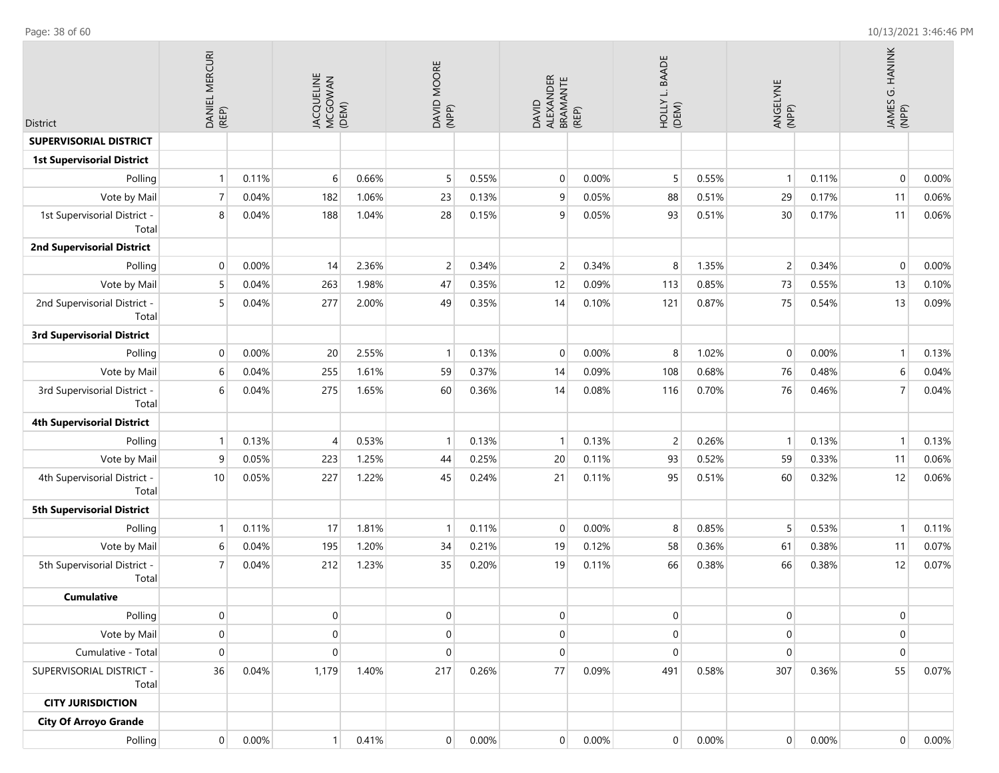| <b>District</b>                       | DANIEL MERCURI<br>(REP) |       | JACQUELINE<br>MCGOWAN<br>(DEM) |       | <b>MOORE</b><br>DAVID I<br>(NPP) |       | ALEXANDER<br>BRAMANTE<br><b>DAVID</b> | (REP) | <b>BAADE</b><br>HOLLY L. E |          | ANGELYNE<br>(NPP) |       | JAMES G. HANINK<br>(NPP) |       |
|---------------------------------------|-------------------------|-------|--------------------------------|-------|----------------------------------|-------|---------------------------------------|-------|----------------------------|----------|-------------------|-------|--------------------------|-------|
| <b>SUPERVISORIAL DISTRICT</b>         |                         |       |                                |       |                                  |       |                                       |       |                            |          |                   |       |                          |       |
| <b>1st Supervisorial District</b>     |                         |       |                                |       |                                  |       |                                       |       |                            |          |                   |       |                          |       |
| Polling                               | $\mathbf{1}$            | 0.11% | 6                              | 0.66% | 5                                | 0.55% | $\mathbf 0$                           | 0.00% | 5                          | 0.55%    | $\mathbf{1}$      | 0.11% | $\overline{0}$           | 0.00% |
| Vote by Mail                          | $\overline{7}$          | 0.04% | 182                            | 1.06% | 23                               | 0.13% | 9                                     | 0.05% | 88                         | 0.51%    | 29                | 0.17% | 11                       | 0.06% |
| 1st Supervisorial District -<br>Total | 8                       | 0.04% | 188                            | 1.04% | 28                               | 0.15% | 9                                     | 0.05% | 93                         | 0.51%    | 30                | 0.17% | 11                       | 0.06% |
| <b>2nd Supervisorial District</b>     |                         |       |                                |       |                                  |       |                                       |       |                            |          |                   |       |                          |       |
| Polling                               | $\mathbf 0$             | 0.00% | 14                             | 2.36% | $\overline{c}$                   | 0.34% | $\overline{2}$                        | 0.34% | 8                          | 1.35%    | $\overline{2}$    | 0.34% | $\overline{0}$           | 0.00% |
| Vote by Mail                          | 5                       | 0.04% | 263                            | 1.98% | 47                               | 0.35% | 12                                    | 0.09% | 113                        | 0.85%    | 73                | 0.55% | 13                       | 0.10% |
| 2nd Supervisorial District -<br>Total | 5                       | 0.04% | 277                            | 2.00% | 49                               | 0.35% | 14                                    | 0.10% | 121                        | 0.87%    | 75                | 0.54% | 13                       | 0.09% |
| <b>3rd Supervisorial District</b>     |                         |       |                                |       |                                  |       |                                       |       |                            |          |                   |       |                          |       |
| Polling                               | $\mathbf 0$             | 0.00% | 20                             | 2.55% | $\mathbf{1}$                     | 0.13% | $\mathbf 0$                           | 0.00% | 8                          | 1.02%    | $\overline{0}$    | 0.00% | $\mathbf{1}$             | 0.13% |
| Vote by Mail                          | 6                       | 0.04% | 255                            | 1.61% | 59                               | 0.37% | 14                                    | 0.09% | 108                        | 0.68%    | 76                | 0.48% | 6                        | 0.04% |
| 3rd Supervisorial District -<br>Total | 6                       | 0.04% | 275                            | 1.65% | 60                               | 0.36% | 14                                    | 0.08% | 116                        | 0.70%    | 76                | 0.46% | $\overline{7}$           | 0.04% |
| <b>4th Supervisorial District</b>     |                         |       |                                |       |                                  |       |                                       |       |                            |          |                   |       |                          |       |
| Polling                               | $\overline{1}$          | 0.13% | $\overline{4}$                 | 0.53% | $\mathbf{1}$                     | 0.13% | $\mathbf{1}$                          | 0.13% | $\overline{c}$             | 0.26%    | $\mathbf{1}$      | 0.13% | $\mathbf{1}$             | 0.13% |
| Vote by Mail                          | 9                       | 0.05% | 223                            | 1.25% | 44                               | 0.25% | 20                                    | 0.11% | 93                         | 0.52%    | 59                | 0.33% | 11                       | 0.06% |
| 4th Supervisorial District -<br>Total | 10                      | 0.05% | 227                            | 1.22% | 45                               | 0.24% | 21                                    | 0.11% | 95                         | 0.51%    | 60                | 0.32% | 12                       | 0.06% |
| <b>5th Supervisorial District</b>     |                         |       |                                |       |                                  |       |                                       |       |                            |          |                   |       |                          |       |
| Polling                               | $\overline{1}$          | 0.11% | 17                             | 1.81% |                                  | 0.11% | $\mathbf 0$                           | 0.00% | 8                          | 0.85%    | 5                 | 0.53% | $\mathbf{1}$             | 0.11% |
| Vote by Mail                          | 6                       | 0.04% | 195                            | 1.20% | 34                               | 0.21% | 19                                    | 0.12% | 58                         | 0.36%    | 61                | 0.38% | 11                       | 0.07% |
| 5th Supervisorial District -<br>Total | $\overline{7}$          | 0.04% | 212                            | 1.23% | 35                               | 0.20% | 19                                    | 0.11% | 66                         | 0.38%    | 66                | 0.38% | 12                       | 0.07% |
| <b>Cumulative</b>                     |                         |       |                                |       |                                  |       |                                       |       |                            |          |                   |       |                          |       |
| Polling                               | $\mathbf 0$             |       | 0                              |       | 0                                |       | $\pmb{0}$                             |       | $\pmb{0}$                  |          | $\overline{0}$    |       | $\mathbf 0$              |       |
| Vote by Mail                          | $\pmb{0}$               |       | 0                              |       | $\mathbf 0$                      |       | $\boldsymbol{0}$                      |       | $\overline{0}$             |          | $\mathbf 0$       |       | $\pmb{0}$                |       |
| Cumulative - Total                    | $\boldsymbol{0}$        |       | $\mathbf 0$                    |       | 0                                |       | $\boldsymbol{0}$                      |       | $\boldsymbol{0}$           |          | $\mathbf 0$       |       | $\pmb{0}$                |       |
| SUPERVISORIAL DISTRICT -<br>Total     | 36                      | 0.04% | 1,179                          | 1.40% | 217                              | 0.26% | 77                                    | 0.09% | 491                        | 0.58%    | 307               | 0.36% | 55                       | 0.07% |
| <b>CITY JURISDICTION</b>              |                         |       |                                |       |                                  |       |                                       |       |                            |          |                   |       |                          |       |
| <b>City Of Arroyo Grande</b>          |                         |       |                                |       |                                  |       |                                       |       |                            |          |                   |       |                          |       |
| Polling                               | $\overline{0}$          | 0.00% | $\mathbf{1}$                   | 0.41% | $\overline{0}$                   | 0.00% | 0                                     | 0.00% | $\overline{0}$             | $0.00\%$ | $\boldsymbol{0}$  | 0.00% | $\boldsymbol{0}$         | 0.00% |

Page: 38 of 60 10/13/2021 3:46:46 PM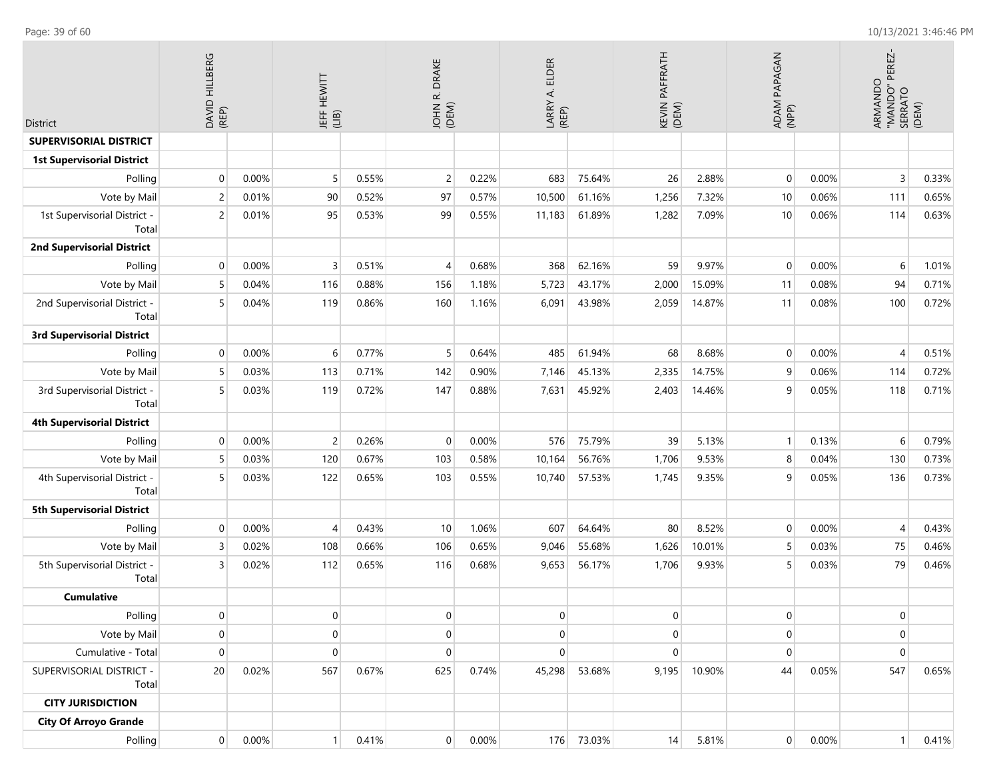| District                              | DAVID HILLBERG<br>(REP) |       | <b>JEFF HEWITT</b><br>(LIB) |       | R. DRAKE<br><b>NHOL</b><br>(DEM) |       | <b>ELDER</b><br>LARRY A. I<br>(REP) |            | PAFFRATH<br>KEVIN I<br>(DEM) |        | ADAM PAPAGAN<br>(NPP) |       | PEREZ-<br>ARMANDO<br>"MANDO" P<br>SERRATO | (DEM) |
|---------------------------------------|-------------------------|-------|-----------------------------|-------|----------------------------------|-------|-------------------------------------|------------|------------------------------|--------|-----------------------|-------|-------------------------------------------|-------|
| <b>SUPERVISORIAL DISTRICT</b>         |                         |       |                             |       |                                  |       |                                     |            |                              |        |                       |       |                                           |       |
| <b>1st Supervisorial District</b>     |                         |       |                             |       |                                  |       |                                     |            |                              |        |                       |       |                                           |       |
| Polling                               | $\mathbf 0$             | 0.00% | 5                           | 0.55% | $\overline{c}$                   | 0.22% | 683                                 | 75.64%     | 26                           | 2.88%  | $\mathbf 0$           | 0.00% | 3                                         | 0.33% |
| Vote by Mail                          | $\overline{c}$          | 0.01% | 90                          | 0.52% | 97                               | 0.57% | 10,500                              | 61.16%     | 1,256                        | 7.32%  | 10                    | 0.06% | 111                                       | 0.65% |
| 1st Supervisorial District -<br>Total | $\overline{c}$          | 0.01% | 95                          | 0.53% | 99                               | 0.55% | 11,183                              | 61.89%     | 1,282                        | 7.09%  | 10                    | 0.06% | 114                                       | 0.63% |
| <b>2nd Supervisorial District</b>     |                         |       |                             |       |                                  |       |                                     |            |                              |        |                       |       |                                           |       |
| Polling                               | $\Omega$                | 0.00% | 3                           | 0.51% | 4                                | 0.68% | 368                                 | 62.16%     | 59                           | 9.97%  | $\mathbf 0$           | 0.00% | 6                                         | 1.01% |
| Vote by Mail                          | 5                       | 0.04% | 116                         | 0.88% | 156                              | 1.18% | 5,723                               | 43.17%     | 2,000                        | 15.09% | 11                    | 0.08% | 94                                        | 0.71% |
| 2nd Supervisorial District -<br>Total |                         | 0.04% | 119                         | 0.86% | 160                              | 1.16% | 6,091                               | 43.98%     | 2,059                        | 14.87% | 11                    | 0.08% | 100                                       | 0.72% |
| <b>3rd Supervisorial District</b>     |                         |       |                             |       |                                  |       |                                     |            |                              |        |                       |       |                                           |       |
| Polling                               | $\Omega$                | 0.00% | 6                           | 0.77% | 5                                | 0.64% | 485                                 | 61.94%     | 68                           | 8.68%  | 0                     | 0.00% | $\overline{4}$                            | 0.51% |
| Vote by Mail                          | 5                       | 0.03% | 113                         | 0.71% | 142                              | 0.90% | 7,146                               | 45.13%     | 2,335                        | 14.75% | 9                     | 0.06% | 114                                       | 0.72% |
| 3rd Supervisorial District -<br>Total |                         | 0.03% | 119                         | 0.72% | 147                              | 0.88% | 7,631                               | 45.92%     | 2,403                        | 14.46% | 9                     | 0.05% | 118                                       | 0.71% |
| <b>4th Supervisorial District</b>     |                         |       |                             |       |                                  |       |                                     |            |                              |        |                       |       |                                           |       |
| Polling                               | $\Omega$                | 0.00% | $\overline{2}$              | 0.26% | $\mathbf{0}$                     | 0.00% | 576                                 | 75.79%     | 39                           | 5.13%  | $\mathbf{1}$          | 0.13% | 6                                         | 0.79% |
| Vote by Mail                          | 5                       | 0.03% | 120                         | 0.67% | 103                              | 0.58% | 10,164                              | 56.76%     | 1,706                        | 9.53%  | 8                     | 0.04% | 130                                       | 0.73% |
| 4th Supervisorial District -<br>Total | 5                       | 0.03% | 122                         | 0.65% | 103                              | 0.55% | 10,740                              | 57.53%     | 1,745                        | 9.35%  | 9                     | 0.05% | 136                                       | 0.73% |
| <b>5th Supervisorial District</b>     |                         |       |                             |       |                                  |       |                                     |            |                              |        |                       |       |                                           |       |
| Polling                               | $\Omega$                | 0.00% |                             | 0.43% | 10                               | 1.06% | 607                                 | 64.64%     | 80                           | 8.52%  | 0                     | 0.00% | 4                                         | 0.43% |
| Vote by Mail                          | 3                       | 0.02% | 108                         | 0.66% | 106                              | 0.65% | 9,046                               | 55.68%     | 1,626                        | 10.01% | 5                     | 0.03% | 75                                        | 0.46% |
| 5th Supervisorial District -<br>Total | 3                       | 0.02% | 112                         | 0.65% | 116                              | 0.68% | 9,653                               | 56.17%     | 1,706                        | 9.93%  | 5                     | 0.03% | 79                                        | 0.46% |
| <b>Cumulative</b>                     |                         |       |                             |       |                                  |       |                                     |            |                              |        |                       |       |                                           |       |
| Polling                               | $\overline{0}$          |       | $\overline{0}$              |       | $\overline{0}$                   |       | $\mathbf 0$                         |            | $\boldsymbol{0}$             |        | $\overline{0}$        |       | $\mathbf 0$                               |       |
| Vote by Mail                          | $\mathbf 0$             |       | $\overline{0}$              |       | 0                                |       | 0                                   |            | $\pmb{0}$                    |        | $\overline{0}$        |       | $\overline{0}$                            |       |
| Cumulative - Total                    | $\mathbf{0}$            |       | $\mathbf 0$                 |       | $\mathbf{0}$                     |       | 0                                   |            | $\overline{0}$               |        | $\mathbf 0$           |       | 0                                         |       |
| SUPERVISORIAL DISTRICT -<br>Total     | 20                      | 0.02% | 567                         | 0.67% | 625                              | 0.74% | 45,298                              | 53.68%     | 9,195                        | 10.90% | 44                    | 0.05% | 547                                       | 0.65% |
| <b>CITY JURISDICTION</b>              |                         |       |                             |       |                                  |       |                                     |            |                              |        |                       |       |                                           |       |
| <b>City Of Arroyo Grande</b>          |                         |       |                             |       |                                  |       |                                     |            |                              |        |                       |       |                                           |       |
| Polling                               | $\overline{0}$          | 0.00% | 1 <sup>1</sup>              | 0.41% | $\overline{0}$                   | 0.00% |                                     | 176 73.03% | 14                           | 5.81%  | $\overline{0}$        | 0.00% | 1 <sup>1</sup>                            | 0.41% |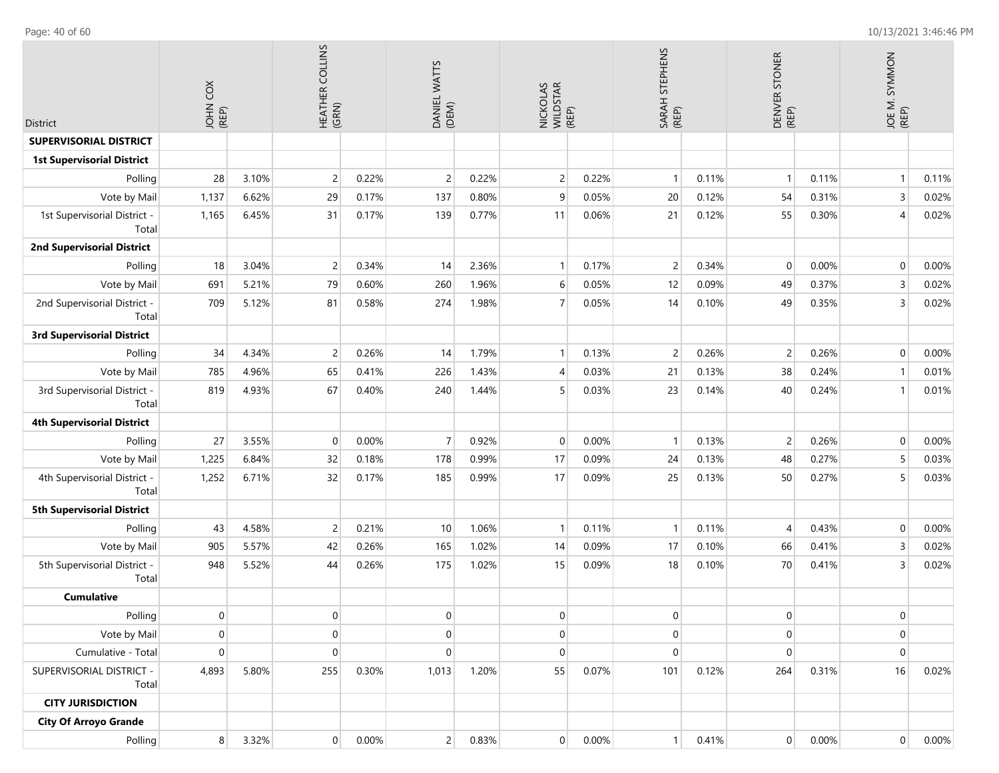| <b>District</b>                       | COX<br>JOHN    |       | HEATHER COLLINS<br>(GRN) |       | DANIEL WATTS<br>(DEM) |       | NICKOLAS<br>WILDSTAR<br>(REP) |          | SARAH STEPHENS<br>(REP) |       | DENVER STONER<br>(REP) |          | JOE M. SYMMON<br>(REP) |       |
|---------------------------------------|----------------|-------|--------------------------|-------|-----------------------|-------|-------------------------------|----------|-------------------------|-------|------------------------|----------|------------------------|-------|
| <b>SUPERVISORIAL DISTRICT</b>         |                |       |                          |       |                       |       |                               |          |                         |       |                        |          |                        |       |
| <b>1st Supervisorial District</b>     |                |       |                          |       |                       |       |                               |          |                         |       |                        |          |                        |       |
| Polling                               | 28             | 3.10% | $\overline{2}$           | 0.22% | $\overline{c}$        | 0.22% | $\overline{2}$                | 0.22%    | $\overline{1}$          | 0.11% | $\mathbf{1}$           | 0.11%    | $\mathbf{1}$           | 0.11% |
| Vote by Mail                          | 1,137          | 6.62% | 29                       | 0.17% | 137                   | 0.80% | 9                             | 0.05%    | 20                      | 0.12% | 54                     | 0.31%    | $\overline{3}$         | 0.02% |
| 1st Supervisorial District -<br>Total | 1,165          | 6.45% | 31                       | 0.17% | 139                   | 0.77% | 11                            | 0.06%    | 21                      | 0.12% | 55                     | 0.30%    | $\overline{4}$         | 0.02% |
| <b>2nd Supervisorial District</b>     |                |       |                          |       |                       |       |                               |          |                         |       |                        |          |                        |       |
| Polling                               | 18             | 3.04% | $\overline{c}$           | 0.34% | 14                    | 2.36% | $\mathbf{1}$                  | 0.17%    | $\overline{c}$          | 0.34% | $\mathbf 0$            | 0.00%    | $\mathbf 0$            | 0.00% |
| Vote by Mail                          | 691            | 5.21% | 79                       | 0.60% | 260                   | 1.96% | 6                             | 0.05%    | 12                      | 0.09% | 49                     | 0.37%    | $\overline{3}$         | 0.02% |
| 2nd Supervisorial District -<br>Total | 709            | 5.12% | 81                       | 0.58% | 274                   | 1.98% | $\overline{7}$                | 0.05%    | 14                      | 0.10% | 49                     | 0.35%    | $\overline{3}$         | 0.02% |
| <b>3rd Supervisorial District</b>     |                |       |                          |       |                       |       |                               |          |                         |       |                        |          |                        |       |
| Polling                               | 34             | 4.34% | $\overline{c}$           | 0.26% | 14                    | 1.79% | $\mathbf{1}$                  | 0.13%    | $\overline{c}$          | 0.26% | $\overline{c}$         | 0.26%    | $\mathbf 0$            | 0.00% |
| Vote by Mail                          | 785            | 4.96% | 65                       | 0.41% | 226                   | 1.43% | $\overline{4}$                | 0.03%    | 21                      | 0.13% | 38                     | 0.24%    | $\overline{1}$         | 0.01% |
| 3rd Supervisorial District -<br>Total | 819            | 4.93% | 67                       | 0.40% | 240                   | 1.44% | 5                             | 0.03%    | 23                      | 0.14% | 40                     | 0.24%    | $\overline{1}$         | 0.01% |
| <b>4th Supervisorial District</b>     |                |       |                          |       |                       |       |                               |          |                         |       |                        |          |                        |       |
| Polling                               | 27             | 3.55% | $\mathbf 0$              | 0.00% | $\overline{7}$        | 0.92% | $\mathbf 0$                   | 0.00%    | $\overline{1}$          | 0.13% | $\overline{c}$         | 0.26%    | $\mathbf 0$            | 0.00% |
| Vote by Mail                          | 1,225          | 6.84% | 32                       | 0.18% | 178                   | 0.99% | 17                            | 0.09%    | 24                      | 0.13% | 48                     | 0.27%    | 5                      | 0.03% |
| 4th Supervisorial District -<br>Total | 1,252          | 6.71% | 32                       | 0.17% | 185                   | 0.99% | 17                            | 0.09%    | 25                      | 0.13% | 50                     | 0.27%    | 5                      | 0.03% |
| <b>5th Supervisorial District</b>     |                |       |                          |       |                       |       |                               |          |                         |       |                        |          |                        |       |
| Polling                               | 43             | 4.58% | $\overline{2}$           | 0.21% | 10                    | 1.06% | $\mathbf{1}$                  | 0.11%    | $\overline{1}$          | 0.11% | $\overline{4}$         | 0.43%    | $\mathbf 0$            | 0.00% |
| Vote by Mail                          | 905            | 5.57% | 42                       | 0.26% | 165                   | 1.02% | 14                            | 0.09%    | 17                      | 0.10% | 66                     | 0.41%    | $\overline{3}$         | 0.02% |
| 5th Supervisorial District -<br>Total | 948            | 5.52% | 44                       | 0.26% | 175                   | 1.02% | 15                            | 0.09%    | 18                      | 0.10% | 70                     | 0.41%    | $\overline{3}$         | 0.02% |
| <b>Cumulative</b>                     |                |       |                          |       |                       |       |                               |          |                         |       |                        |          |                        |       |
| Polling                               | 0              |       | $\overline{0}$           |       | 0                     |       | 0                             |          | $\overline{0}$          |       | 0                      |          | $\overline{0}$         |       |
| Vote by Mail                          | 0              |       | $\mathbf 0$              |       | $\mathbf{0}$          |       | $\overline{0}$                |          | $\pmb{0}$               |       | $\mathbf 0$            |          | $\mathbf 0$            |       |
| Cumulative - Total                    | 0              |       | $\boldsymbol{0}$         |       | $\mathbf{0}$          |       | $\mathbf 0$                   |          | $\pmb{0}$               |       | $\mathbf 0$            |          | $\mathbf 0$            |       |
| SUPERVISORIAL DISTRICT -<br>Total     | 4,893          | 5.80% | 255                      | 0.30% | 1,013                 | 1.20% | 55                            | 0.07%    | 101                     | 0.12% | 264                    | 0.31%    | 16                     | 0.02% |
| <b>CITY JURISDICTION</b>              |                |       |                          |       |                       |       |                               |          |                         |       |                        |          |                        |       |
| <b>City Of Arroyo Grande</b>          |                |       |                          |       |                       |       |                               |          |                         |       |                        |          |                        |       |
| Polling                               | 8 <sup>1</sup> | 3.32% | $\overline{0}$           | 0.00% | 2 <sup>1</sup>        | 0.83% | $\overline{0}$                | $0.00\%$ | $\vert$                 | 0.41% | $\pmb{0}$              | $0.00\%$ | $\overline{0}$         | 0.00% |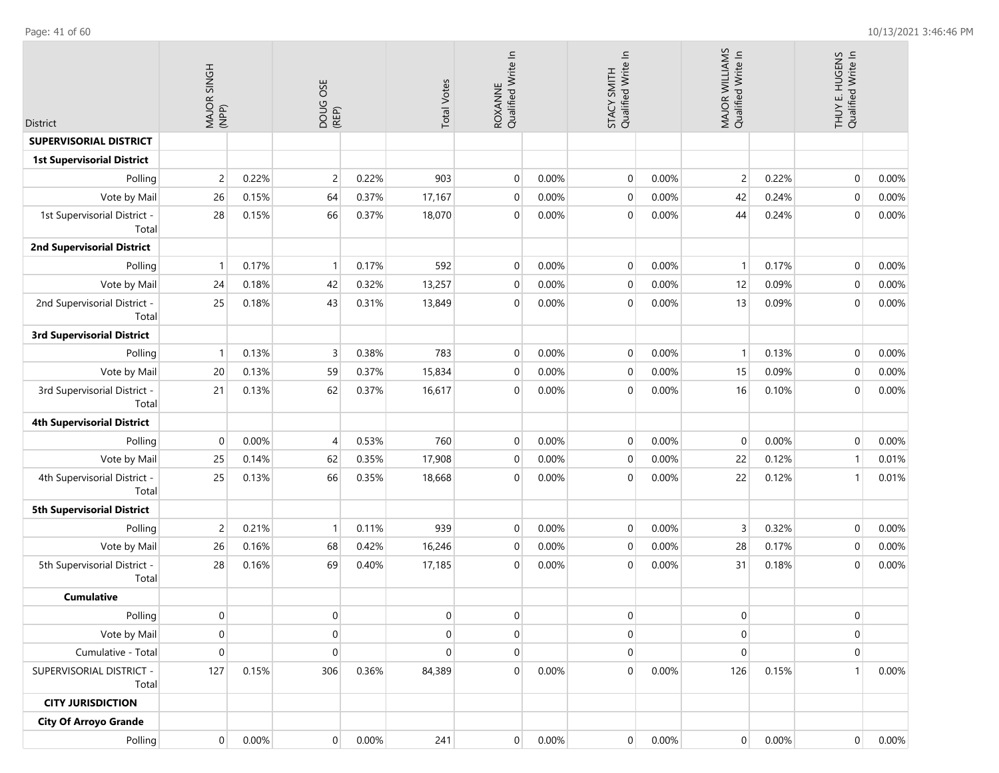Polling

0.00%

0.00% 241

| <b>District</b>                       | MAJOR SINGH<br>(NPP) |       | DOUG OSE<br>(REP) |       | <b>Total Votes</b> | ROXANNE<br>Qualified Write In |       | Qualified Write In<br>STACY SMITH |       | MAJOR WILLIAMS<br>Qualified Write In |       | THUY E. HUGENS<br>Qualified Write In |       |
|---------------------------------------|----------------------|-------|-------------------|-------|--------------------|-------------------------------|-------|-----------------------------------|-------|--------------------------------------|-------|--------------------------------------|-------|
| <b>SUPERVISORIAL DISTRICT</b>         |                      |       |                   |       |                    |                               |       |                                   |       |                                      |       |                                      |       |
| <b>1st Supervisorial District</b>     |                      |       |                   |       |                    |                               |       |                                   |       |                                      |       |                                      |       |
| Polling                               | $\overline{c}$       | 0.22% | $\overline{c}$    | 0.22% | 903                | $\mathbf 0$                   | 0.00% | $\mathbf 0$                       | 0.00% | $\overline{2}$                       | 0.22% | $\mathbf{0}$                         | 0.00% |
| Vote by Mail                          | 26                   | 0.15% | 64                | 0.37% | 17,167             | $\mathbf 0$                   | 0.00% | $\pmb{0}$                         | 0.00% | 42                                   | 0.24% | $\mathbf 0$                          | 0.00% |
| 1st Supervisorial District -<br>Total | 28                   | 0.15% | 66                | 0.37% | 18,070             | $\mathbf 0$                   | 0.00% | $\mathbf 0$                       | 0.00% | 44                                   | 0.24% | $\boldsymbol{0}$                     | 0.00% |
| <b>2nd Supervisorial District</b>     |                      |       |                   |       |                    |                               |       |                                   |       |                                      |       |                                      |       |
| Polling                               | $\overline{1}$       | 0.17% | $\mathbf{1}$      | 0.17% | 592                | $\mathbf 0$                   | 0.00% | $\mathbf 0$                       | 0.00% | $\mathbf{1}$                         | 0.17% | $\mathbf{0}$                         | 0.00% |
| Vote by Mail                          | 24                   | 0.18% | 42                | 0.32% | 13,257             | $\mathbf 0$                   | 0.00% | $\mathbf 0$                       | 0.00% | 12                                   | 0.09% | $\mathbf{0}$                         | 0.00% |
| 2nd Supervisorial District -<br>Total | 25                   | 0.18% | 43                | 0.31% | 13,849             | $\mathbf 0$                   | 0.00% | $\mathbf 0$                       | 0.00% | 13                                   | 0.09% | $\mathbf 0$                          | 0.00% |
| <b>3rd Supervisorial District</b>     |                      |       |                   |       |                    |                               |       |                                   |       |                                      |       |                                      |       |
| Polling                               | $\overline{1}$       | 0.13% | 3                 | 0.38% | 783                | $\mathbf 0$                   | 0.00% | $\mathbf 0$                       | 0.00% | $\mathbf{1}$                         | 0.13% | $\mathbf{0}$                         | 0.00% |
| Vote by Mail                          | 20                   | 0.13% | 59                | 0.37% | 15,834             | $\mathbf 0$                   | 0.00% | $\mathbf{0}$                      | 0.00% | 15                                   | 0.09% | $\mathbf 0$                          | 0.00% |
| 3rd Supervisorial District -<br>Total | 21                   | 0.13% | 62                | 0.37% | 16,617             | $\mathbf 0$                   | 0.00% | $\mathbf 0$                       | 0.00% | 16                                   | 0.10% | $\mathbf{0}$                         | 0.00% |
| <b>4th Supervisorial District</b>     |                      |       |                   |       |                    |                               |       |                                   |       |                                      |       |                                      |       |
| Polling                               | $\mathbf 0$          | 0.00% | 4                 | 0.53% | 760                | $\mathbf 0$                   | 0.00% | $\mathbf 0$                       | 0.00% | 0                                    | 0.00% | $\mathbf 0$                          | 0.00% |
| Vote by Mail                          | 25                   | 0.14% | 62                | 0.35% | 17,908             | $\mathbf 0$                   | 0.00% | $\mathbf 0$                       | 0.00% | 22                                   | 0.12% | $\mathbf{1}$                         | 0.01% |
| 4th Supervisorial District -<br>Total | 25                   | 0.13% | 66                | 0.35% | 18,668             | $\mathbf 0$                   | 0.00% | $\mathbf{0}$                      | 0.00% | 22                                   | 0.12% | $\mathbf{1}$                         | 0.01% |
| <b>5th Supervisorial District</b>     |                      |       |                   |       |                    |                               |       |                                   |       |                                      |       |                                      |       |
| Polling                               | $\overline{c}$       | 0.21% | $\mathbf{1}$      | 0.11% | 939                | $\mathbf 0$                   | 0.00% | $\mathbf 0$                       | 0.00% | 3                                    | 0.32% | $\mathbf 0$                          | 0.00% |
| Vote by Mail                          | 26                   | 0.16% | 68                | 0.42% | 16,246             | $\mathbf 0$                   | 0.00% | $\mathbf{0}$                      | 0.00% | 28                                   | 0.17% | $\mathbf{0}$                         | 0.00% |
| 5th Supervisorial District -<br>Total | 28                   | 0.16% | 69                | 0.40% | 17,185             | $\mathbf 0$                   | 0.00% | $\overline{0}$                    | 0.00% | 31                                   | 0.18% | $\mathbf{0}$                         | 0.00% |
| <b>Cumulative</b>                     |                      |       |                   |       |                    |                               |       |                                   |       |                                      |       |                                      |       |
| Polling                               | $\mathbf 0$          |       | $\pmb{0}$         |       | $\overline{0}$     | $\mathbf 0$                   |       | $\overline{0}$                    |       | $\mathbf 0$                          |       | 0                                    |       |
| Vote by Mail                          | $\mathbf 0$          |       | 0                 |       | $\mathbf 0$        | $\mathbf 0$                   |       | $\pmb{0}$                         |       | $\mathbf 0$                          |       | 0                                    |       |
| Cumulative - Total                    | $\mathbf 0$          |       | $\mathbf 0$       |       | $\Omega$           | $\mathbf 0$                   |       | $\mathbf 0$                       |       | $\mathbf 0$                          |       | $\pmb{0}$                            |       |
| SUPERVISORIAL DISTRICT -<br>Total     | 127                  | 0.15% | 306               | 0.36% | 84,389             | $\mathbf 0$                   | 0.00% | $\overline{0}$                    | 0.00% | 126                                  | 0.15% | 1 <sup>1</sup>                       | 0.00% |
| <b>CITY JURISDICTION</b>              |                      |       |                   |       |                    |                               |       |                                   |       |                                      |       |                                      |       |
| <b>City Of Arroyo Grande</b>          |                      |       |                   |       |                    |                               |       |                                   |       |                                      |       |                                      |       |

0.00%

0.00%

0.00%

0.00%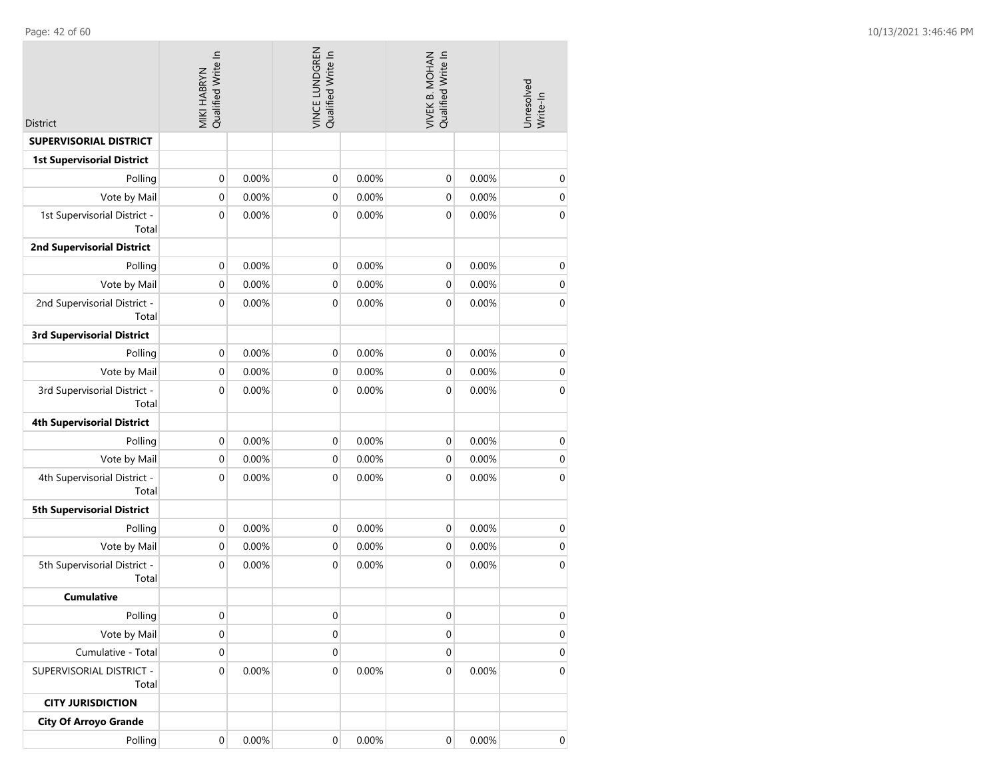| <b>District</b>                       | MIKI HABRYN<br>Qualified Write In |       | VINCE LUNDGREN<br>Qualified Write In |       | Qualified Write In<br>VIVEK B. MOHAN |       | Unresolved<br>Write-In |
|---------------------------------------|-----------------------------------|-------|--------------------------------------|-------|--------------------------------------|-------|------------------------|
| <b>SUPERVISORIAL DISTRICT</b>         |                                   |       |                                      |       |                                      |       |                        |
| <b>1st Supervisorial District</b>     |                                   |       |                                      |       |                                      |       |                        |
| Polling                               | $\boldsymbol{0}$                  | 0.00% | 0                                    | 0.00% | $\mathbf 0$                          | 0.00% | $\boldsymbol{0}$       |
| Vote by Mail                          | $\boldsymbol{0}$                  | 0.00% | 0                                    | 0.00% | $\mathbf 0$                          | 0.00% | $\pmb{0}$              |
| 1st Supervisorial District -<br>Total | $\boldsymbol{0}$                  | 0.00% | 0                                    | 0.00% | $\boldsymbol{0}$                     | 0.00% | $\pmb{0}$              |
| <b>2nd Supervisorial District</b>     |                                   |       |                                      |       |                                      |       |                        |
| Polling                               | $\mathbf 0$                       | 0.00% | 0                                    | 0.00% | $\boldsymbol{0}$                     | 0.00% | $\boldsymbol{0}$       |
| Vote by Mail                          | $\mathbf 0$                       | 0.00% | 0                                    | 0.00% | $\mathbf 0$                          | 0.00% | $\pmb{0}$              |
| 2nd Supervisorial District -<br>Total | $\boldsymbol{0}$                  | 0.00% | 0                                    | 0.00% | 0                                    | 0.00% | $\pmb{0}$              |
| <b>3rd Supervisorial District</b>     |                                   |       |                                      |       |                                      |       |                        |
| Polling                               | $\mathbf 0$                       | 0.00% | 0                                    | 0.00% | $\mathbf 0$                          | 0.00% | $\pmb{0}$              |
| Vote by Mail                          | $\mathbf 0$                       | 0.00% | 0                                    | 0.00% | $\mathbf 0$                          | 0.00% | $\pmb{0}$              |
| 3rd Supervisorial District -<br>Total | $\mathbf 0$                       | 0.00% | 0                                    | 0.00% | $\mathbf 0$                          | 0.00% | $\mathbf 0$            |
| <b>4th Supervisorial District</b>     |                                   |       |                                      |       |                                      |       |                        |
| Polling                               | $\boldsymbol{0}$                  | 0.00% | 0                                    | 0.00% | 0                                    | 0.00% | $\boldsymbol{0}$       |
| Vote by Mail                          | $\mathbf 0$                       | 0.00% | 0                                    | 0.00% | $\mathbf 0$                          | 0.00% | $\pmb{0}$              |
| 4th Supervisorial District -<br>Total | $\boldsymbol{0}$                  | 0.00% | 0                                    | 0.00% | 0                                    | 0.00% | $\pmb{0}$              |
| <b>5th Supervisorial District</b>     |                                   |       |                                      |       |                                      |       |                        |
| Polling                               | $\mathbf 0$                       | 0.00% | 0                                    | 0.00% | $\mathbf 0$                          | 0.00% | 0                      |
| Vote by Mail                          | $\mathbf 0$                       | 0.00% | 0                                    | 0.00% | $\mathbf 0$                          | 0.00% | $\pmb{0}$              |
| 5th Supervisorial District -<br>Total | $\mathbf 0$                       | 0.00% | 0                                    | 0.00% | $\mathbf 0$                          | 0.00% | $\boldsymbol{0}$       |
| <b>Cumulative</b>                     |                                   |       |                                      |       |                                      |       |                        |
| Polling                               | 0                                 |       | 0                                    |       | 0                                    |       | $\pmb{0}$              |
| Vote by Mail                          | 0                                 |       | 0                                    |       | 0                                    |       | $\pmb{0}$              |
| Cumulative - Total                    | 0                                 |       | 0                                    |       | 0                                    |       | $\mathbf 0$            |
| SUPERVISORIAL DISTRICT -<br>Total     | 0                                 | 0.00% | 0                                    | 0.00% | $\mathbf 0$                          | 0.00% | $\boldsymbol{0}$       |
| <b>CITY JURISDICTION</b>              |                                   |       |                                      |       |                                      |       |                        |
| <b>City Of Arroyo Grande</b>          |                                   |       |                                      |       |                                      |       |                        |
| Polling                               | $\pmb{0}$                         | 0.00% | $\boldsymbol{0}$                     | 0.00% | $\boldsymbol{0}$                     | 0.00% | 0                      |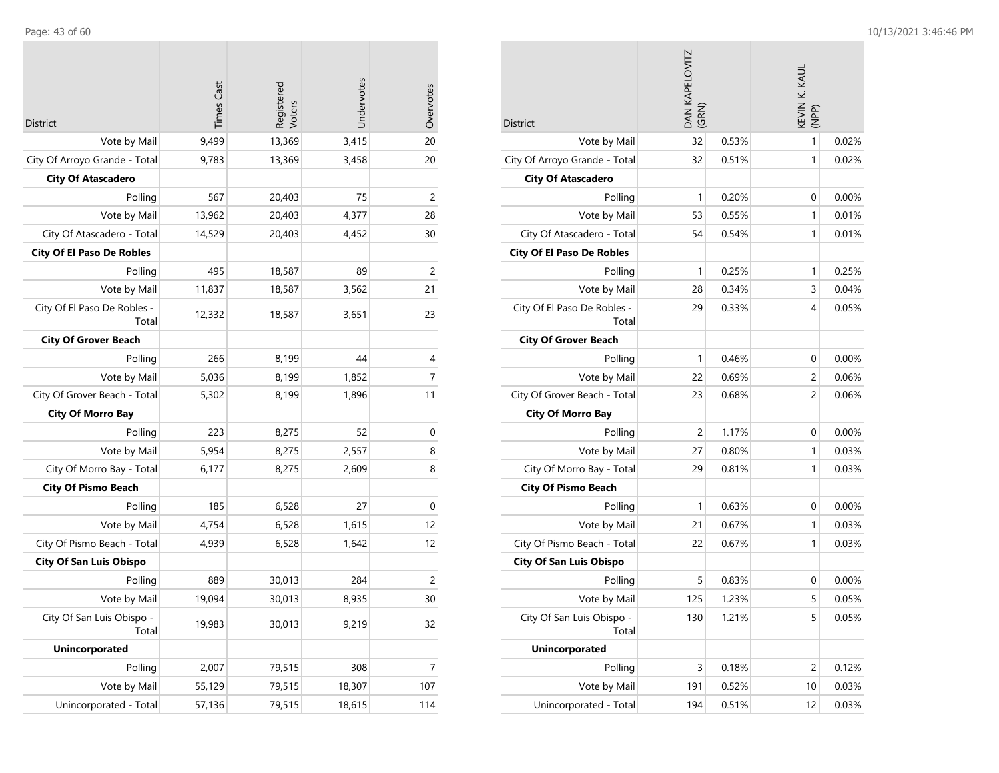$\mathcal{L}^{\text{max}}$ 

| District                             | <b>Times Cast</b> | Registered<br>Voters | Undervotes | Overvotes      |
|--------------------------------------|-------------------|----------------------|------------|----------------|
| Vote by Mail                         | 9,499             | 13,369               | 3,415      | 20             |
| City Of Arroyo Grande - Total        | 9,783             | 13,369               | 3,458      | 20             |
| <b>City Of Atascadero</b>            |                   |                      |            |                |
| Polling                              | 567               | 20,403               | 75         | 2              |
| Vote by Mail                         | 13,962            | 20,403               | 4,377      | 28             |
| City Of Atascadero - Total           | 14,529            | 20,403               | 4,452      | 30             |
| <b>City Of El Paso De Robles</b>     |                   |                      |            |                |
| Polling                              | 495               | 18,587               | 89         | $\overline{c}$ |
| Vote by Mail                         | 11,837            | 18,587               | 3,562      | 21             |
| City Of El Paso De Robles -<br>Total | 12,332            | 18,587               | 3,651      | 23             |
| <b>City Of Grover Beach</b>          |                   |                      |            |                |
| Polling                              | 266               | 8,199                | 44         | 4              |
| Vote by Mail                         | 5,036             | 8,199                | 1,852      | 7              |
| City Of Grover Beach - Total         | 5,302             | 8,199                | 1,896      | 11             |
| <b>City Of Morro Bay</b>             |                   |                      |            |                |
| Polling                              | 223               | 8,275                | 52         | $\mathbf 0$    |
| Vote by Mail                         | 5,954             | 8,275                | 2,557      | 8              |
| City Of Morro Bay - Total            | 6,177             | 8,275                | 2,609      | 8              |
| <b>City Of Pismo Beach</b>           |                   |                      |            |                |
| Polling                              | 185               | 6,528                | 27         | $\mathbf 0$    |
| Vote by Mail                         | 4,754             | 6,528                | 1,615      | 12             |
| City Of Pismo Beach - Total          | 4,939             | 6,528                | 1,642      | 12             |
| <b>City Of San Luis Obispo</b>       |                   |                      |            |                |
| Polling                              | 889               | 30,013               | 284        | $\overline{c}$ |
| Vote by Mail                         | 19,094            | 30,013               | 8,935      | 30             |
| City Of San Luis Obispo -<br>Total   | 19,983            | 30,013               | 9,219      | 32             |
| <b>Unincorporated</b>                |                   |                      |            |                |
| Polling                              | 2,007             | 79,515               | 308        | $\overline{7}$ |
| Vote by Mail                         | 55,129            | 79,515               | 18,307     | 107            |
| Unincorporated - Total               | 57,136            | 79,515               | 18,615     | 114            |

| <b>District</b>                      | DAN KAPELOVITZ<br>(GRN) |       | KEVIN K. KAUL<br>(NPP) |       |
|--------------------------------------|-------------------------|-------|------------------------|-------|
| Vote by Mail                         | 32                      | 0.53% | 1                      | 0.02% |
| City Of Arroyo Grande - Total        | 32                      | 0.51% | 1                      | 0.02% |
| <b>City Of Atascadero</b>            |                         |       |                        |       |
| Polling                              | 1                       | 0.20% | 0                      | 0.00% |
| Vote by Mail                         | 53                      | 0.55% | 1                      | 0.01% |
| City Of Atascadero - Total           | 54                      | 0.54% | 1                      | 0.01% |
| <b>City Of El Paso De Robles</b>     |                         |       |                        |       |
| Polling                              | 1                       | 0.25% | 1                      | 0.25% |
| Vote by Mail                         | 28                      | 0.34% | 3                      | 0.04% |
| City Of El Paso De Robles -<br>Total | 29                      | 0.33% | 4                      | 0.05% |
| <b>City Of Grover Beach</b>          |                         |       |                        |       |
| Polling                              | 1                       | 0.46% | 0                      | 0.00% |
| Vote by Mail                         | 22                      | 0.69% | 2                      | 0.06% |
| City Of Grover Beach - Total         | 23                      | 0.68% | 2                      | 0.06% |
| <b>City Of Morro Bay</b>             |                         |       |                        |       |
| Polling                              | $\overline{2}$          | 1.17% | 0                      | 0.00% |
| Vote by Mail                         | 27                      | 0.80% | 1                      | 0.03% |
| City Of Morro Bay - Total            | 29                      | 0.81% | 1                      | 0.03% |
| <b>City Of Pismo Beach</b>           |                         |       |                        |       |
| Polling                              | 1                       | 0.63% | 0                      | 0.00% |
| Vote by Mail                         | 21                      | 0.67% | 1                      | 0.03% |
| City Of Pismo Beach - Total          | 22                      | 0.67% | 1                      | 0.03% |
| <b>City Of San Luis Obispo</b>       |                         |       |                        |       |
| Polling                              | 5                       | 0.83% | 0                      | 0.00% |
| Vote by Mail                         | 125                     | 1.23% | 5                      | 0.05% |
| City Of San Luis Obispo -<br>Total   | 130                     | 1.21% | 5                      | 0.05% |
| <b>Unincorporated</b>                |                         |       |                        |       |
| Polling                              | 3                       | 0.18% | $\overline{c}$         | 0.12% |
| Vote by Mail                         | 191                     | 0.52% | 10                     | 0.03% |
| Unincorporated - Total               | 194                     | 0.51% | 12                     | 0.03% |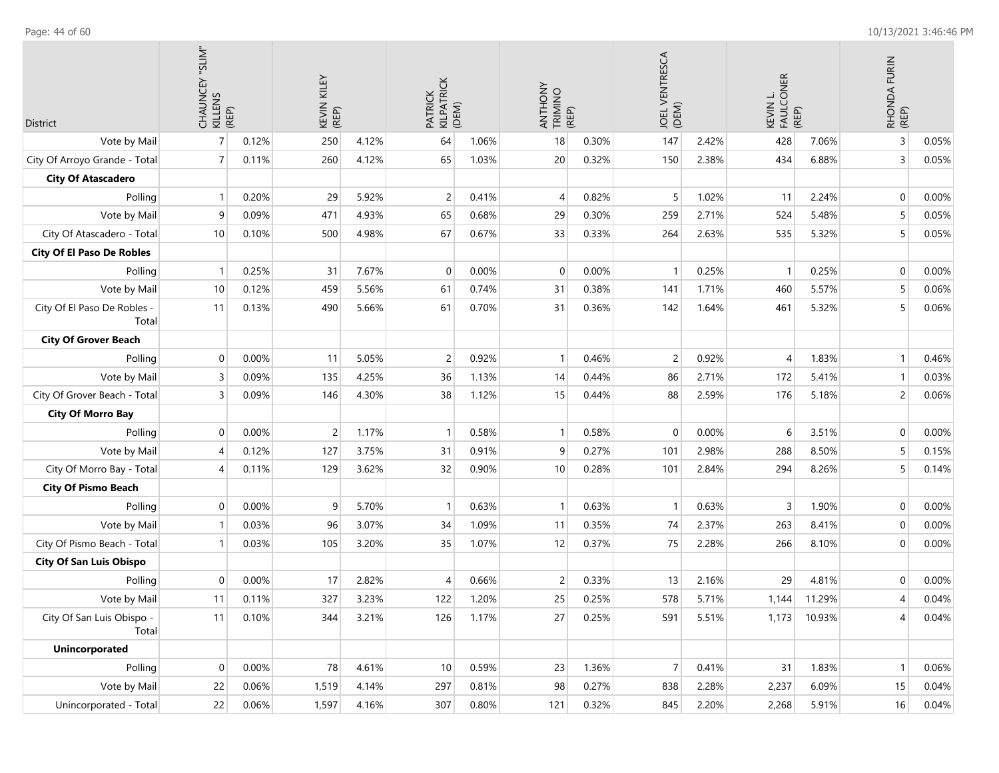| <b>District</b>                      | CHAUNCEY "SLIM"<br>KILLENS<br>KELP) |       | KILEY<br>KEVIN<br>(REP) |       | PATRICK<br>KILPATRICK<br>(DEM) |       | ANTHONY<br>TRIMINO<br>(REP) |       | JOEL VENTRESCA<br>(DEM) |       | KEVIN L.<br>FAULCONER<br>(REP) |        | RHONDA FURIN<br>(REP) |       |
|--------------------------------------|-------------------------------------|-------|-------------------------|-------|--------------------------------|-------|-----------------------------|-------|-------------------------|-------|--------------------------------|--------|-----------------------|-------|
| Vote by Mail                         | $\overline{7}$                      | 0.12% | 250                     | 4.12% | 64                             | 1.06% | 18                          | 0.30% | 147                     | 2.42% | 428                            | 7.06%  | $\overline{3}$        | 0.05% |
| City Of Arroyo Grande - Total        | $\overline{7}$                      | 0.11% | 260                     | 4.12% | 65                             | 1.03% | 20                          | 0.32% | 150                     | 2.38% | 434                            | 6.88%  | 3                     | 0.05% |
| <b>City Of Atascadero</b>            |                                     |       |                         |       |                                |       |                             |       |                         |       |                                |        |                       |       |
| Polling                              | $\overline{1}$                      | 0.20% | 29                      | 5.92% | $\overline{c}$                 | 0.41% | $\overline{4}$              | 0.82% | 5                       | 1.02% | 11                             | 2.24%  | $\mathbf 0$           | 0.00% |
| Vote by Mail                         | 9                                   | 0.09% | 471                     | 4.93% | 65                             | 0.68% | 29                          | 0.30% | 259                     | 2.71% | 524                            | 5.48%  | 5                     | 0.05% |
| City Of Atascadero - Total           | 10                                  | 0.10% | 500                     | 4.98% | 67                             | 0.67% | 33                          | 0.33% | 264                     | 2.63% | 535                            | 5.32%  | 5                     | 0.05% |
| <b>City Of El Paso De Robles</b>     |                                     |       |                         |       |                                |       |                             |       |                         |       |                                |        |                       |       |
| Polling                              | $\overline{\mathbf{1}}$             | 0.25% | 31                      | 7.67% | $\Omega$                       | 0.00% | 0                           | 0.00% |                         | 0.25% | $\overline{1}$                 | 0.25%  | $\mathbf 0$           | 0.00% |
| Vote by Mail                         | 10                                  | 0.12% | 459                     | 5.56% | 61                             | 0.74% | 31                          | 0.38% | 141                     | 1.71% | 460                            | 5.57%  | 5                     | 0.06% |
| City Of El Paso De Robles -<br>Total | 11                                  | 0.13% | 490                     | 5.66% | 61                             | 0.70% | 31                          | 0.36% | 142                     | 1.64% | 461                            | 5.32%  | 5                     | 0.06% |
| <b>City Of Grover Beach</b>          |                                     |       |                         |       |                                |       |                             |       |                         |       |                                |        |                       |       |
| Polling                              | $\mathbf 0$                         | 0.00% | 11                      | 5.05% | 2                              | 0.92% |                             | 0.46% | $\overline{c}$          | 0.92% | 4                              | 1.83%  | $\mathbf{1}$          | 0.46% |
| Vote by Mail                         | $\overline{3}$                      | 0.09% | 135                     | 4.25% | 36                             | 1.13% | 14                          | 0.44% | 86                      | 2.71% | 172                            | 5.41%  | $\mathbf{1}$          | 0.03% |
| City Of Grover Beach - Total         | $\overline{3}$                      | 0.09% | 146                     | 4.30% | 38                             | 1.12% | 15                          | 0.44% | 88                      | 2.59% | 176                            | 5.18%  | $\overline{c}$        | 0.06% |
| <b>City Of Morro Bay</b>             |                                     |       |                         |       |                                |       |                             |       |                         |       |                                |        |                       |       |
| Polling                              | $\mathbf 0$                         | 0.00% | 2                       | 1.17% |                                | 0.58% | 1                           | 0.58% | $\mathbf 0$             | 0.00% | 6                              | 3.51%  | $\mathbf 0$           | 0.00% |
| Vote by Mail                         | $\overline{4}$                      | 0.12% | 127                     | 3.75% | 31                             | 0.91% | 9                           | 0.27% | 101                     | 2.98% | 288                            | 8.50%  | 5                     | 0.15% |
| City Of Morro Bay - Total            | $\overline{4}$                      | 0.11% | 129                     | 3.62% | 32                             | 0.90% | 10                          | 0.28% | 101                     | 2.84% | 294                            | 8.26%  | 5                     | 0.14% |
| <b>City Of Pismo Beach</b>           |                                     |       |                         |       |                                |       |                             |       |                         |       |                                |        |                       |       |
| Polling                              | $\mathbf 0$                         | 0.00% | 9                       | 5.70% |                                | 0.63% | 1                           | 0.63% | $\mathbf{1}$            | 0.63% | 3                              | 1.90%  | $\mathbf 0$           | 0.00% |
| Vote by Mail                         | -1                                  | 0.03% | 96                      | 3.07% | 34                             | 1.09% | 11                          | 0.35% | 74                      | 2.37% | 263                            | 8.41%  | $\mathbf 0$           | 0.00% |
| City Of Pismo Beach - Total          |                                     | 0.03% | 105                     | 3.20% | 35                             | 1.07% | 12                          | 0.37% | 75                      | 2.28% | 266                            | 8.10%  | $\mathbf 0$           | 0.00% |
| <b>City Of San Luis Obispo</b>       |                                     |       |                         |       |                                |       |                             |       |                         |       |                                |        |                       |       |
| Polling                              | $\mathbf 0$                         | 0.00% | 17                      | 2.82% | 4                              | 0.66% | $\overline{c}$              | 0.33% | 13                      | 2.16% | 29                             | 4.81%  | $\mathbf 0$           | 0.00% |
| Vote by Mail                         | 11                                  | 0.11% | 327                     | 3.23% | 122                            | 1.20% | 25                          | 0.25% | 578                     | 5.71% | 1,144                          | 11.29% | $\overline{4}$        | 0.04% |
| City Of San Luis Obispo -<br>Total   | 11                                  | 0.10% | 344                     | 3.21% | 126                            | 1.17% | 27                          | 0.25% | 591                     | 5.51% | 1,173                          | 10.93% | 4                     | 0.04% |
| Unincorporated                       |                                     |       |                         |       |                                |       |                             |       |                         |       |                                |        |                       |       |
| Polling                              | $\mathbf 0$                         | 0.00% | 78                      | 4.61% | $10$                           | 0.59% | 23                          | 1.36% | $\overline{7}$          | 0.41% | 31                             | 1.83%  | $\mathbf{1}$          | 0.06% |
| Vote by Mail                         | 22                                  | 0.06% | 1,519                   | 4.14% | 297                            | 0.81% | 98                          | 0.27% | 838                     | 2.28% | 2,237                          | 6.09%  | 15                    | 0.04% |
| Unincorporated - Total               | 22                                  | 0.06% | 1,597                   | 4.16% | 307                            | 0.80% | 121                         | 0.32% | 845                     | 2.20% | 2,268                          | 5.91%  | 16                    | 0.04% |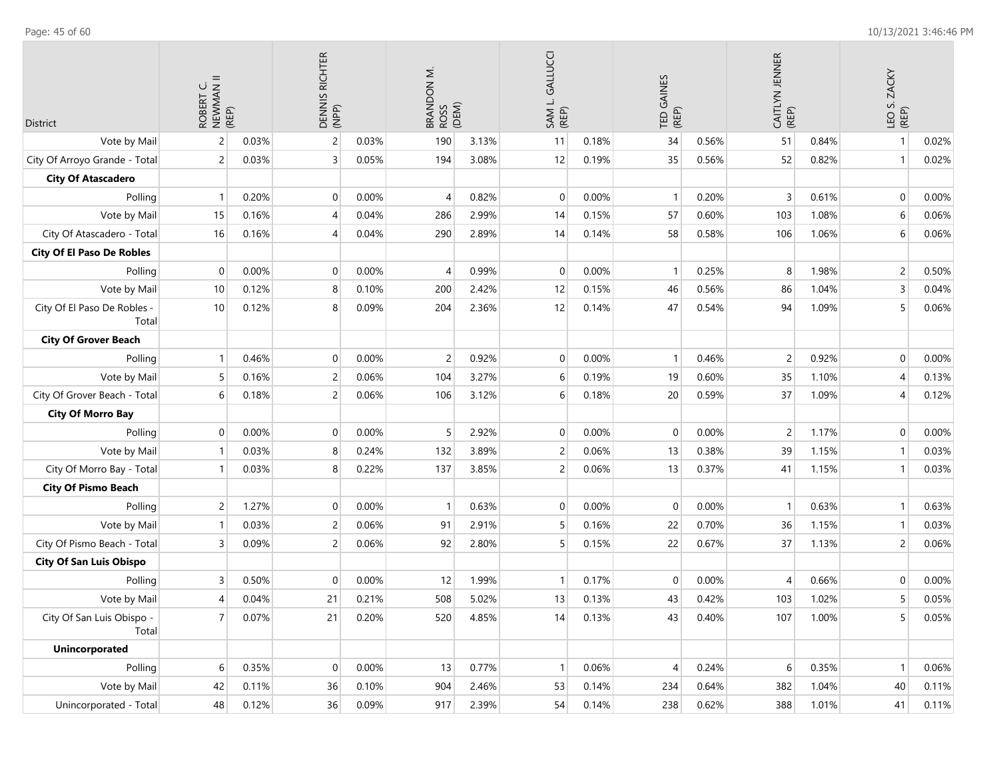| District                             | ROBERT C.<br>NEWMAN II<br>(REP) |       |                | DENNIS RICHTER<br>(NPP)<br>$\overline{c}$<br>0.03% |                | BRANDON M.<br>ROSS<br>(DEM) | SAM L. GALLUCCI<br>(REP) |       | TED GAINES<br>(REP) |       | CAITLYN JENNER<br>(REP) |       | LEO S. ZACKY<br>(REP) |       |
|--------------------------------------|---------------------------------|-------|----------------|----------------------------------------------------|----------------|-----------------------------|--------------------------|-------|---------------------|-------|-------------------------|-------|-----------------------|-------|
| Vote by Mail                         | $\overline{c}$                  | 0.03% |                |                                                    | 190            | 3.13%                       | 11                       | 0.18% | 34                  | 0.56% | 51                      | 0.84% | $\mathbf{1}$          | 0.02% |
| City Of Arroyo Grande - Total        | 2                               | 0.03% | 3              | 0.05%                                              | 194            | 3.08%                       | 12                       | 0.19% | 35                  | 0.56% | 52                      | 0.82% | $\mathbf{1}$          | 0.02% |
| <b>City Of Atascadero</b>            |                                 |       |                |                                                    |                |                             |                          |       |                     |       |                         |       |                       |       |
| Polling                              |                                 | 0.20% | 0              | 0.00%                                              | $\overline{4}$ | 0.82%                       | 0                        | 0.00% | $\mathbf{1}$        | 0.20% | 3                       | 0.61% | $\mathbf 0$           | 0.00% |
| Vote by Mail                         | 15                              | 0.16% | $\overline{4}$ | 0.04%                                              | 286            | 2.99%                       | 14                       | 0.15% | 57                  | 0.60% | 103                     | 1.08% | 6                     | 0.06% |
| City Of Atascadero - Total           | 16                              | 0.16% | $\overline{4}$ | 0.04%                                              | 290            | 2.89%                       | 14                       | 0.14% | 58                  | 0.58% | 106                     | 1.06% | 6                     | 0.06% |
| <b>City Of El Paso De Robles</b>     |                                 |       |                |                                                    |                |                             |                          |       |                     |       |                         |       |                       |       |
| Polling                              | $\mathbf{0}$                    | 0.00% | $\mathbf 0$    | 0.00%                                              | $\overline{4}$ | 0.99%                       | 0                        | 0.00% | $\mathbf{1}$        | 0.25% | 8                       | 1.98% | $\overline{c}$        | 0.50% |
| Vote by Mail                         | 10                              | 0.12% | 8              | 0.10%                                              | 200            | 2.42%                       | 12                       | 0.15% | 46                  | 0.56% | 86                      | 1.04% | 3                     | 0.04% |
| City Of El Paso De Robles -<br>Total | 10                              | 0.12% | 8              | 0.09%                                              | 204            | 2.36%                       | 12                       | 0.14% | 47                  | 0.54% | 94                      | 1.09% | 5                     | 0.06% |
| <b>City Of Grover Beach</b>          |                                 |       |                |                                                    |                |                             |                          |       |                     |       |                         |       |                       |       |
| Polling                              |                                 | 0.46% | 0              | 0.00%                                              | $\overline{c}$ | 0.92%                       | 0                        | 0.00% | $\mathbf{1}$        | 0.46% | $\overline{c}$          | 0.92% | $\mathbf 0$           | 0.00% |
| Vote by Mail                         | 5                               | 0.16% | $\overline{c}$ | 0.06%                                              | 104            | 3.27%                       | 6                        | 0.19% | 19                  | 0.60% | 35                      | 1.10% | 4                     | 0.13% |
| City Of Grover Beach - Total         | 6                               | 0.18% | $\overline{c}$ | 0.06%                                              | 106            | 3.12%                       | 6                        | 0.18% | 20                  | 0.59% | 37                      | 1.09% | 4                     | 0.12% |
| <b>City Of Morro Bay</b>             |                                 |       |                |                                                    |                |                             |                          |       |                     |       |                         |       |                       |       |
| Polling                              | 0                               | 0.00% | 0              | 0.00%                                              | 5              | 2.92%                       | 0                        | 0.00% | $\mathbf 0$         | 0.00% | 2                       | 1.17% | $\mathbf 0$           | 0.00% |
| Vote by Mail                         |                                 | 0.03% | 8              | 0.24%                                              | 132            | 3.89%                       | 2                        | 0.06% | 13                  | 0.38% | 39                      | 1.15% | $\mathbf{1}$          | 0.03% |
| City Of Morro Bay - Total            |                                 | 0.03% | 8              | 0.22%                                              | 137            | 3.85%                       | 2                        | 0.06% | 13                  | 0.37% | 41                      | 1.15% | 1                     | 0.03% |
| <b>City Of Pismo Beach</b>           |                                 |       |                |                                                    |                |                             |                          |       |                     |       |                         |       |                       |       |
| Polling                              | $\overline{c}$                  | 1.27% | 0              | 0.00%                                              | $\mathbf{1}$   | 0.63%                       | 0                        | 0.00% | $\mathbf 0$         | 0.00% | $\overline{1}$          | 0.63% | $\mathbf{1}$          | 0.63% |
| Vote by Mail                         |                                 | 0.03% | $\overline{c}$ | 0.06%                                              | 91             | 2.91%                       | 5                        | 0.16% | 22                  | 0.70% | 36                      | 1.15% | $\overline{1}$        | 0.03% |
| City Of Pismo Beach - Total          | 3                               | 0.09% | $\overline{c}$ | 0.06%                                              | 92             | 2.80%                       | 5                        | 0.15% | 22                  | 0.67% | 37                      | 1.13% | $\overline{c}$        | 0.06% |
| <b>City Of San Luis Obispo</b>       |                                 |       |                |                                                    |                |                             |                          |       |                     |       |                         |       |                       |       |
| Polling                              | 3                               | 0.50% | $\mathbf 0$    | 0.00%                                              | 12             | 1.99%                       | 1                        | 0.17% | $\overline{0}$      | 0.00% | $\overline{4}$          | 0.66% | $\mathbf 0$           | 0.00% |
| Vote by Mail                         | 4                               | 0.04% | 21             | 0.21%                                              | 508            | 5.02%                       | 13                       | 0.13% | 43                  | 0.42% | 103                     | 1.02% | 5                     | 0.05% |
| City Of San Luis Obispo -<br>Total   | 7 <sup>1</sup>                  | 0.07% | 21             | 0.20%                                              | 520            | 4.85%                       | 14                       | 0.13% | 43                  | 0.40% | 107                     | 1.00% | 5                     | 0.05% |
| <b>Unincorporated</b>                |                                 |       |                |                                                    |                |                             |                          |       |                     |       |                         |       |                       |       |
| Polling                              | 6                               | 0.35% | 0              | 0.00%                                              | 13             | 0.77%                       | 1                        | 0.06% | $\overline{4}$      | 0.24% | 6                       | 0.35% | $\overline{1}$        | 0.06% |
| Vote by Mail                         | 42                              | 0.11% | 36             | 0.10%                                              | 904            | 2.46%                       | 53                       | 0.14% | 234                 | 0.64% | 382                     | 1.04% | 40                    | 0.11% |
| Unincorporated - Total               | $48\,$                          | 0.12% | 36             | 0.09%                                              | 917            | 2.39%                       | 54                       | 0.14% | 238                 | 0.62% | 388                     | 1.01% | 41                    | 0.11% |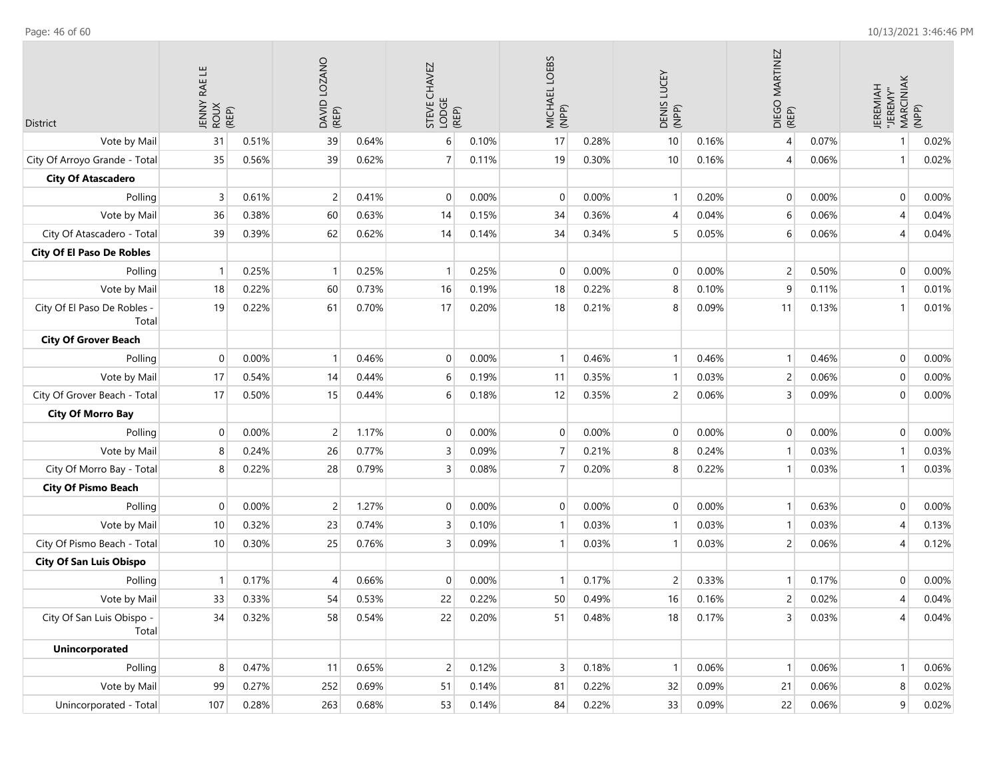| District                             | JENNY RAE LE<br>ROUX<br>(REP) |       | DAVID LOZANO<br>(REP)<br>39<br>0.64% |       | STEVE CHAVEZ<br>LODGE<br>(REP) |       | MICHAEL LOEBS<br>(NPP) |       | DENIS LUCEY<br>(NPP) |       | DIEGO MARTINEZ<br>(REP) |       | JEREMIAH<br>"JEREMY"<br>MARCINIAK | (NPP) |
|--------------------------------------|-------------------------------|-------|--------------------------------------|-------|--------------------------------|-------|------------------------|-------|----------------------|-------|-------------------------|-------|-----------------------------------|-------|
| Vote by Mail                         | 31                            | 0.51% |                                      |       | 6                              | 0.10% | 17                     | 0.28% | 10                   | 0.16% | 4                       | 0.07% | 1                                 | 0.02% |
| City Of Arroyo Grande - Total        | 35                            | 0.56% | 39                                   | 0.62% | $\overline{7}$                 | 0.11% | 19                     | 0.30% | 10                   | 0.16% | 4                       | 0.06% | $\mathbf{1}$                      | 0.02% |
| <b>City Of Atascadero</b>            |                               |       |                                      |       |                                |       |                        |       |                      |       |                         |       |                                   |       |
| Polling                              | 3                             | 0.61% | $\overline{2}$                       | 0.41% | $\mathbf 0$                    | 0.00% | $\mathbf 0$            | 0.00% | $\mathbf{1}$         | 0.20% | $\mathbf{0}$            | 0.00% | $\mathbf 0$                       | 0.00% |
| Vote by Mail                         | 36                            | 0.38% | 60                                   | 0.63% | 14                             | 0.15% | 34                     | 0.36% | 4                    | 0.04% | 6                       | 0.06% | $\overline{4}$                    | 0.04% |
| City Of Atascadero - Total           | 39                            | 0.39% | 62                                   | 0.62% | 14                             | 0.14% | 34                     | 0.34% | 5                    | 0.05% | 6                       | 0.06% | $\overline{4}$                    | 0.04% |
| <b>City Of El Paso De Robles</b>     |                               |       |                                      |       |                                |       |                        |       |                      |       |                         |       |                                   |       |
| Polling                              | 1                             | 0.25% | $\mathbf{1}$                         | 0.25% | $\overline{1}$                 | 0.25% | 0                      | 0.00% | $\mathbf 0$          | 0.00% | $\overline{2}$          | 0.50% | $\mathbf 0$                       | 0.00% |
| Vote by Mail                         | 18                            | 0.22% | 60                                   | 0.73% | 16                             | 0.19% | 18                     | 0.22% | 8                    | 0.10% | 9                       | 0.11% | $\mathbf{1}$                      | 0.01% |
| City Of El Paso De Robles -<br>Total | 19                            | 0.22% | 61                                   | 0.70% | 17                             | 0.20% | 18                     | 0.21% | 8                    | 0.09% | 11                      | 0.13% | $\mathbf{1}$                      | 0.01% |
| <b>City Of Grover Beach</b>          |                               |       |                                      |       |                                |       |                        |       |                      |       |                         |       |                                   |       |
| Polling                              | $\mathbf{0}$                  | 0.00% | $\mathbf{1}$                         | 0.46% | 0                              | 0.00% | $\mathbf{1}$           | 0.46% | $\mathbf{1}$         | 0.46% | $\overline{1}$          | 0.46% | $\mathbf 0$                       | 0.00% |
| Vote by Mail                         | 17                            | 0.54% | 14                                   | 0.44% | 6                              | 0.19% | 11                     | 0.35% | $\mathbf{1}$         | 0.03% | $\overline{c}$          | 0.06% | $\mathbf 0$                       | 0.00% |
| City Of Grover Beach - Total         | 17                            | 0.50% | 15                                   | 0.44% | 6                              | 0.18% | 12                     | 0.35% | $\overline{2}$       | 0.06% | 3                       | 0.09% | $\mathbf 0$                       | 0.00% |
| <b>City Of Morro Bay</b>             |                               |       |                                      |       |                                |       |                        |       |                      |       |                         |       |                                   |       |
| Polling                              | $\mathbf{0}$                  | 0.00% | 2                                    | 1.17% | $\mathbf 0$                    | 0.00% | $\mathbf 0$            | 0.00% | $\mathbf 0$          | 0.00% | $\mathbf{0}$            | 0.00% | $\mathbf 0$                       | 0.00% |
| Vote by Mail                         | 8                             | 0.24% | 26                                   | 0.77% | $\mathsf{3}$                   | 0.09% | $\overline{7}$         | 0.21% | 8                    | 0.24% | $\overline{1}$          | 0.03% | $\mathbf{1}$                      | 0.03% |
| City Of Morro Bay - Total            | 8                             | 0.22% | 28                                   | 0.79% | $\overline{3}$                 | 0.08% | $\overline{7}$         | 0.20% | 8                    | 0.22% | $\mathbf 1$             | 0.03% | -1                                | 0.03% |
| <b>City Of Pismo Beach</b>           |                               |       |                                      |       |                                |       |                        |       |                      |       |                         |       |                                   |       |
| Polling                              | $\mathbf{0}$                  | 0.00% | $\overline{2}$                       | 1.27% | $\mathbf 0$                    | 0.00% | 0                      | 0.00% | $\mathbf 0$          | 0.00% | $\mathbf 1$             | 0.63% | $\mathbf 0$                       | 0.00% |
| Vote by Mail                         | 10                            | 0.32% | 23                                   | 0.74% | 3                              | 0.10% | $\overline{1}$         | 0.03% | $\mathbf{1}$         | 0.03% | $\mathbf 1$             | 0.03% | 4                                 | 0.13% |
| City Of Pismo Beach - Total          | 10                            | 0.30% | 25                                   | 0.76% | 3                              | 0.09% |                        | 0.03% | $\mathbf{1}$         | 0.03% | $\overline{c}$          | 0.06% | 4                                 | 0.12% |
| <b>City Of San Luis Obispo</b>       |                               |       |                                      |       |                                |       |                        |       |                      |       |                         |       |                                   |       |
| Polling                              | $\mathbf{1}$                  | 0.17% | $\overline{4}$                       | 0.66% | $\mathbf 0$                    | 0.00% | -1                     | 0.17% | 2                    | 0.33% | $\mathbf 1$             | 0.17% | $\mathbf 0$                       | 0.00% |
| Vote by Mail                         | 33                            | 0.33% | 54                                   | 0.53% | 22                             | 0.22% | 50                     | 0.49% | 16                   | 0.16% | $\overline{c}$          | 0.02% | $\overline{4}$                    | 0.04% |
| City Of San Luis Obispo -<br>Total   | 34                            | 0.32% | 58                                   | 0.54% | 22                             | 0.20% | 51                     | 0.48% | 18                   | 0.17% | 3                       | 0.03% | 4                                 | 0.04% |
| <b>Unincorporated</b>                |                               |       |                                      |       |                                |       |                        |       |                      |       |                         |       |                                   |       |
| Polling                              | 8                             | 0.47% | 11                                   | 0.65% | $\overline{2}$                 | 0.12% | 3                      | 0.18% | $\mathbf{1}$         | 0.06% | $\overline{1}$          | 0.06% | $\mathbf{1}$                      | 0.06% |
| Vote by Mail                         | 99                            | 0.27% | 252                                  | 0.69% | 51                             | 0.14% | 81                     | 0.22% | 32                   | 0.09% | 21                      | 0.06% | 8                                 | 0.02% |
| Unincorporated - Total               | 107                           | 0.28% | 263                                  | 0.68% | 53                             | 0.14% | 84                     | 0.22% | 33                   | 0.09% | 22                      | 0.06% | $\boldsymbol{9}$                  | 0.02% |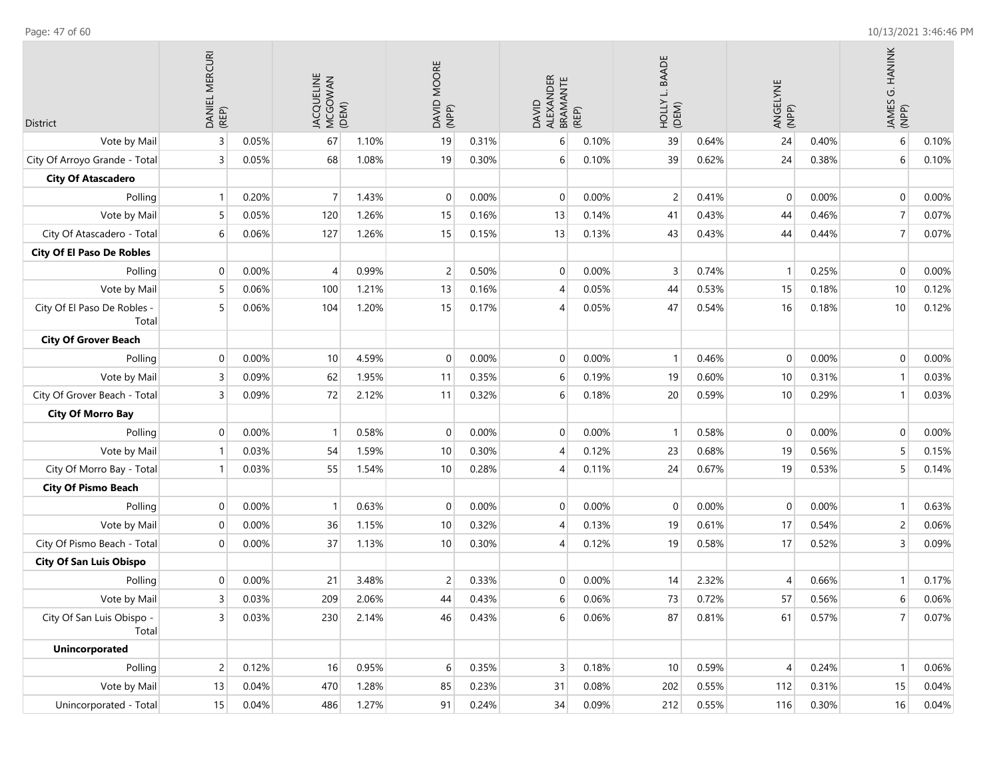| District                             | DANIEL MERCURI<br>(REP) |       | JACQUELINE<br>MCGOWAN<br>(DEM) |       | DAVID MOORE<br>(NPP)<br>19<br>0.31% |       | ALEXANDER<br>BRAMANTE<br>DAVID | (REP) | L. BAADE<br>(DEN) |       | ANGELYNE<br>(NPP)        |       | JAMES G. HANINK<br>(NPP) |       |
|--------------------------------------|-------------------------|-------|--------------------------------|-------|-------------------------------------|-------|--------------------------------|-------|-------------------|-------|--------------------------|-------|--------------------------|-------|
| Vote by Mail                         | $\overline{3}$          | 0.05% | 67                             | 1.10% |                                     |       | 6                              | 0.10% | 39                | 0.64% | 24                       | 0.40% | $\,$ 6                   | 0.10% |
| City Of Arroyo Grande - Total        | $\overline{3}$          | 0.05% | 68                             | 1.08% | 19                                  | 0.30% | 6                              | 0.10% | 39                | 0.62% | 24                       | 0.38% | 6                        | 0.10% |
| <b>City Of Atascadero</b>            |                         |       |                                |       |                                     |       |                                |       |                   |       |                          |       |                          |       |
| Polling                              | $\mathbf{1}$            | 0.20% | 7                              | 1.43% | $\mathbf 0$                         | 0.00% | $\mathbf 0$                    | 0.00% | $\overline{c}$    | 0.41% | 0                        | 0.00% | $\mathbf 0$              | 0.00% |
| Vote by Mail                         | 5                       | 0.05% | 120                            | 1.26% | 15                                  | 0.16% | 13                             | 0.14% | 41                | 0.43% | 44                       | 0.46% | $\overline{7}$           | 0.07% |
| City Of Atascadero - Total           | 6                       | 0.06% | 127                            | 1.26% | 15                                  | 0.15% | 13                             | 0.13% | 43                | 0.43% | 44                       | 0.44% | $\overline{7}$           | 0.07% |
| <b>City Of El Paso De Robles</b>     |                         |       |                                |       |                                     |       |                                |       |                   |       |                          |       |                          |       |
| Polling                              | $\mathbf 0$             | 0.00% | 4                              | 0.99% | $\overline{c}$                      | 0.50% | 0                              | 0.00% | 3                 | 0.74% | $\mathbf{1}$             | 0.25% | $\mathbf 0$              | 0.00% |
| Vote by Mail                         | 5                       | 0.06% | 100                            | 1.21% | 13                                  | 0.16% | 4                              | 0.05% | 44                | 0.53% | 15                       | 0.18% | 10                       | 0.12% |
| City Of El Paso De Robles -<br>Total | 5                       | 0.06% | 104                            | 1.20% | 15                                  | 0.17% | $\overline{A}$                 | 0.05% | 47                | 0.54% | 16                       | 0.18% | 10                       | 0.12% |
| <b>City Of Grover Beach</b>          |                         |       |                                |       |                                     |       |                                |       |                   |       |                          |       |                          |       |
| Polling                              | $\mathbf 0$             | 0.00% | 10                             | 4.59% | 0                                   | 0.00% | 0                              | 0.00% | $\mathbf{1}$      | 0.46% | $\mathbf 0$              | 0.00% | $\mathbf 0$              | 0.00% |
| Vote by Mail                         | $\overline{3}$          | 0.09% | 62                             | 1.95% | 11                                  | 0.35% | 6                              | 0.19% | 19                | 0.60% | 10                       | 0.31% | $\overline{1}$           | 0.03% |
| City Of Grover Beach - Total         | 3                       | 0.09% | 72                             | 2.12% | 11                                  | 0.32% | 6                              | 0.18% | 20                | 0.59% | 10                       | 0.29% | $\overline{1}$           | 0.03% |
| <b>City Of Morro Bay</b>             |                         |       |                                |       |                                     |       |                                |       |                   |       |                          |       |                          |       |
| Polling                              | $\mathbf 0$             | 0.00% | 1                              | 0.58% | $\mathbf 0$                         | 0.00% | $\pmb{0}$                      | 0.00% | $\mathbf{1}$      | 0.58% | $\mathbf 0$              | 0.00% | $\mathbf 0$              | 0.00% |
| Vote by Mail                         | - 1                     | 0.03% | 54                             | 1.59% | 10                                  | 0.30% | $\overline{4}$                 | 0.12% | 23                | 0.68% | 19                       | 0.56% | 5                        | 0.15% |
| City Of Morro Bay - Total            | -1                      | 0.03% | 55                             | 1.54% | 10                                  | 0.28% | 4                              | 0.11% | 24                | 0.67% | 19                       | 0.53% | 5                        | 0.14% |
| <b>City Of Pismo Beach</b>           |                         |       |                                |       |                                     |       |                                |       |                   |       |                          |       |                          |       |
| Polling                              | $\mathbf 0$             | 0.00% |                                | 0.63% | 0                                   | 0.00% | $\mathbf 0$                    | 0.00% | $\mathbf 0$       | 0.00% | 0                        | 0.00% | $\mathbf{1}$             | 0.63% |
| Vote by Mail                         | $\mathbf 0$             | 0.00% | 36                             | 1.15% | 10                                  | 0.32% | $\overline{4}$                 | 0.13% | 19                | 0.61% | 17                       | 0.54% | $\overline{c}$           | 0.06% |
| City Of Pismo Beach - Total          | $\Omega$                | 0.00% | 37                             | 1.13% | 10                                  | 0.30% | 4                              | 0.12% | 19                | 0.58% | 17                       | 0.52% | 3                        | 0.09% |
| <b>City Of San Luis Obispo</b>       |                         |       |                                |       |                                     |       |                                |       |                   |       |                          |       |                          |       |
| Polling                              | $\Omega$                | 0.00% | 21                             | 3.48% | $\overline{c}$                      | 0.33% | $\mathbf 0$                    | 0.00% | 14                | 2.32% | 4                        | 0.66% | $\mathbf{1}$             | 0.17% |
| Vote by Mail                         | 3                       | 0.03% | 209                            | 2.06% | 44                                  | 0.43% | 6                              | 0.06% | 73                | 0.72% | 57                       | 0.56% | $6 \overline{6}$         | 0.06% |
| City Of San Luis Obispo -<br>Total   | 3                       | 0.03% | 230                            | 2.14% | 46                                  | 0.43% | 6                              | 0.06% | 87                | 0.81% | 61                       | 0.57% | $\overline{7}$           | 0.07% |
| <b>Unincorporated</b>                |                         |       |                                |       |                                     |       |                                |       |                   |       |                          |       |                          |       |
| Polling                              | $\overline{c}$          | 0.12% | 16                             | 0.95% | $6\,$                               | 0.35% | $\mathsf 3$                    | 0.18% | 10                | 0.59% | $\overline{\mathcal{A}}$ | 0.24% | $\overline{1}$           | 0.06% |
| Vote by Mail                         | 13                      | 0.04% | 470                            | 1.28% | 85                                  | 0.23% | 31                             | 0.08% | 202               | 0.55% | 112                      | 0.31% | 15                       | 0.04% |
| Unincorporated - Total               | 15                      | 0.04% | 486                            | 1.27% | 91                                  | 0.24% | 34                             | 0.09% | 212               | 0.55% | 116                      | 0.30% | 16                       | 0.04% |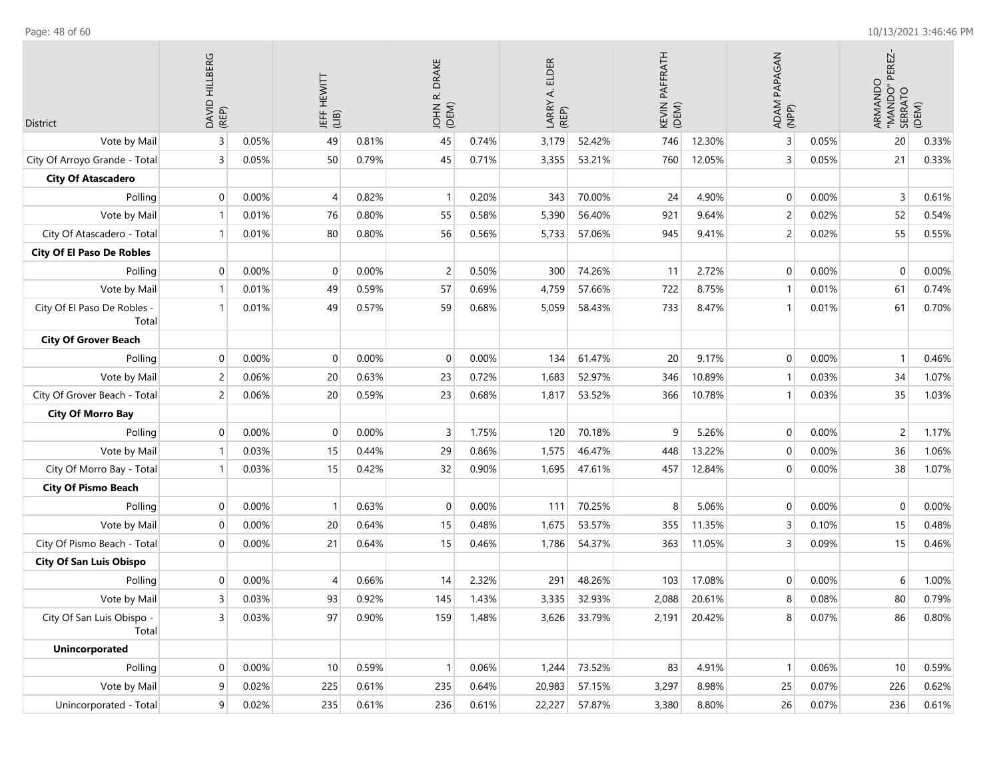| District                             | DAVID HILLBERG<br>(REP) |       | <b>JEFF HEWITT</b><br>(11B) | 49<br>0.81% |              | JOHN<br>(DEM) | ELDER<br>$\dot{\mathbf{r}}$<br>LARRY<br>(REP) |        | PAFFRATH<br>KEVIN<br>(DEM) |        | ADAM PAPAGAN<br>(NPP) |       | PEREZ<br>ARMANDO<br>"MANDO"<br>SERRATO | (DEM) |
|--------------------------------------|-------------------------|-------|-----------------------------|-------------|--------------|---------------|-----------------------------------------------|--------|----------------------------|--------|-----------------------|-------|----------------------------------------|-------|
| Vote by Mail                         | 3                       | 0.05% |                             |             | 45           | 0.74%         | 3,179                                         | 52.42% | 746                        | 12.30% | 3                     | 0.05% | 20                                     | 0.33% |
| City Of Arroyo Grande - Total        | 3                       | 0.05% | 50                          | 0.79%       | 45           | 0.71%         | 3,355                                         | 53.21% | 760                        | 12.05% | 3                     | 0.05% | 21                                     | 0.33% |
| <b>City Of Atascadero</b>            |                         |       |                             |             |              |               |                                               |        |                            |        |                       |       |                                        |       |
| Polling                              | $\mathbf 0$             | 0.00% | 4                           | 0.82%       |              | 0.20%         | 343                                           | 70.00% | 24                         | 4.90%  | $\mathbf 0$           | 0.00% | 3                                      | 0.61% |
| Vote by Mail                         | $\mathbf 1$             | 0.01% | 76                          | 0.80%       | 55           | 0.58%         | 5,390                                         | 56.40% | 921                        | 9.64%  | $\overline{c}$        | 0.02% | 52                                     | 0.54% |
| City Of Atascadero - Total           | -1                      | 0.01% | 80                          | 0.80%       | 56           | 0.56%         | 5,733                                         | 57.06% | 945                        | 9.41%  | $\overline{c}$        | 0.02% | 55                                     | 0.55% |
| <b>City Of El Paso De Robles</b>     |                         |       |                             |             |              |               |                                               |        |                            |        |                       |       |                                        |       |
| Polling                              | 0                       | 0.00% | $\Omega$                    | 0.00%       | 2            | 0.50%         | 300                                           | 74.26% | 11                         | 2.72%  | $\mathbf 0$           | 0.00% | $\mathbf 0$                            | 0.00% |
| Vote by Mail                         | $\mathbf 1$             | 0.01% | 49                          | 0.59%       | 57           | 0.69%         | 4,759                                         | 57.66% | 722                        | 8.75%  | $\mathbf{1}$          | 0.01% | 61                                     | 0.74% |
| City Of El Paso De Robles -<br>Total | -1                      | 0.01% | 49                          | 0.57%       | 59           | 0.68%         | 5,059                                         | 58.43% | 733                        | 8.47%  |                       | 0.01% | 61                                     | 0.70% |
| <b>City Of Grover Beach</b>          |                         |       |                             |             |              |               |                                               |        |                            |        |                       |       |                                        |       |
| Polling                              | 0                       | 0.00% | $\Omega$                    | 0.00%       | $\mathbf{0}$ | 0.00%         | 134                                           | 61.47% | 20                         | 9.17%  | $\mathbf{0}$          | 0.00% | $\mathbf{1}$                           | 0.46% |
| Vote by Mail                         | 2                       | 0.06% | 20                          | 0.63%       | 23           | 0.72%         | 1,683                                         | 52.97% | 346                        | 10.89% | 1                     | 0.03% | 34                                     | 1.07% |
| City Of Grover Beach - Total         | 2                       | 0.06% | 20                          | 0.59%       | 23           | 0.68%         | 1,817                                         | 53.52% | 366                        | 10.78% | 1                     | 0.03% | 35                                     | 1.03% |
| <b>City Of Morro Bay</b>             |                         |       |                             |             |              |               |                                               |        |                            |        |                       |       |                                        |       |
| Polling                              | $\mathbf 0$             | 0.00% | $\Omega$                    | 0.00%       | 3            | 1.75%         | 120                                           | 70.18% | 9                          | 5.26%  | $\mathbf 0$           | 0.00% | 2                                      | 1.17% |
| Vote by Mail                         | $\overline{1}$          | 0.03% | 15                          | 0.44%       | 29           | 0.86%         | 1,575                                         | 46.47% | 448                        | 13.22% | $\mathbf 0$           | 0.00% | 36                                     | 1.06% |
| City Of Morro Bay - Total            | -1                      | 0.03% | 15                          | 0.42%       | 32           | 0.90%         | 1,695                                         | 47.61% | 457                        | 12.84% | $\mathbf 0$           | 0.00% | 38                                     | 1.07% |
| <b>City Of Pismo Beach</b>           |                         |       |                             |             |              |               |                                               |        |                            |        |                       |       |                                        |       |
| Polling                              | 0                       | 0.00% |                             | 0.63%       | $\mathbf 0$  | 0.00%         | 111                                           | 70.25% | 8                          | 5.06%  | $\overline{0}$        | 0.00% | $\mathbf 0$                            | 0.00% |
| Vote by Mail                         | $\mathbf 0$             | 0.00% | 20                          | 0.64%       | 15           | 0.48%         | 1,675                                         | 53.57% | 355                        | 11.35% | 3                     | 0.10% | 15                                     | 0.48% |
| City Of Pismo Beach - Total          | $\Omega$                | 0.00% | 21                          | 0.64%       | 15           | 0.46%         | 1,786                                         | 54.37% | 363                        | 11.05% | 3                     | 0.09% | 15                                     | 0.46% |
| <b>City Of San Luis Obispo</b>       |                         |       |                             |             |              |               |                                               |        |                            |        |                       |       |                                        |       |
| Polling                              | $\Omega$                | 0.00% |                             | 0.66%       | 14           | 2.32%         | 291                                           | 48.26% | 103                        | 17.08% | $\Omega$              | 0.00% | 6                                      | 1.00% |
| Vote by Mail                         | 3                       | 0.03% | 93                          | 0.92%       | 145          | 1.43%         | 3,335                                         | 32.93% | 2,088                      | 20.61% | 8                     | 0.08% | 80                                     | 0.79% |
| City Of San Luis Obispo -<br>Total   | 3                       | 0.03% | 97                          | 0.90%       | 159          | 1.48%         | 3,626                                         | 33.79% | 2,191                      | 20.42% | 8                     | 0.07% | 86                                     | 0.80% |
| <b>Unincorporated</b>                |                         |       |                             |             |              |               |                                               |        |                            |        |                       |       |                                        |       |
| Polling                              | 0                       | 0.00% | 10                          | 0.59%       | $\mathbf{1}$ | 0.06%         | 1,244                                         | 73.52% | 83                         | 4.91%  | $\mathbf{1}$          | 0.06% | 10                                     | 0.59% |
| Vote by Mail                         | 9                       | 0.02% | 225                         | 0.61%       | 235          | 0.64%         | 20,983                                        | 57.15% | 3,297                      | 8.98%  | 25                    | 0.07% | 226                                    | 0.62% |
| Unincorporated - Total               | 9                       | 0.02% | 235                         | 0.61%       | 236          | 0.61%         | 22,227                                        | 57.87% | 3,380                      | 8.80%  | 26                    | 0.07% | 236                                    | 0.61% |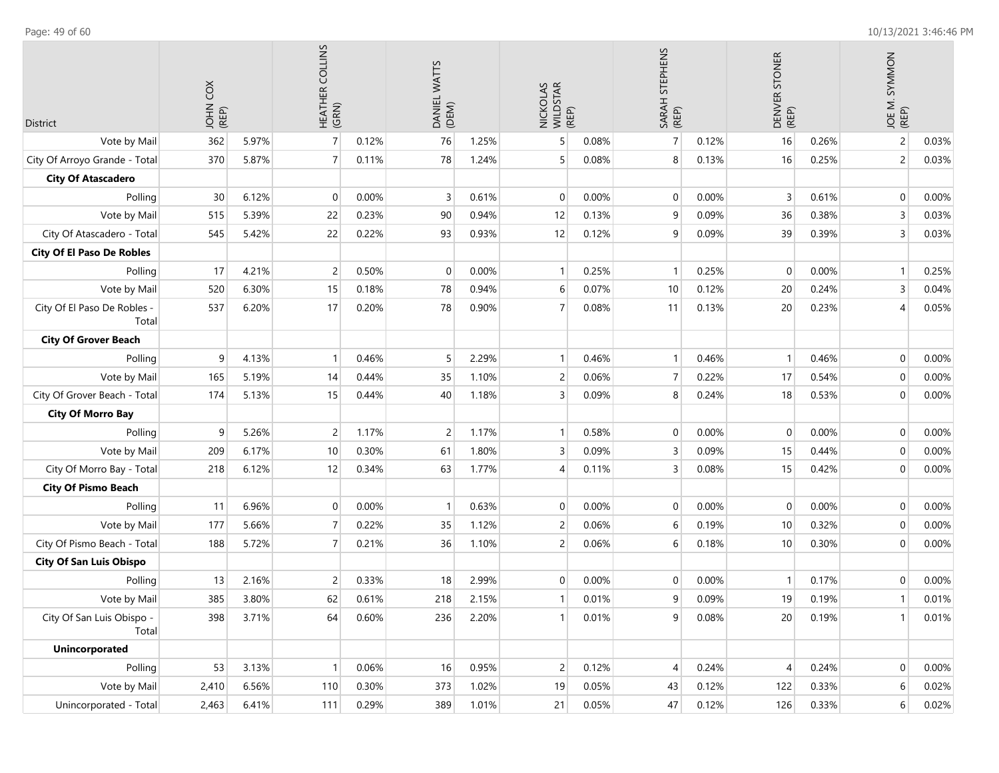| <b>District</b>                      | č<br>JOHN<br>(REP) |       | HEATHER COLLINS<br>(GRN) |       | DANIEL WATTS<br>(DEM)<br>76<br>1.25% |       | NICKOLAS<br>WILDSTAR<br>(REP) |       | SARAH STEPHENS<br>(REP) |       | DENVER STONER<br>(REP) |       | JOE M. SYMMON<br>(REP) |       |
|--------------------------------------|--------------------|-------|--------------------------|-------|--------------------------------------|-------|-------------------------------|-------|-------------------------|-------|------------------------|-------|------------------------|-------|
| Vote by Mail                         | 362                | 5.97% | $\overline{7}$           | 0.12% |                                      |       | 5                             | 0.08% | $\overline{7}$          | 0.12% | 16                     | 0.26% | $\overline{c}$         | 0.03% |
| City Of Arroyo Grande - Total        | 370                | 5.87% | $\overline{7}$           | 0.11% | 78                                   | 1.24% | 5                             | 0.08% | 8                       | 0.13% | 16                     | 0.25% | $\overline{c}$         | 0.03% |
| <b>City Of Atascadero</b>            |                    |       |                          |       |                                      |       |                               |       |                         |       |                        |       |                        |       |
| Polling                              | 30                 | 6.12% | $\pmb{0}$                | 0.00% | $\mathsf 3$                          | 0.61% | 0                             | 0.00% | $\mathbf{0}$            | 0.00% | 3                      | 0.61% | 0                      | 0.00% |
| Vote by Mail                         | 515                | 5.39% | 22                       | 0.23% | 90                                   | 0.94% | 12                            | 0.13% | 9                       | 0.09% | 36                     | 0.38% | 3                      | 0.03% |
| City Of Atascadero - Total           | 545                | 5.42% | 22                       | 0.22% | 93                                   | 0.93% | 12                            | 0.12% | 9                       | 0.09% | 39                     | 0.39% | 3                      | 0.03% |
| <b>City Of El Paso De Robles</b>     |                    |       |                          |       |                                      |       |                               |       |                         |       |                        |       |                        |       |
| Polling                              | 17                 | 4.21% | $\overline{c}$           | 0.50% | $\overline{0}$                       | 0.00% | $\mathbf{1}$                  | 0.25% | $\mathbf{1}$            | 0.25% | $\mathbf{0}$           | 0.00% | $\mathbf{1}$           | 0.25% |
| Vote by Mail                         | 520                | 6.30% | 15                       | 0.18% | 78                                   | 0.94% | 6                             | 0.07% | 10                      | 0.12% | 20                     | 0.24% | 3                      | 0.04% |
| City Of El Paso De Robles -<br>Total | 537                | 6.20% | 17                       | 0.20% | 78                                   | 0.90% | $\overline{7}$                | 0.08% | 11                      | 0.13% | 20                     | 0.23% | 4                      | 0.05% |
| <b>City Of Grover Beach</b>          |                    |       |                          |       |                                      |       |                               |       |                         |       |                        |       |                        |       |
| Polling                              | 9                  | 4.13% | 1                        | 0.46% | 5                                    | 2.29% | 1 <sup>1</sup>                | 0.46% | $\mathbf{1}$            | 0.46% | $\mathbf{1}$           | 0.46% | $\mathbf 0$            | 0.00% |
| Vote by Mail                         | 165                | 5.19% | 14                       | 0.44% | 35                                   | 1.10% | $\overline{c}$                | 0.06% | $\overline{7}$          | 0.22% | 17                     | 0.54% | $\mathbf 0$            | 0.00% |
| City Of Grover Beach - Total         | 174                | 5.13% | 15                       | 0.44% | 40                                   | 1.18% | 3                             | 0.09% | 8                       | 0.24% | 18                     | 0.53% | $\mathbf 0$            | 0.00% |
| <b>City Of Morro Bay</b>             |                    |       |                          |       |                                      |       |                               |       |                         |       |                        |       |                        |       |
| Polling                              | 9                  | 5.26% | $\overline{c}$           | 1.17% | $\overline{c}$                       | 1.17% | 1                             | 0.58% | $\mathbf{0}$            | 0.00% | $\mathbf 0$            | 0.00% | 0                      | 0.00% |
| Vote by Mail                         | 209                | 6.17% | 10                       | 0.30% | 61                                   | 1.80% | 3                             | 0.09% | 3                       | 0.09% | 15                     | 0.44% | $\mathbf 0$            | 0.00% |
| City Of Morro Bay - Total            | 218                | 6.12% | 12                       | 0.34% | 63                                   | 1.77% | $\overline{4}$                | 0.11% | 3                       | 0.08% | 15                     | 0.42% | $\boldsymbol{0}$       | 0.00% |
| <b>City Of Pismo Beach</b>           |                    |       |                          |       |                                      |       |                               |       |                         |       |                        |       |                        |       |
| Polling                              | 11                 | 6.96% | $\mathbf 0$              | 0.00% | $\mathbf{1}$                         | 0.63% | 0                             | 0.00% | $\mathbf{0}$            | 0.00% | $\mathbf 0$            | 0.00% | $\mathbf 0$            | 0.00% |
| Vote by Mail                         | 177                | 5.66% | 7                        | 0.22% | 35                                   | 1.12% | $\overline{c}$                | 0.06% | 6                       | 0.19% | 10                     | 0.32% | $\mathbf 0$            | 0.00% |
| City Of Pismo Beach - Total          | 188                | 5.72% | $\overline{7}$           | 0.21% | 36                                   | 1.10% | $\overline{c}$                | 0.06% | 6                       | 0.18% | 10                     | 0.30% | $\mathbf 0$            | 0.00% |
| <b>City Of San Luis Obispo</b>       |                    |       |                          |       |                                      |       |                               |       |                         |       |                        |       |                        |       |
| Polling                              | 13                 | 2.16% | 2                        | 0.33% | 18                                   | 2.99% | 0                             | 0.00% | $\mathbf 0$             | 0.00% | $\mathbf{1}$           | 0.17% | $\mathbf 0$            | 0.00% |
| Vote by Mail                         | 385                | 3.80% | 62                       | 0.61% | 218                                  | 2.15% | $\mathbf{1}$                  | 0.01% | 9                       | 0.09% | 19                     | 0.19% | $\mathbf{1}$           | 0.01% |
| City Of San Luis Obispo -<br>Total   | 398                | 3.71% | 64                       | 0.60% | 236                                  | 2.20% | 1 <sup>1</sup>                | 0.01% | 9                       | 0.08% | 20 <sub>2</sub>        | 0.19% | 1 <sup>1</sup>         | 0.01% |
| <b>Unincorporated</b>                |                    |       |                          |       |                                      |       |                               |       |                         |       |                        |       |                        |       |
| Polling                              | 53                 | 3.13% | 1                        | 0.06% | 16                                   | 0.95% | $\overline{c}$                | 0.12% | 4                       | 0.24% | 4                      | 0.24% | 0                      | 0.00% |
| Vote by Mail                         | 2,410              | 6.56% | 110                      | 0.30% | 373                                  | 1.02% | 19                            | 0.05% | 43                      | 0.12% | 122                    | 0.33% | 6                      | 0.02% |
| Unincorporated - Total               | 2,463              | 6.41% | 111                      | 0.29% | 389                                  | 1.01% | 21                            | 0.05% | 47                      | 0.12% | 126                    | 0.33% | 6                      | 0.02% |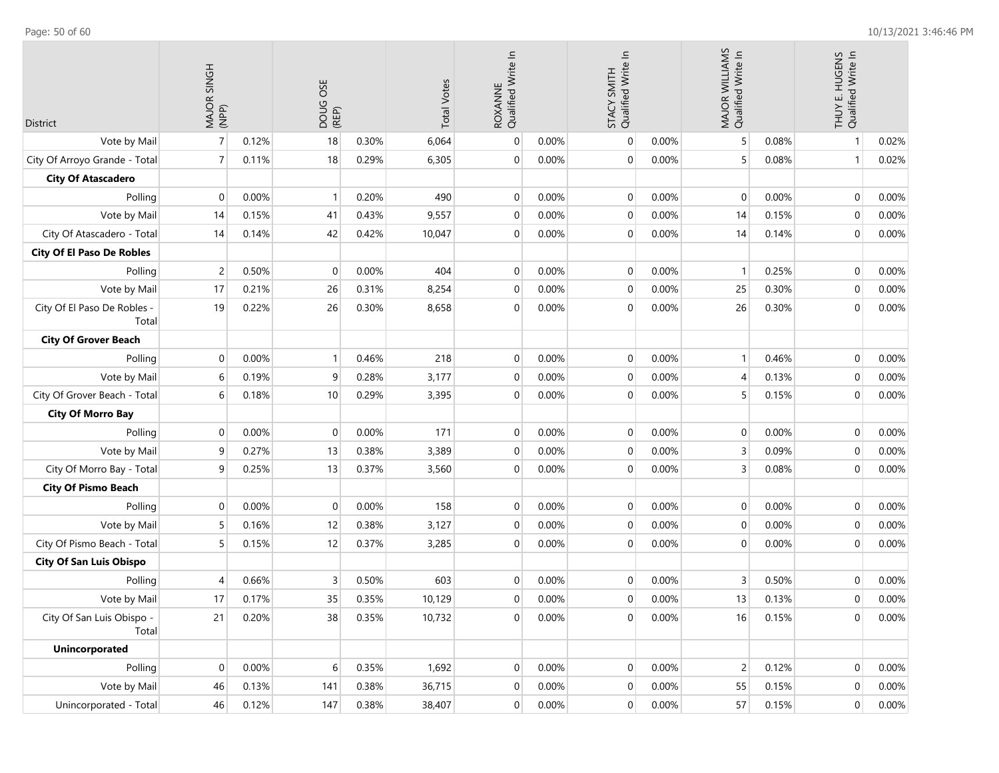| <b>District</b>                      | MAJOR SINGH<br>(NPP) |       | DOUG OSE<br>(REP) |       | <b>Total Votes</b> | ROXANNE<br>Qualified Write In |       | Qualified Write In<br>STACY SMITH |       | MAJOR WILLIAMS<br>Qualified Write In |       | THUY E. HUGENS<br>Qualified Write In |       |
|--------------------------------------|----------------------|-------|-------------------|-------|--------------------|-------------------------------|-------|-----------------------------------|-------|--------------------------------------|-------|--------------------------------------|-------|
| Vote by Mail                         | $\overline{7}$       | 0.12% | 18                | 0.30% | 6,064              | $\mathbf 0$                   | 0.00% | $\mathbf 0$                       | 0.00% | 5                                    | 0.08% | $\mathbf{1}$                         | 0.02% |
| City Of Arroyo Grande - Total        | $\overline{7}$       | 0.11% | 18                | 0.29% | 6,305              | $\mathbf 0$                   | 0.00% | $\boldsymbol{0}$                  | 0.00% |                                      | 0.08% | $\mathbf{1}$                         | 0.02% |
| <b>City Of Atascadero</b>            |                      |       |                   |       |                    |                               |       |                                   |       |                                      |       |                                      |       |
| Polling                              | $\mathbf 0$          | 0.00% | $\mathbf{1}$      | 0.20% | 490                | $\mathbf 0$                   | 0.00% | $\mathbf{0}$                      | 0.00% | $\Omega$                             | 0.00% | $\overline{0}$                       | 0.00% |
| Vote by Mail                         | 14                   | 0.15% | 41                | 0.43% | 9,557              | $\mathbf 0$                   | 0.00% | $\boldsymbol{0}$                  | 0.00% | 14                                   | 0.15% | $\pmb{0}$                            | 0.00% |
| City Of Atascadero - Total           | 14                   | 0.14% | 42                | 0.42% | 10,047             | $\mathbf 0$                   | 0.00% | $\mathbf{0}$                      | 0.00% | 14                                   | 0.14% | $\mathbf{0}$                         | 0.00% |
| <b>City Of El Paso De Robles</b>     |                      |       |                   |       |                    |                               |       |                                   |       |                                      |       |                                      |       |
| Polling                              | $\overline{c}$       | 0.50% | 0                 | 0.00% | 404                | $\mathbf 0$                   | 0.00% | $\mathbf 0$                       | 0.00% | -1                                   | 0.25% | $\mathbf{0}$                         | 0.00% |
| Vote by Mail                         | 17                   | 0.21% | 26                | 0.31% | 8,254              | $\mathbf 0$                   | 0.00% | $\mathbf 0$                       | 0.00% | 25                                   | 0.30% | 0                                    | 0.00% |
| City Of El Paso De Robles -<br>Total | 19                   | 0.22% | 26                | 0.30% | 8,658              | $\mathbf 0$                   | 0.00% | $\mathbf 0$                       | 0.00% | 26                                   | 0.30% | 0                                    | 0.00% |
| <b>City Of Grover Beach</b>          |                      |       |                   |       |                    |                               |       |                                   |       |                                      |       |                                      |       |
| Polling                              | $\mathbf 0$          | 0.00% | $\mathbf{1}$      | 0.46% | 218                | $\mathbf 0$                   | 0.00% | $\mathbf 0$                       | 0.00% | $\mathbf{1}$                         | 0.46% | $\mathbf{0}$                         | 0.00% |
| Vote by Mail                         | 6                    | 0.19% | 9                 | 0.28% | 3,177              | $\mathbf 0$                   | 0.00% | $\mathbf 0$                       | 0.00% | 4                                    | 0.13% | 0                                    | 0.00% |
| City Of Grover Beach - Total         | 6                    | 0.18% | 10                | 0.29% | 3,395              | $\mathbf 0$                   | 0.00% | $\mathbf 0$                       | 0.00% | 5                                    | 0.15% | $\pmb{0}$                            | 0.00% |
| <b>City Of Morro Bay</b>             |                      |       |                   |       |                    |                               |       |                                   |       |                                      |       |                                      |       |
| Polling                              | $\mathbf 0$          | 0.00% | $\mathbf 0$       | 0.00% | 171                | $\mathbf 0$                   | 0.00% | $\mathbf 0$                       | 0.00% | $\mathbf 0$                          | 0.00% | $\mathbf{0}$                         | 0.00% |
| Vote by Mail                         | 9                    | 0.27% | 13                | 0.38% | 3,389              | $\mathbf 0$                   | 0.00% | $\mathbf 0$                       | 0.00% | 3                                    | 0.09% | 0                                    | 0.00% |
| City Of Morro Bay - Total            | 9                    | 0.25% | 13                | 0.37% | 3,560              | $\mathbf 0$                   | 0.00% | $\mathbf{0}$                      | 0.00% | 3                                    | 0.08% | $\mathbf 0$                          | 0.00% |
| <b>City Of Pismo Beach</b>           |                      |       |                   |       |                    |                               |       |                                   |       |                                      |       |                                      |       |
| Polling                              | $\mathbf 0$          | 0.00% | $\mathbf 0$       | 0.00% | 158                | $\mathbf 0$                   | 0.00% | $\mathbf 0$                       | 0.00% | $\mathbf 0$                          | 0.00% | $\mathbf{0}$                         | 0.00% |
| Vote by Mail                         | 5                    | 0.16% | 12                | 0.38% | 3,127              | $\mathbf 0$                   | 0.00% | $\mathbf{0}$                      | 0.00% | $\mathbf 0$                          | 0.00% | 0                                    | 0.00% |
| City Of Pismo Beach - Total          | 5                    | 0.15% | 12                | 0.37% | 3,285              | $\mathbf 0$                   | 0.00% | $\mathbf 0$                       | 0.00% | 0                                    | 0.00% | $\mathbf{0}$                         | 0.00% |
| <b>City Of San Luis Obispo</b>       |                      |       |                   |       |                    |                               |       |                                   |       |                                      |       |                                      |       |
| Polling                              | $\overline{4}$       | 0.66% | 3                 | 0.50% | 603                | $\mathbf 0$                   | 0.00% | $\mathbf 0$                       | 0.00% | 3                                    | 0.50% | 0                                    | 0.00% |
| Vote by Mail                         | 17                   | 0.17% | 35                | 0.35% | 10,129             | $\mathbf 0$                   | 0.00% | $\mathbf 0$                       | 0.00% | 13                                   | 0.13% | 0                                    | 0.00% |
| City Of San Luis Obispo -<br>Total   | 21                   | 0.20% | 38                | 0.35% | 10,732             | $\boldsymbol{0}$              | 0.00% | $\pmb{0}$                         | 0.00% | 16                                   | 0.15% | $\overline{0}$                       | 0.00% |
| <b>Unincorporated</b>                |                      |       |                   |       |                    |                               |       |                                   |       |                                      |       |                                      |       |
| Polling                              | $\mathbf 0$          | 0.00% | 6                 | 0.35% | 1,692              | $\pmb{0}$                     | 0.00% | $\mathbf 0$                       | 0.00% | $\overline{c}$                       | 0.12% | $\overline{0}$                       | 0.00% |
| Vote by Mail                         | 46                   | 0.13% | 141               | 0.38% | 36,715             | 0                             | 0.00% | $\mathbf 0$                       | 0.00% | 55                                   | 0.15% | $\mathbf 0$                          | 0.00% |
| Unincorporated - Total               | 46                   | 0.12% | 147               | 0.38% | 38,407             | $\pmb{0}$                     | 0.00% | $\boldsymbol{0}$                  | 0.00% | 57                                   | 0.15% | $\overline{0}$                       | 0.00% |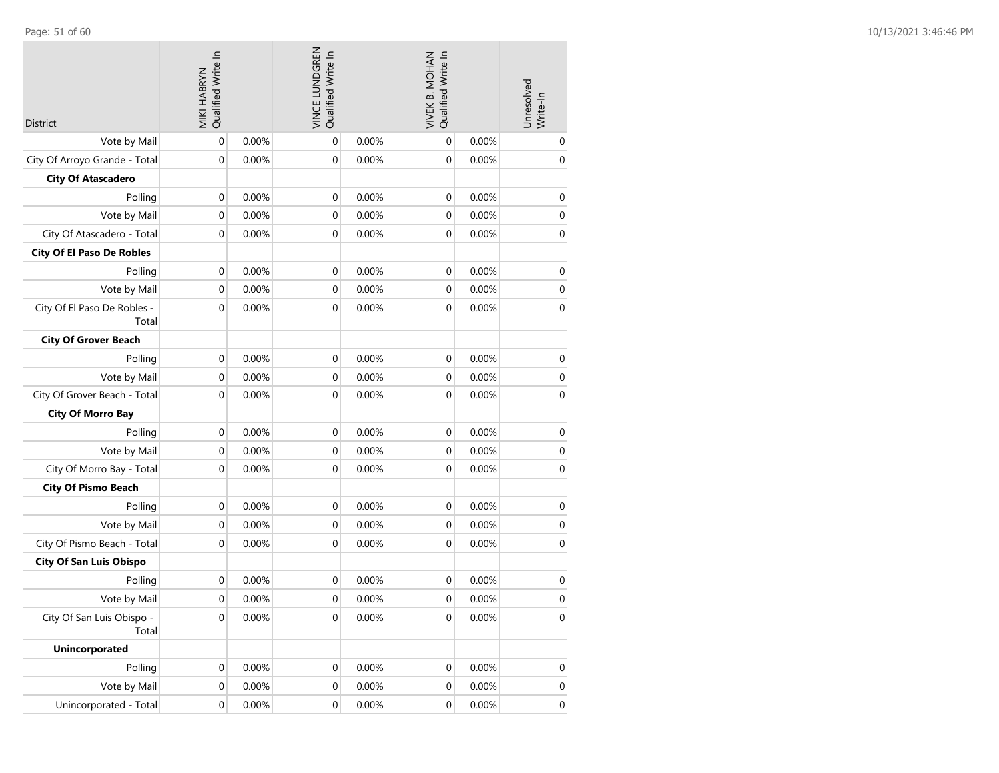| <b>District</b>                      | Qualified Write In<br>MIKI HABRYN |          | VINCE LUNDGREN<br>Qualified Write In |          | Qualified Write In<br><b>VIVEK B. MOHAN</b> |          | Unresolved<br>Write-In |
|--------------------------------------|-----------------------------------|----------|--------------------------------------|----------|---------------------------------------------|----------|------------------------|
| Vote by Mail                         | $\mathbf 0$                       | 0.00%    | $\mathbf 0$                          | 0.00%    | $\mathbf 0$                                 | 0.00%    | 0                      |
| City Of Arroyo Grande - Total        | $\mathbf 0$                       | 0.00%    | 0                                    | 0.00%    | $\mathbf 0$                                 | 0.00%    | $\mathbf 0$            |
| <b>City Of Atascadero</b>            |                                   |          |                                      |          |                                             |          |                        |
| Polling                              | $\boldsymbol{0}$                  | 0.00%    | 0                                    | 0.00%    | $\mathbf 0$                                 | 0.00%    | $\mathbf 0$            |
| Vote by Mail                         | $\mathbf 0$                       | 0.00%    | 0                                    | 0.00%    | $\mathbf 0$                                 | 0.00%    | $\boldsymbol{0}$       |
| City Of Atascadero - Total           | $\boldsymbol{0}$                  | 0.00%    | $\mathbf 0$                          | 0.00%    | $\mathbf 0$                                 | 0.00%    | $\mathbf 0$            |
| <b>City Of El Paso De Robles</b>     |                                   |          |                                      |          |                                             |          |                        |
| Polling                              | $\boldsymbol{0}$                  | 0.00%    | 0                                    | 0.00%    | $\mathbf 0$                                 | 0.00%    | 0                      |
| Vote by Mail                         | $\mathbf 0$                       | 0.00%    | 0                                    | 0.00%    | $\mathbf 0$                                 | 0.00%    | $\boldsymbol{0}$       |
| City Of El Paso De Robles -<br>Total | 0                                 | 0.00%    | 0                                    | 0.00%    | $\mathbf 0$                                 | 0.00%    | $\mathbf 0$            |
| <b>City Of Grover Beach</b>          |                                   |          |                                      |          |                                             |          |                        |
| Polling                              | $\boldsymbol{0}$                  | 0.00%    | 0                                    | 0.00%    | $\boldsymbol{0}$                            | 0.00%    | $\mathbf 0$            |
| Vote by Mail                         | 0                                 | 0.00%    | 0                                    | 0.00%    | $\mathbf 0$                                 | 0.00%    | $\mathbf 0$            |
| City Of Grover Beach - Total         | $\mathbf 0$                       | 0.00%    | 0                                    | 0.00%    | $\mathbf 0$                                 | 0.00%    | $\boldsymbol{0}$       |
| <b>City Of Morro Bay</b>             |                                   |          |                                      |          |                                             |          |                        |
| Polling                              | $\boldsymbol{0}$                  | 0.00%    | $\mathbf 0$                          | 0.00%    | $\mathbf 0$                                 | 0.00%    | $\mathbf 0$            |
| Vote by Mail                         | 0                                 | 0.00%    | 0                                    | 0.00%    | 0                                           | 0.00%    | $\mathbf 0$            |
| City Of Morro Bay - Total            | $\mathbf 0$                       | 0.00%    | 0                                    | 0.00%    | $\boldsymbol{0}$                            | 0.00%    | $\mathbf 0$            |
| <b>City Of Pismo Beach</b>           |                                   |          |                                      |          |                                             |          |                        |
| Polling                              | $\boldsymbol{0}$                  | 0.00%    | $\mathbf 0$                          | 0.00%    | $\boldsymbol{0}$                            | 0.00%    | $\mathbf 0$            |
| Vote by Mail                         | $\mathbf 0$                       | 0.00%    | 0                                    | 0.00%    | $\mathbf 0$                                 | 0.00%    | $\boldsymbol{0}$       |
| City Of Pismo Beach - Total          | 0                                 | 0.00%    | 0                                    | 0.00%    | $\mathbf 0$                                 | 0.00%    | 0                      |
| <b>City Of San Luis Obispo</b>       |                                   |          |                                      |          |                                             |          |                        |
| Polling                              | 0                                 | 0.00%    | 0                                    | 0.00%    | 0                                           | 0.00%    | $\boldsymbol{0}$       |
| Vote by Mail                         | $\mathbf 0$                       | 0.00%    | 0                                    | 0.00%    | $\mathbf 0$                                 | 0.00%    | $\boldsymbol{0}$       |
| City Of San Luis Obispo -<br>Total   | 0                                 | $0.00\%$ | 0                                    | $0.00\%$ | 0                                           | $0.00\%$ | 0                      |
| <b>Unincorporated</b>                |                                   |          |                                      |          |                                             |          |                        |
| Polling                              | $\mathbf 0$                       | 0.00%    | $\pmb{0}$                            | 0.00%    | $\pmb{0}$                                   | 0.00%    | 0                      |
| Vote by Mail                         | 0                                 | 0.00%    | 0                                    | 0.00%    | $\pmb{0}$                                   | 0.00%    | 0                      |
| Unincorporated - Total               | $\pmb{0}$                         | 0.00%    | 0                                    | 0.00%    | $\pmb{0}$                                   | 0.00%    | $\mathbf 0$            |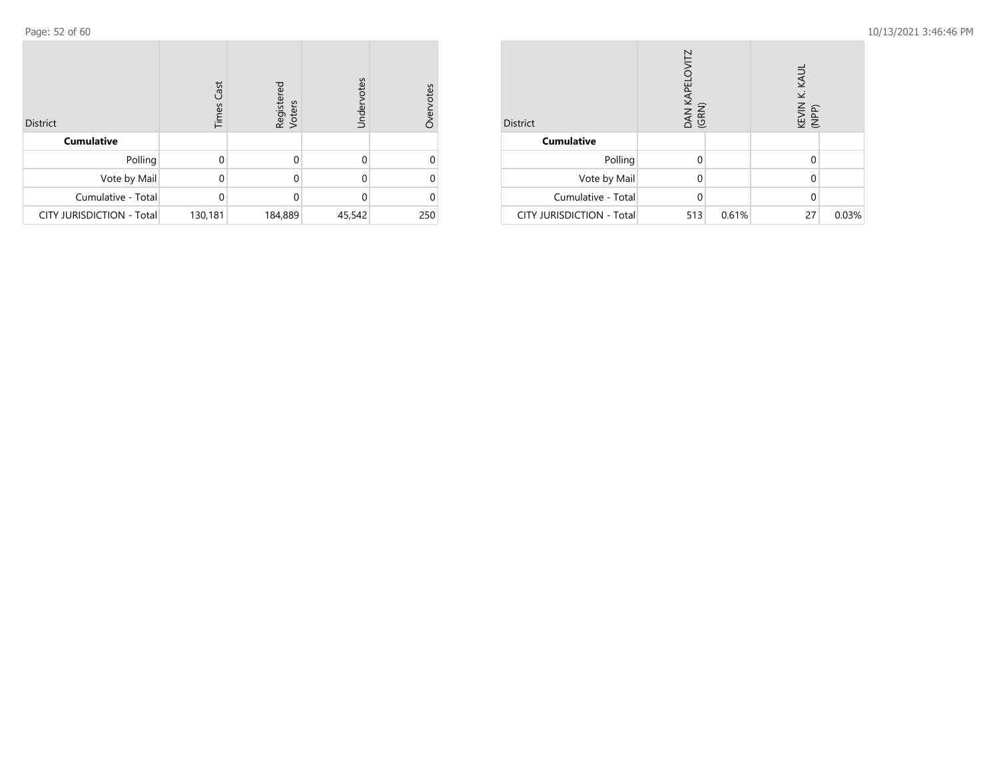| <b>District</b>                  | Cast<br>Times | Registered<br>Voters | Undervotes | Overvotes |
|----------------------------------|---------------|----------------------|------------|-----------|
| <b>Cumulative</b>                |               |                      |            |           |
| Polling                          | 0             | 0                    | 0          |           |
| Vote by Mail                     | 0             | 0                    | 0          |           |
| Cumulative - Total               | 0             | 0                    | $\Omega$   |           |
| <b>CITY JURISDICTION - Total</b> | 130,181       | 184,889              | 45,542     | 250       |

| <b>District</b>                  | DAN KAPELOVITZ<br>(GRN) |       | KEVIN K. KAUL<br>(NPP) |       |
|----------------------------------|-------------------------|-------|------------------------|-------|
| <b>Cumulative</b>                |                         |       |                        |       |
| Polling                          | 0                       |       | 0                      |       |
| Vote by Mail                     | 0                       |       | 0                      |       |
| Cumulative - Total               | $\Omega$                |       | 0                      |       |
| <b>CITY JURISDICTION - Total</b> | 513                     | 0.61% | 27                     | 0.03% |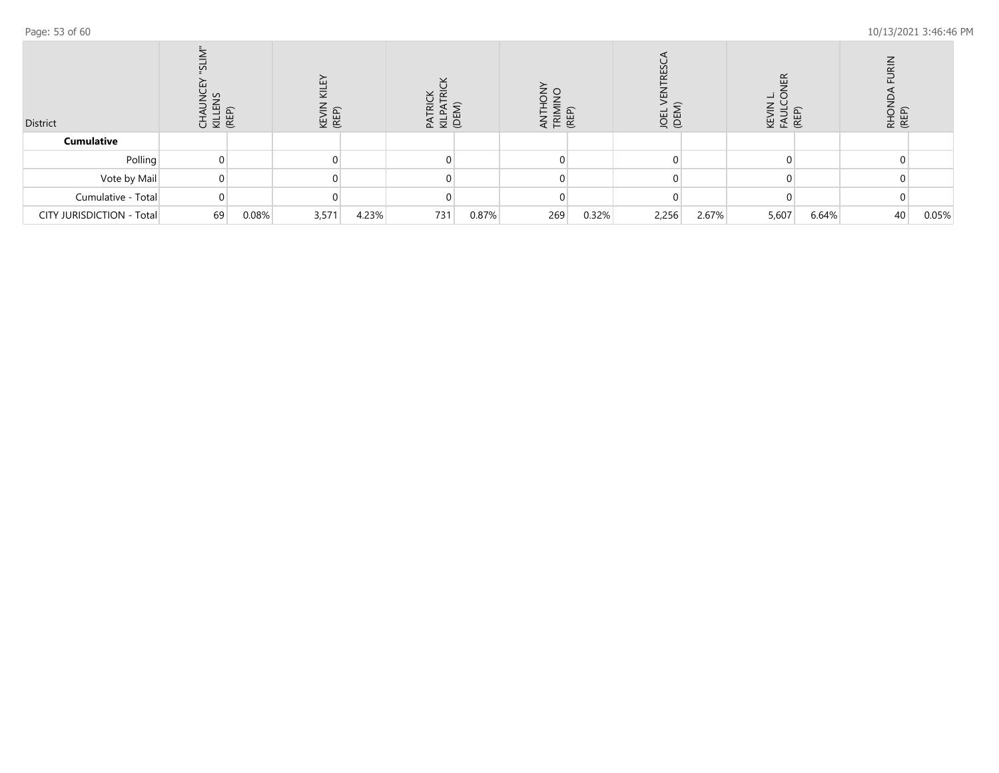| District                  | CHAL<br>KILLEI<br>CHAL |       | ш<br>$\overline{\mathbf{y}}$<br>KEN<br>KEN |       | <u> 등 때</u><br>$\Omega$ |       | E<br>E | (REP) | <b>OEN</b> |       | 띥<br>조 도 | (REI  | RHOM<br>(REP) |       |
|---------------------------|------------------------|-------|--------------------------------------------|-------|-------------------------|-------|--------|-------|------------|-------|----------|-------|---------------|-------|
| <b>Cumulative</b>         |                        |       |                                            |       |                         |       |        |       |            |       |          |       |               |       |
| Polling                   |                        |       |                                            |       |                         |       |        |       |            |       |          |       |               |       |
| Vote by Mail              |                        |       |                                            |       |                         |       |        |       |            |       |          |       |               |       |
| Cumulative - Total        |                        |       |                                            |       |                         |       |        |       |            |       |          |       |               |       |
| CITY JURISDICTION - Total | 69                     | 0.08% | 3,571                                      | 4.23% | 731                     | 0.87% | 269    | 0.32% | 2,256      | 2.67% | 5,607    | 6.64% | 40            | 0.05% |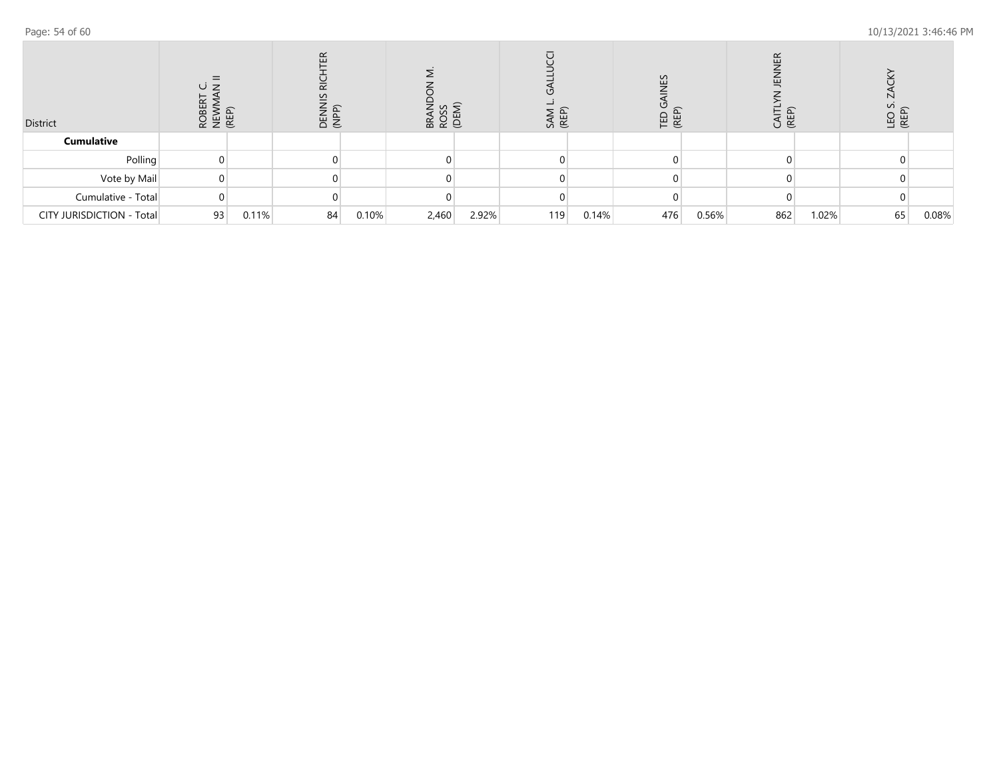| District                  | <b>ROBE</b><br>NEW<br>(REP) |       | $\propto$<br><b>DENNI</b><br>(NPP) |       | 35<br>Z<br><b>BROS</b> |       | SAM<br>(REP) |       | ပ္ပ<br>TED (<br>(REP) |       | (RE<br>U |       | 군 ED<br>SE |       |
|---------------------------|-----------------------------|-------|------------------------------------|-------|------------------------|-------|--------------|-------|-----------------------|-------|----------|-------|------------|-------|
| <b>Cumulative</b>         |                             |       |                                    |       |                        |       |              |       |                       |       |          |       |            |       |
| Polling                   |                             |       |                                    |       |                        |       |              |       |                       |       |          |       |            |       |
| Vote by Mail              |                             |       |                                    |       |                        |       |              |       |                       |       |          |       |            |       |
| Cumulative - Total        |                             |       |                                    |       |                        |       |              |       |                       |       |          |       |            |       |
| CITY JURISDICTION - Total | 93                          | 0.11% | 84                                 | 0.10% | 2,460                  | 2.92% | 119          | 0.14% | 476                   | 0.56% | 862      | 1.02% | 65         | 0.08% |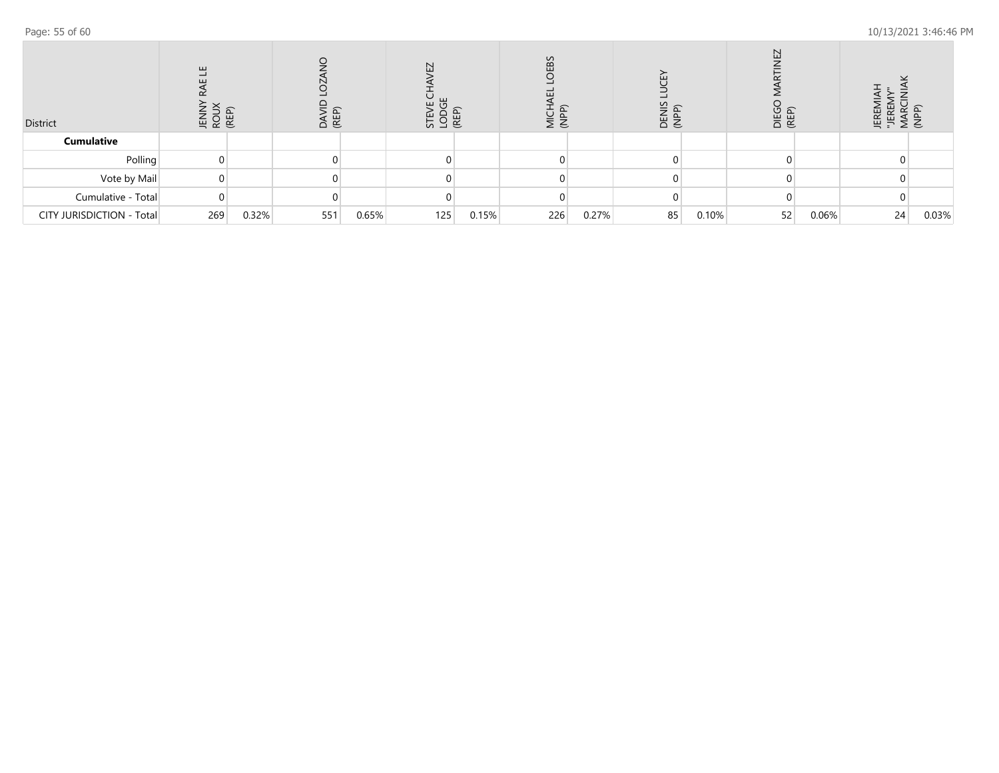| District                  | O<br>픽<br>윽<br>ה ה<br>로 중 監 |       | DAVI<br>(REP) |       | N<br>◡<br>٣<br>ت<br>STEVE<br>LODC<br>(REP) |       | <b>OEBS</b><br>こと<br>こと |       |    |       | $\overline{ }$<br>DIEGC<br>(REP) |       | Ē<br>萬臣<br>≥ |       |
|---------------------------|-----------------------------|-------|---------------|-------|--------------------------------------------|-------|-------------------------|-------|----|-------|----------------------------------|-------|--------------|-------|
| <b>Cumulative</b>         |                             |       |               |       |                                            |       |                         |       |    |       |                                  |       |              |       |
| Polling                   |                             |       |               |       |                                            |       |                         |       |    |       |                                  |       |              |       |
| Vote by Mail              |                             |       |               |       |                                            |       |                         |       |    |       |                                  |       |              |       |
| Cumulative - Total        |                             |       |               |       |                                            |       |                         |       |    |       |                                  |       |              |       |
| CITY JURISDICTION - Total | 269                         | 0.32% | 551           | 0.65% | 125                                        | 0.15% | 226                     | 0.27% | 85 | 0.10% | 52                               | 0.06% | 24           | 0.03% |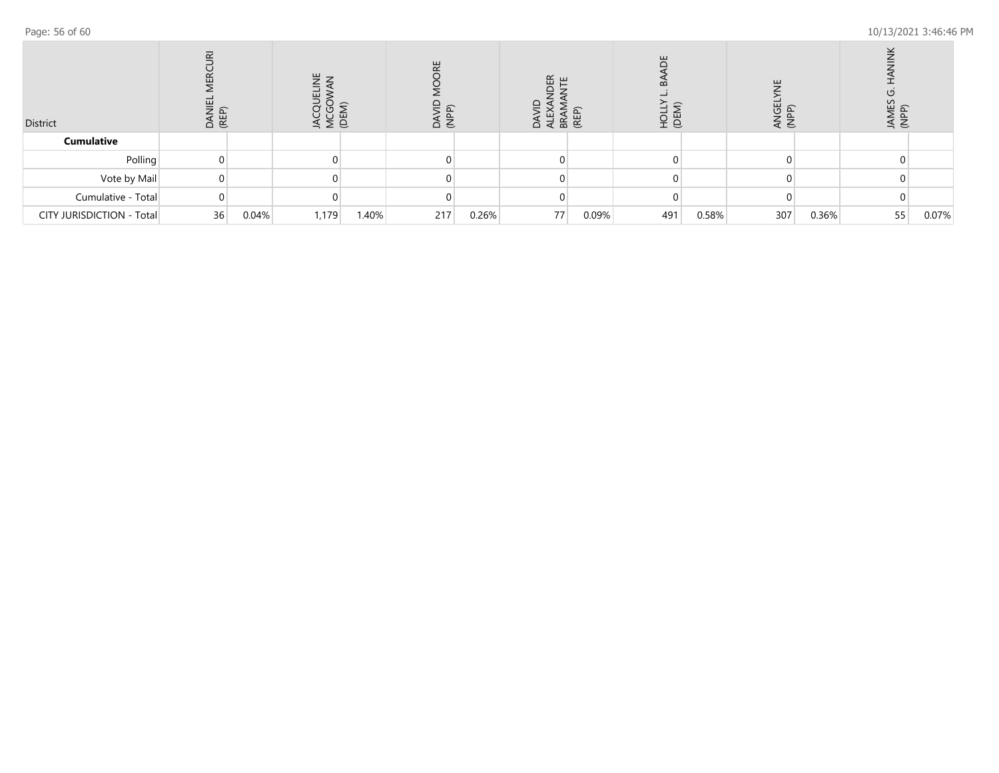| District                  | $\overline{\alpha}$<br>$\sim$<br>ш<br>DANI<br>(REP) |       | 팤<br>쁘<br>MCGC<br>(DEM)<br>≛ |       | 븼<br>≏<br>€ |       | $E$ $E$<br>$\overline{a}$ | BRAN<br>(REP) | ш<br>മ<br>오늘 |       | 팤<br><b>UBD</b><br>PP)<br>€<br>$\triangleleft$ |       | 53<br>ड़ इ |       |
|---------------------------|-----------------------------------------------------|-------|------------------------------|-------|-------------|-------|---------------------------|---------------|--------------|-------|------------------------------------------------|-------|------------|-------|
| <b>Cumulative</b>         |                                                     |       |                              |       |             |       |                           |               |              |       |                                                |       |            |       |
| Polling                   |                                                     |       |                              |       |             |       |                           |               |              |       |                                                |       |            |       |
| Vote by Mail              |                                                     |       |                              |       |             |       |                           |               |              |       |                                                |       |            |       |
| Cumulative - Total        |                                                     |       |                              |       |             |       |                           |               |              |       |                                                |       |            |       |
| CITY JURISDICTION - Total | 36                                                  | 0.04% | 1,179                        | 1.40% | 217         | 0.26% | 77                        | 0.09%         | 491          | 0.58% | 307                                            | 0.36% | 55         | 0.07% |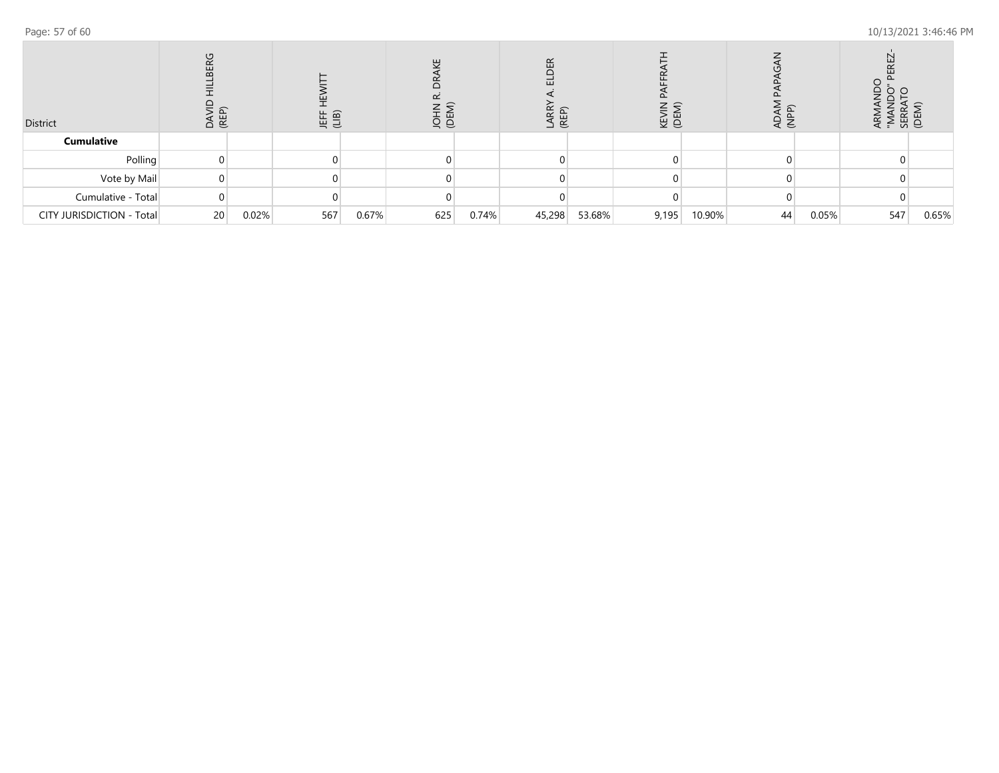| District                  | U<br><b>BER</b><br>DA'<br>(RE |       |     | 上<br>(LIB) |     | ш<br>ğ â |        | (REP)<br>(REP) | ≓<br>KEVI<br>(DEN |        | ଢ<br>≏<br>$\prec$<br>€ |       | 없 호 |       |
|---------------------------|-------------------------------|-------|-----|------------|-----|----------|--------|----------------|-------------------|--------|------------------------|-------|-----|-------|
| <b>Cumulative</b>         |                               |       |     |            |     |          |        |                |                   |        |                        |       |     |       |
| Polling                   |                               |       |     |            |     |          |        |                |                   |        |                        |       |     |       |
| Vote by Mail              |                               |       |     |            |     |          |        |                |                   |        |                        |       |     |       |
| Cumulative - Total        |                               |       |     |            |     |          |        |                |                   |        |                        |       |     |       |
| CITY JURISDICTION - Total | 20                            | 0.02% | 567 | 0.67%      | 625 | 0.74%    | 45,298 | 53.68%         | 9,195             | 10.90% | 44                     | 0.05% | 547 | 0.65% |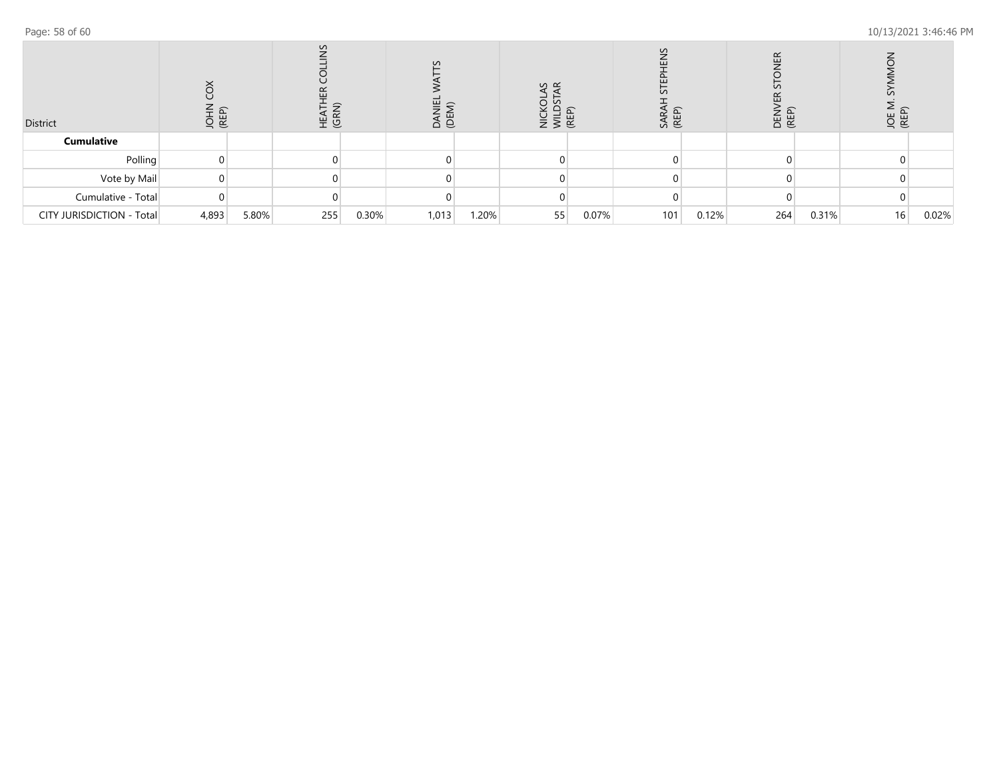| District                  | (REP) |       | $\overline{\Omega}$<br>ÆΚ<br>HEA <sup>-</sup><br>(GRN |       | $\Omega$<br>ĕ<br>ര |       | $\omega \propto$<br>$rac{1}{2}$ $rac{1}{2}$ $rac{1}{2}$ $rac{1}{2}$ |       | $\sim$<br>SARA<br>(REP) |       | <b>LER</b><br>$\Omega$<br>DEN<br>(REP) |       | JOE I<br>(REP) |       |
|---------------------------|-------|-------|-------------------------------------------------------|-------|--------------------|-------|---------------------------------------------------------------------|-------|-------------------------|-------|----------------------------------------|-------|----------------|-------|
| <b>Cumulative</b>         |       |       |                                                       |       |                    |       |                                                                     |       |                         |       |                                        |       |                |       |
| Polling                   |       |       |                                                       |       |                    |       |                                                                     |       |                         |       |                                        |       |                |       |
| Vote by Mail              |       |       |                                                       |       |                    |       |                                                                     |       |                         |       |                                        |       |                |       |
| Cumulative - Total        |       |       |                                                       |       |                    |       |                                                                     |       |                         |       |                                        |       |                |       |
| CITY JURISDICTION - Total | 4,893 | 5.80% | 255                                                   | 0.30% | 1,013              | 1.20% | 55                                                                  | 0.07% | 101                     | 0.12% | 264                                    | 0.31% | 16             | 0.02% |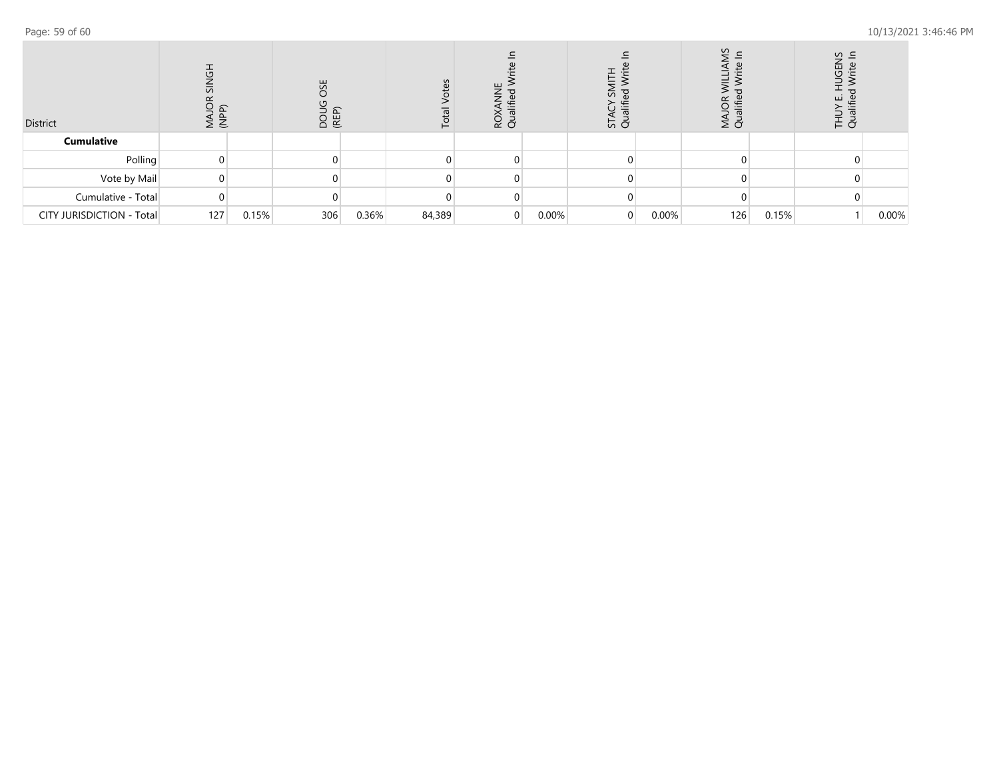| District                  | (NPP) |       | 说<br><b>DOU</b><br>(REP) |       | <u>ကို</u><br>Total | SS S |       | ℸ<br>≒<br>5 q |       | $\Omega$<br>≔<br>Σđ |       | S<br>† ō |       |
|---------------------------|-------|-------|--------------------------|-------|---------------------|------|-------|---------------|-------|---------------------|-------|----------|-------|
| <b>Cumulative</b>         |       |       |                          |       |                     |      |       |               |       |                     |       |          |       |
| Polling                   |       |       |                          |       |                     |      |       |               |       |                     |       |          |       |
| Vote by Mail              |       |       |                          |       |                     |      |       |               |       |                     |       |          |       |
| Cumulative - Total        |       |       |                          |       |                     |      |       |               |       |                     |       |          |       |
| CITY JURISDICTION - Total | 127   | 0.15% | 306                      | 0.36% | 84,389              |      | 0.00% | 0             | 0.00% | 126                 | 0.15% |          | 0.00% |